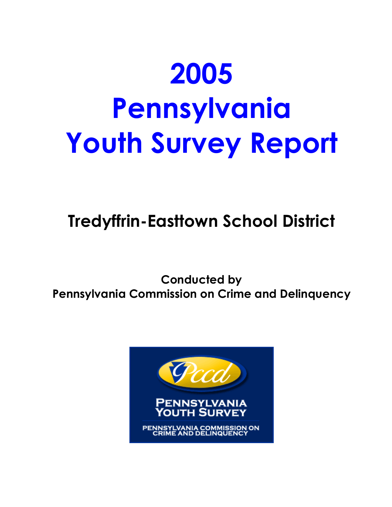# **2005 Pennsylvania Youth Survey Report**

**Tredyffrin-Easttown School District** 

**Conducted by Pennsylvania Commission on Crime and Delinquency**

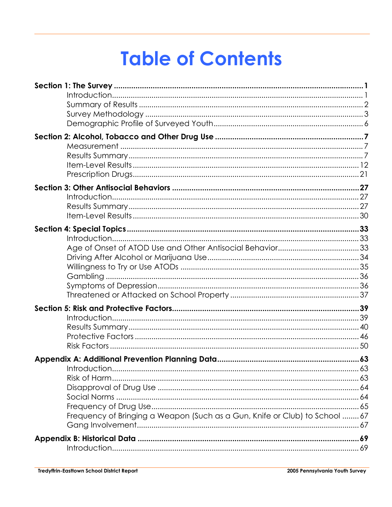## **Table of Contents**

| Frequency of Bringing a Weapon (Such as a Gun, Knife or Club) to School 67 |  |
|----------------------------------------------------------------------------|--|
|                                                                            |  |
|                                                                            |  |
|                                                                            |  |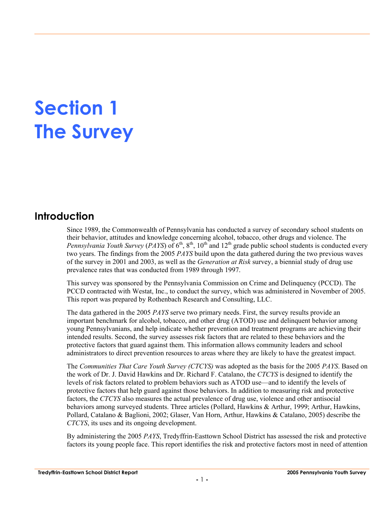## **Section 1 The Survey**

## **Introduction**

Since 1989, the Commonwealth of Pennsylvania has conducted a survey of secondary school students on their behavior, attitudes and knowledge concerning alcohol, tobacco, other drugs and violence. The *Pennsylvania Youth Survey (PAYS)* of 6<sup>th</sup>, 8<sup>th</sup>, 10<sup>th</sup> and 12<sup>th</sup> grade public school students is conducted every two years. The findings from the 2005 *PAYS* build upon the data gathered during the two previous waves of the survey in 2001 and 2003, as well as the *Generation at Risk* survey, a biennial study of drug use prevalence rates that was conducted from 1989 through 1997.

This survey was sponsored by the Pennsylvania Commission on Crime and Delinquency (PCCD). The PCCD contracted with Westat, Inc., to conduct the survey, which was administered in November of 2005. This report was prepared by Rothenbach Research and Consulting, LLC.

The data gathered in the 2005 *PAYS* serve two primary needs. First, the survey results provide an important benchmark for alcohol, tobacco, and other drug (ATOD) use and delinquent behavior among young Pennsylvanians, and help indicate whether prevention and treatment programs are achieving their intended results. Second, the survey assesses risk factors that are related to these behaviors and the protective factors that guard against them. This information allows community leaders and school administrators to direct prevention resources to areas where they are likely to have the greatest impact.

The *Communities That Care Youth Survey (CTCYS)* was adopted as the basis for the 2005 *PAYS*. Based on the work of Dr. J. David Hawkins and Dr. Richard F. Catalano, the *CTCYS* is designed to identify the levels of risk factors related to problem behaviors such as ATOD use—and to identify the levels of protective factors that help guard against those behaviors. In addition to measuring risk and protective factors, the *CTCYS* also measures the actual prevalence of drug use, violence and other antisocial behaviors among surveyed students. Three articles (Pollard, Hawkins & Arthur, 1999; Arthur, Hawkins, Pollard, Catalano & Baglioni, 2002; Glaser, Van Horn, Arthur, Hawkins & Catalano, 2005) describe the *CTCYS*, its uses and its ongoing development.

By administering the 2005 *PAYS*, Tredyffrin-Easttown School District has assessed the risk and protective factors its young people face. This report identifies the risk and protective factors most in need of attention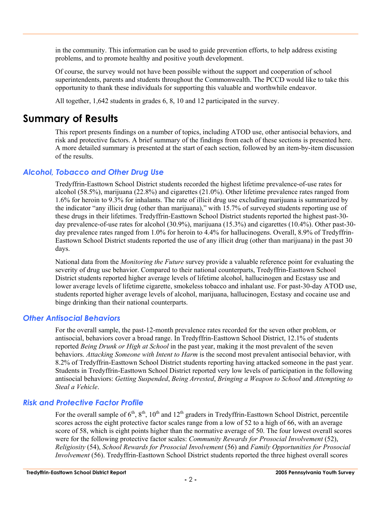in the community. This information can be used to guide prevention efforts, to help address existing problems, and to promote healthy and positive youth development.

Of course, the survey would not have been possible without the support and cooperation of school superintendents, parents and students throughout the Commonwealth. The PCCD would like to take this opportunity to thank these individuals for supporting this valuable and worthwhile endeavor.

All together, 1,642 students in grades 6, 8, 10 and 12 participated in the survey.

## **Summary of Results**

This report presents findings on a number of topics, including ATOD use, other antisocial behaviors, and risk and protective factors. A brief summary of the findings from each of these sections is presented here. A more detailed summary is presented at the start of each section, followed by an item-by-item discussion of the results.

#### *Alcohol, Tobacco and Other Drug Use*

Tredyffrin-Easttown School District students recorded the highest lifetime prevalence-of-use rates for alcohol (58.5%), marijuana (22.8%) and cigarettes (21.0%). Other lifetime prevalence rates ranged from 1.6% for heroin to 9.3% for inhalants. The rate of illicit drug use excluding marijuana is summarized by the indicator "any illicit drug (other than marijuana)," with 15.7% of surveyed students reporting use of these drugs in their lifetimes. Tredyffrin-Easttown School District students reported the highest past-30 day prevalence-of-use rates for alcohol (30.9%), marijuana (15.3%) and cigarettes (10.4%). Other past-30 day prevalence rates ranged from 1.0% for heroin to 4.4% for hallucinogens. Overall, 8.9% of Tredyffrin-Easttown School District students reported the use of any illicit drug (other than marijuana) in the past 30 days.

National data from the *Monitoring the Future* survey provide a valuable reference point for evaluating the severity of drug use behavior. Compared to their national counterparts, Tredyffrin-Easttown School District students reported higher average levels of lifetime alcohol, hallucinogen and Ecstasy use and lower average levels of lifetime cigarette, smokeless tobacco and inhalant use. For past-30-day ATOD use, students reported higher average levels of alcohol, marijuana, hallucinogen, Ecstasy and cocaine use and binge drinking than their national counterparts.

#### *Other Antisocial Behaviors*

For the overall sample, the past-12-month prevalence rates recorded for the seven other problem, or antisocial, behaviors cover a broad range. In Tredyffrin-Easttown School District, 12.1% of students reported *Being Drunk or High at School* in the past year, making it the most prevalent of the seven behaviors. *Attacking Someone with Intent to Harm* is the second most prevalent antisocial behavior, with 8.2% of Tredyffrin-Easttown School District students reporting having attacked someone in the past year. Students in Tredyffrin-Easttown School District reported very low levels of participation in the following antisocial behaviors: *Getting Suspended*, *Being Arrested*, *Bringing a Weapon to School* and *Attempting to Steal a Vehicle*.

#### *Risk and Protective Factor Profile*

For the overall sample of  $6<sup>th</sup>$ ,  $8<sup>th</sup>$ ,  $10<sup>th</sup>$  and  $12<sup>th</sup>$  graders in Tredyffrin-Easttown School District, percentile scores across the eight protective factor scales range from a low of 52 to a high of 66, with an average score of 58, which is eight points higher than the normative average of 50. The four lowest overall scores were for the following protective factor scales: *Community Rewards for Prosocial Involvement* (52), *Religiosity* (54), *School Rewards for Prosocial Involvement* (56) and *Family Opportunities for Prosocial Involvement* (56). Tredyffrin-Easttown School District students reported the three highest overall scores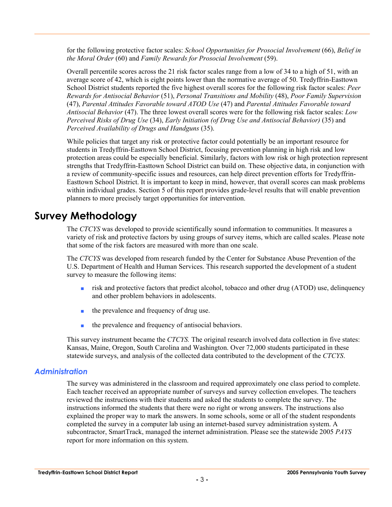for the following protective factor scales: *School Opportunities for Prosocial Involvement* (66), *Belief in the Moral Order* (60) and *Family Rewards for Prosocial Involvement* (59).

Overall percentile scores across the 21 risk factor scales range from a low of 34 to a high of 51, with an average score of 42, which is eight points lower than the normative average of 50. Tredyffrin-Easttown School District students reported the five highest overall scores for the following risk factor scales: *Peer Rewards for Antisocial Behavior* (51), *Personal Transitions and Mobility* (48), *Poor Family Supervision* (47), *Parental Attitudes Favorable toward ATOD Use* (47) and *Parental Attitudes Favorable toward Antisocial Behavior* (47). The three lowest overall scores were for the following risk factor scales: *Low Perceived Risks of Drug Use* (34), *Early Initiation (of Drug Use and Antisocial Behavior)* (35) and *Perceived Availability of Drugs and Handguns* (35).

While policies that target any risk or protective factor could potentially be an important resource for students in Tredyffrin-Easttown School District, focusing prevention planning in high risk and low protection areas could be especially beneficial. Similarly, factors with low risk or high protection represent strengths that Tredyffrin-Easttown School District can build on. These objective data, in conjunction with a review of community-specific issues and resources, can help direct prevention efforts for Tredyffrin-Easttown School District. It is important to keep in mind, however, that overall scores can mask problems within individual grades. Section 5 of this report provides grade-level results that will enable prevention planners to more precisely target opportunities for intervention.

## **Survey Methodology**

The *CTCYS* was developed to provide scientifically sound information to communities. It measures a variety of risk and protective factors by using groups of survey items, which are called scales. Please note that some of the risk factors are measured with more than one scale.

The *CTCYS* was developed from research funded by the Center for Substance Abuse Prevention of the U.S. Department of Health and Human Services. This research supported the development of a student survey to measure the following items:

- risk and protective factors that predict alcohol, tobacco and other drug (ATOD) use, delinquency and other problem behaviors in adolescents.
- the prevalence and frequency of drug use.
- the prevalence and frequency of antisocial behaviors.

This survey instrument became the *CTCYS.* The original research involved data collection in five states: Kansas, Maine, Oregon, South Carolina and Washington. Over 72,000 students participated in these statewide surveys, and analysis of the collected data contributed to the development of the *CTCYS*.

#### *Administration*

The survey was administered in the classroom and required approximately one class period to complete. Each teacher received an appropriate number of surveys and survey collection envelopes. The teachers reviewed the instructions with their students and asked the students to complete the survey. The instructions informed the students that there were no right or wrong answers. The instructions also explained the proper way to mark the answers. In some schools, some or all of the student respondents completed the survey in a computer lab using an internet-based survey administration system. A subcontractor, SmartTrack, managed the internet administration. Please see the statewide 2005 *PAYS* report for more information on this system.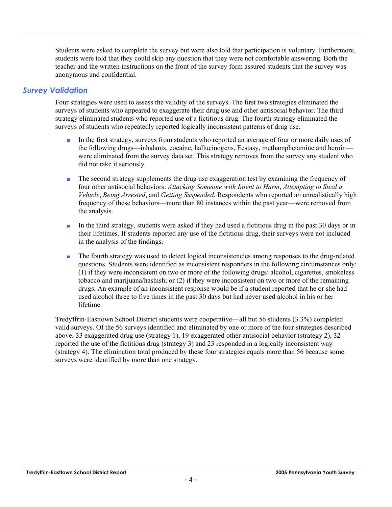Students were asked to complete the survey but were also told that participation is voluntary. Furthermore, students were told that they could skip any question that they were not comfortable answering. Both the teacher and the written instructions on the front of the survey form assured students that the survey was anonymous and confidential.

#### *Survey Validation*

Four strategies were used to assess the validity of the surveys. The first two strategies eliminated the surveys of students who appeared to exaggerate their drug use and other antisocial behavior. The third strategy eliminated students who reported use of a fictitious drug. The fourth strategy eliminated the surveys of students who repeatedly reported logically inconsistent patterns of drug use.

- In the first strategy, surveys from students who reported an average of four or more daily uses of the following drugs—inhalants, cocaine, hallucinogens, Ecstasy, methamphetamine and heroin were eliminated from the survey data set. This strategy removes from the survey any student who did not take it seriously.
- The second strategy supplements the drug use exaggeration test by examining the frequency of four other antisocial behaviors: *Attacking Someone with Intent to Harm*, *Attempting to Steal a Vehicle*, *Being Arrested*, and *Getting Suspended*. Respondents who reported an unrealistically high frequency of these behaviors—more than 80 instances within the past year—were removed from the analysis.
- In the third strategy, students were asked if they had used a fictitious drug in the past 30 days or in their lifetimes. If students reported any use of the fictitious drug, their surveys were not included in the analysis of the findings.
- The fourth strategy was used to detect logical inconsistencies among responses to the drug-related questions. Students were identified as inconsistent responders in the following circumstances only: (1) if they were inconsistent on two or more of the following drugs: alcohol, cigarettes, smokeless tobacco and marijuana/hashish; or (2) if they were inconsistent on two or more of the remaining drugs. An example of an inconsistent response would be if a student reported that he or she had used alcohol three to five times in the past 30 days but had never used alcohol in his or her lifetime.

Tredyffrin-Easttown School District students were cooperative—all but 56 students (3.3%) completed valid surveys. Of the 56 surveys identified and eliminated by one or more of the four strategies described above, 33 exaggerated drug use (strategy 1), 19 exaggerated other antisocial behavior (strategy 2), 32 reported the use of the fictitious drug (strategy 3) and 23 responded in a logically inconsistent way (strategy 4). The elimination total produced by these four strategies equals more than 56 because some surveys were identified by more than one strategy.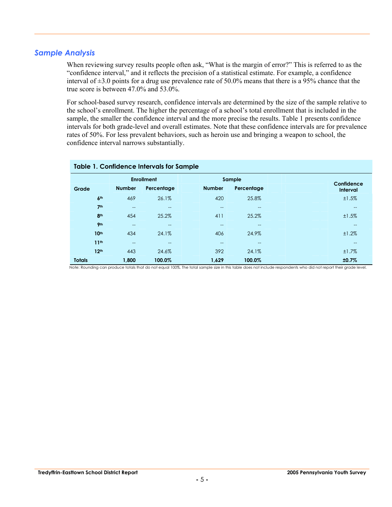#### *Sample Analysis*

When reviewing survey results people often ask, "What is the margin of error?" This is referred to as the "confidence interval," and it reflects the precision of a statistical estimate. For example, a confidence interval of  $\pm 3.0$  points for a drug use prevalence rate of 50.0% means that there is a 95% chance that the true score is between 47.0% and 53.0%.

For school-based survey research, confidence intervals are determined by the size of the sample relative to the school's enrollment. The higher the percentage of a school's total enrollment that is included in the sample, the smaller the confidence interval and the more precise the results. Table 1 presents confidence intervals for both grade-level and overall estimates. Note that these confidence intervals are for prevalence rates of 50%. For less prevalent behaviors, such as heroin use and bringing a weapon to school, the confidence interval narrows substantially.

|                  | <b>Table 1. Confidence Intervals for Sample</b> |                   |                   |            |  |                          |  |  |  |  |  |  |  |
|------------------|-------------------------------------------------|-------------------|-------------------|------------|--|--------------------------|--|--|--|--|--|--|--|
|                  |                                                 | <b>Enrollment</b> |                   | Sample     |  | Confidence               |  |  |  |  |  |  |  |
| Grade            | <b>Number</b>                                   | Percentage        | <b>Number</b>     | Percentage |  | Interval                 |  |  |  |  |  |  |  |
| 6 <sup>th</sup>  | 469                                             | 26.1%             | 420               | 25.8%      |  | ±1.5%                    |  |  |  |  |  |  |  |
| 7 <sup>th</sup>  | $- -$                                           | $\qquad \qquad -$ | $\qquad \qquad -$ | $- -$      |  | $--$                     |  |  |  |  |  |  |  |
| 8 <sup>th</sup>  | 454                                             | 25.2%             | 411               | 25.2%      |  | ±1.5%                    |  |  |  |  |  |  |  |
| 9 <sub>th</sub>  | $- -$                                           | $\qquad \qquad -$ | $-$               | $- -$      |  | $\hspace{0.05cm} \ldots$ |  |  |  |  |  |  |  |
| 10 <sup>th</sup> | 434                                             | 24.1%             | 406               | 24.9%      |  | ±1.2%                    |  |  |  |  |  |  |  |
| 11 <sup>th</sup> | $- -$                                           | $-$               | $- -$             | $-$        |  | $--$                     |  |  |  |  |  |  |  |
| 12 <sup>th</sup> | 443                                             | 24.6%             | 392               | 24.1%      |  | ±1.7%                    |  |  |  |  |  |  |  |
| <b>Totals</b>    | 1,800                                           | 100.0%            | 1,629             | 100.0%     |  | ±0.7%                    |  |  |  |  |  |  |  |

Note: Rounding can produce totals that do not equal 100%. The total sample size in this table does not include respondents who did not report their grade level.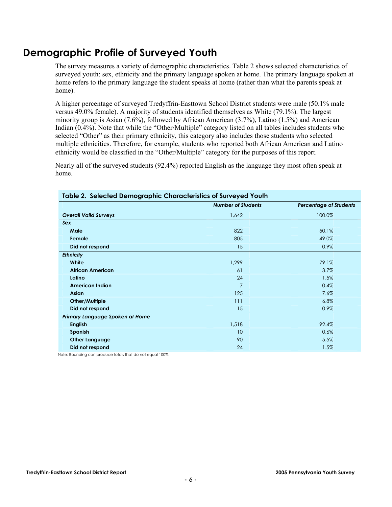## **Demographic Profile of Surveyed Youth**

The survey measures a variety of demographic characteristics. Table 2 shows selected characteristics of surveyed youth: sex, ethnicity and the primary language spoken at home. The primary language spoken at home refers to the primary language the student speaks at home (rather than what the parents speak at home).

A higher percentage of surveyed Tredyffrin-Easttown School District students were male (50.1% male versus 49.0% female). A majority of students identified themselves as White (79.1%). The largest minority group is Asian (7.6%), followed by African American (3.7%), Latino (1.5%) and American Indian (0.4%). Note that while the "Other/Multiple" category listed on all tables includes students who selected "Other" as their primary ethnicity, this category also includes those students who selected multiple ethnicities. Therefore, for example, students who reported both African American and Latino ethnicity would be classified in the "Other/Multiple" category for the purposes of this report.

Nearly all of the surveyed students (92.4%) reported English as the language they most often speak at home.

| rapic 2. polocica pomograpnic onaracionsics or sorreyca room |                           |                               |
|--------------------------------------------------------------|---------------------------|-------------------------------|
|                                                              | <b>Number of Students</b> | <b>Percentage of Students</b> |
| <b>Overall Valid Surveys</b>                                 | 1,642                     | 100.0%                        |
| Sex                                                          |                           |                               |
| Male                                                         | 822                       | 50.1%                         |
| Female                                                       | 805                       | 49.0%                         |
| Did not respond                                              | 15                        | 0.9%                          |
| <b>Ethnicity</b>                                             |                           |                               |
| White                                                        | 1,299                     | 79.1%                         |
| <b>African American</b>                                      | 61                        | 3.7%                          |
| Latino                                                       | 24                        | $1.5\%$                       |
| <b>American Indian</b>                                       | 7                         | 0.4%                          |
| <b>Asian</b>                                                 | 125                       | 7.6%                          |
| Other/Multiple                                               | 111                       | 6.8%                          |
| Did not respond                                              | 15                        | 0.9%                          |
| Primary Language Spoken at Home                              |                           |                               |
| <b>English</b>                                               | 1,518                     | 92.4%                         |
| Spanish                                                      | 10                        | 0.6%                          |
| <b>Other Language</b>                                        | 90                        | 5.5%                          |
| Did not respond                                              | 24                        | 1.5%                          |

#### **Table 2. Selected Demographic Characteristics of Surveyed Youth**

Note: Rounding can produce totals that do not equal 100%.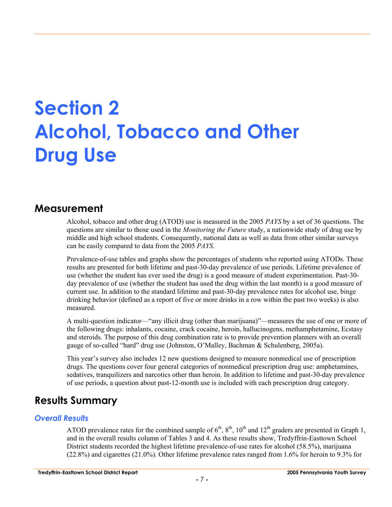## **Section 2 Alcohol, Tobacco and Other Drug Use**

### **Measurement**

Alcohol, tobacco and other drug (ATOD) use is measured in the 2005 *PAYS* by a set of 36 questions. The questions are similar to those used in the *Monitoring the Future* study, a nationwide study of drug use by middle and high school students. Consequently, national data as well as data from other similar surveys can be easily compared to data from the 2005 *PAYS*.

Prevalence-of-use tables and graphs show the percentages of students who reported using ATODs. These results are presented for both lifetime and past-30-day prevalence of use periods. Lifetime prevalence of use (whether the student has ever used the drug) is a good measure of student experimentation. Past-30 day prevalence of use (whether the student has used the drug within the last month) is a good measure of current use. In addition to the standard lifetime and past-30-day prevalence rates for alcohol use, binge drinking behavior (defined as a report of five or more drinks in a row within the past two weeks) is also measured.

A multi-question indicator—"any illicit drug (other than marijuana)"—measures the use of one or more of the following drugs: inhalants, cocaine, crack cocaine, heroin, hallucinogens, methamphetamine, Ecstasy and steroids. The purpose of this drug combination rate is to provide prevention planners with an overall gauge of so-called "hard" drug use (Johnston, O'Malley, Bachman & Schulenberg, 2005a).

This year's survey also includes 12 new questions designed to measure nonmedical use of prescription drugs. The questions cover four general categories of nonmedical prescription drug use: amphetamines, sedatives, tranquilizers and narcotics other than heroin. In addition to lifetime and past-30-day prevalence of use periods, a question about past-12-month use is included with each prescription drug category.

## **Results Summary**

#### *Overall Results*

ATOD prevalence rates for the combined sample of  $6<sup>th</sup>$ ,  $8<sup>th</sup>$ ,  $10<sup>th</sup>$  and  $12<sup>th</sup>$  graders are presented in Graph 1, and in the overall results column of Tables 3 and 4. As these results show, Tredyffrin-Easttown School District students recorded the highest lifetime prevalence-of-use rates for alcohol (58.5%), marijuana (22.8%) and cigarettes (21.0%). Other lifetime prevalence rates ranged from 1.6% for heroin to 9.3% for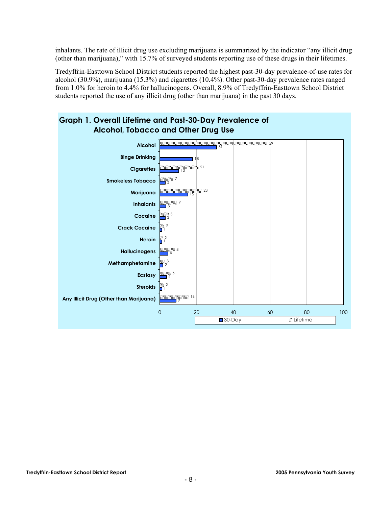inhalants. The rate of illicit drug use excluding marijuana is summarized by the indicator "any illicit drug (other than marijuana)," with 15.7% of surveyed students reporting use of these drugs in their lifetimes.

Tredyffrin-Easttown School District students reported the highest past-30-day prevalence-of-use rates for alcohol (30.9%), marijuana (15.3%) and cigarettes (10.4%). Other past-30-day prevalence rates ranged from 1.0% for heroin to 4.4% for hallucinogens. Overall, 8.9% of Tredyffrin-Easttown School District students reported the use of any illicit drug (other than marijuana) in the past 30 days.

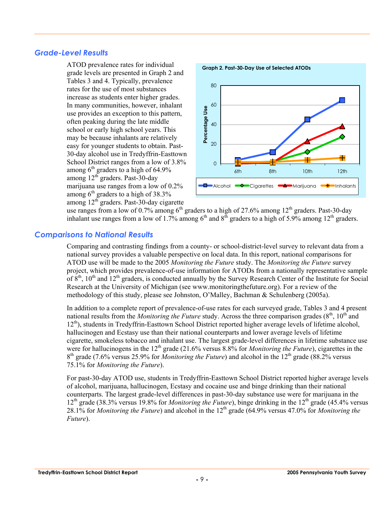#### *Grade-Level Results*

ATOD prevalence rates for individual grade levels are presented in Graph 2 and Tables 3 and 4. Typically, prevalence rates for the use of most substances increase as students enter higher grades. In many communities, however, inhalant use provides an exception to this pattern, often peaking during the late middle school or early high school years. This may be because inhalants are relatively easy for younger students to obtain. Past-30-day alcohol use in Tredyffrin-Easttown School District ranges from a low of 3.8% among  $6<sup>th</sup>$  graders to a high of 64.9% among 12th graders. Past-30-day marijuana use ranges from a low of 0.2% among  $6<sup>th</sup>$  graders to a high of 38.3% among 12<sup>th</sup> graders. Past-30-day cigarette



use ranges from a low of 0.7% among  $6<sup>th</sup>$  graders to a high of 27.6% among 12<sup>th</sup> graders. Past-30-day inhalant use ranges from a low of 1.7% among  $6<sup>th</sup>$  and  $8<sup>th</sup>$  graders to a high of 5.9% among 12<sup>th</sup> graders.

#### *Comparisons to National Results*

Comparing and contrasting findings from a county- or school-district-level survey to relevant data from a national survey provides a valuable perspective on local data. In this report, national comparisons for ATOD use will be made to the 2005 *Monitoring the Future* study. The *Monitoring the Future* survey project, which provides prevalence-of-use information for ATODs from a nationally representative sample of  $8<sup>th</sup>$ ,  $10<sup>th</sup>$  and  $12<sup>th</sup>$  graders, is conducted annually by the Survey Research Center of the Institute for Social Research at the University of Michigan (see www.monitoringthefuture.org). For a review of the methodology of this study, please see Johnston, O'Malley, Bachman & Schulenberg (2005a).

In addition to a complete report of prevalence-of-use rates for each surveyed grade, Tables 3 and 4 present national results from the *Monitoring the Future* study. Across the three comparison grades  $(8<sup>th</sup>, 10<sup>th</sup>$  and 12<sup>th</sup>), students in Tredyffrin-Easttown School District reported higher average levels of lifetime alcohol, hallucinogen and Ecstasy use than their national counterparts and lower average levels of lifetime cigarette, smokeless tobacco and inhalant use. The largest grade-level differences in lifetime substance use were for hallucinogens in the 12<sup>th</sup> grade (21.6% versus 8.8% for *Monitoring the Future*), cigarettes in the 8<sup>th</sup> grade (7.6% versus 25.9% for *Monitoring the Future*) and alcohol in the 12<sup>th</sup> grade (88.2% versus 75.1% for *Monitoring the Future*).

For past-30-day ATOD use, students in Tredyffrin-Easttown School District reported higher average levels of alcohol, marijuana, hallucinogen, Ecstasy and cocaine use and binge drinking than their national counterparts. The largest grade-level differences in past-30-day substance use were for marijuana in the 12th grade (38.3% versus 19.8% for *Monitoring the Future*), binge drinking in the 12th grade (45.4% versus 28.1% for *Monitoring the Future*) and alcohol in the 12<sup>th</sup> grade (64.9% versus 47.0% for *Monitoring the Future*).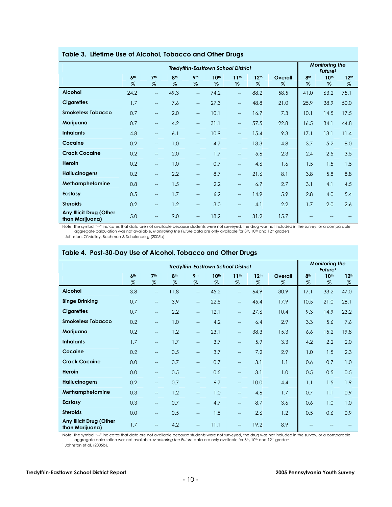|                                            |                         |                          |                         |                          | <b>Tredyffrin-Eastlown School District</b> |                          |                          |              | <b>Monitoring the</b><br>Future <sup>1</sup> |                          |                          |
|--------------------------------------------|-------------------------|--------------------------|-------------------------|--------------------------|--------------------------------------------|--------------------------|--------------------------|--------------|----------------------------------------------|--------------------------|--------------------------|
|                                            | 6 <sup>th</sup><br>$\%$ | 7 <sup>th</sup><br>$\%$  | 8 <sup>th</sup><br>$\%$ | 9 <sub>th</sub><br>$\%$  | 10 <sup>th</sup><br>$\%$                   | 11 <sup>th</sup><br>$\%$ | 12 <sup>th</sup><br>$\%$ | Overall<br>% | 8 <sup>th</sup><br>$\%$                      | 10 <sup>th</sup><br>$\%$ | 12 <sup>th</sup><br>$\%$ |
| <b>Alcohol</b>                             | 24.2                    | $\overline{\phantom{a}}$ | 49.3                    | $\qquad \qquad -$        | 74.2                                       | $\overline{\phantom{0}}$ | 88.2                     | 58.5         | 41.0                                         | 63.2                     | 75.1                     |
| <b>Cigarettes</b>                          | 1.7                     | $\overline{\phantom{a}}$ | 7.6                     | $-$                      | 27.3                                       | $\overline{\phantom{a}}$ | 48.8                     | 21.0         | 25.9                                         | 38.9                     | 50.0                     |
| <b>Smokeless Tobacco</b>                   | 0.7                     | $-$                      | 2.0                     | $\qquad \qquad -$        | 10.1                                       | $\overline{\phantom{a}}$ | 16.7                     | 7.3          | 10.1                                         | 14.5                     | 17.5                     |
| Marijuana                                  | 0.7                     | $\overline{\phantom{a}}$ | 4.2                     | $\qquad \qquad -$        | 31.1                                       | $\overline{\phantom{a}}$ | 57.5                     | 22.8         | 16.5                                         | 34.1                     | 44.8                     |
| <b>Inhalants</b>                           | 4.8                     | $-$                      | 6.1                     | $-$                      | 10.9                                       | $\overline{\phantom{a}}$ | 15.4                     | 9.3          | 17.1                                         | 13.1                     | 11.4                     |
| Cocaine                                    | 0.2                     | $\overline{\phantom{a}}$ | 1.0                     | $\qquad \qquad -$        | 4.7                                        | $\overline{\phantom{a}}$ | 13.3                     | 4.8          | 3.7                                          | 5.2                      | 8.0                      |
| <b>Crack Cocaine</b>                       | 0.2                     | $\overline{\phantom{m}}$ | 2.0                     | $-$                      | 1.7                                        | $\overline{\phantom{a}}$ | 5.6                      | 2.3          | 2.4                                          | 2.5                      | 3.5                      |
| Heroin                                     | 0.2                     | $-$                      | 1.0                     | $-$                      | 0.7                                        | $\overline{\phantom{a}}$ | 4.6                      | 1.6          | 1.5                                          | 1.5                      | 1.5                      |
| <b>Hallucinogens</b>                       | 0.2                     | $\overline{\phantom{m}}$ | 2.2                     | $\qquad \qquad -$        | 8.7                                        | $\overline{\phantom{a}}$ | 21.6                     | 8.1          | 3.8                                          | 5.8                      | 8.8                      |
| Methamphetamine                            | 0.8                     | $-$                      | 1.5                     | $\qquad \qquad -$        | 2.2                                        | $\overline{\phantom{a}}$ | 6.7                      | 2.7          | 3.1                                          | 4.1                      | 4.5                      |
| <b>Ecstasy</b>                             | 0.5                     | $\overline{\phantom{m}}$ | 1.7                     | $-$                      | 6.2                                        | $\overline{\phantom{a}}$ | 14.9                     | 5.9          | 2.8                                          | 4.0                      | 5.4                      |
| <b>Steroids</b>                            | 0.2                     | $-$                      | 1.2                     | $-$                      | 3.0                                        | $-$                      | 4.1                      | 2.2          | 1.7                                          | 2.0                      | 2.6                      |
| Any Illicit Drug (Other<br>than Marijuana) | 5.0                     | $-$                      | 9.0                     | $\overline{\phantom{a}}$ | 18.2                                       | $\overline{\phantom{a}}$ | 31.2                     | 15.7         |                                              |                          |                          |

#### **Table 3. Lifetime Use of Alcohol, Tobacco and Other Drugs**

Note: The symbol "--" indicates that data are not available because students were not surveyed, the drug was not included in the survey, or a comparable<br>aggregate calculation was not available. Monitoring the Future data a

|                                            |                      |                          |                      |                          | <b>Tredyffrin-Eastlown School District</b> |                          |                          |              |                         | <b>Monitoring the</b><br>Future <sup>1</sup> |                          |
|--------------------------------------------|----------------------|--------------------------|----------------------|--------------------------|--------------------------------------------|--------------------------|--------------------------|--------------|-------------------------|----------------------------------------------|--------------------------|
|                                            | 6 <sup>th</sup><br>% | 7 <sup>th</sup><br>$\%$  | 8 <sup>th</sup><br>% | 9 <sub>th</sub><br>$\%$  | 10 <sup>th</sup><br>$\%$                   | 11 <sup>th</sup><br>$\%$ | 12 <sup>th</sup><br>$\%$ | Overall<br>Z | 8 <sup>th</sup><br>$\%$ | 10 <sup>th</sup><br>$\%$                     | 12 <sup>th</sup><br>$\%$ |
| <b>Alcohol</b>                             | 3.8                  | $\overline{\phantom{a}}$ | 11.8                 | $\overline{\phantom{a}}$ | 45.2                                       | $\qquad \qquad -$        | 64.9                     | 30.9         | 17.1                    | 33.2                                         | 47.0                     |
| <b>Binge Drinking</b>                      | 0.7                  | $\overline{\phantom{a}}$ | 3.9                  | $\overline{\phantom{m}}$ | 22.5                                       | $\qquad \qquad -$        | 45.4                     | 17.9         | 10.5                    | 21.0                                         | 28.1                     |
| <b>Cigarettes</b>                          | 0.7                  | --                       | 2.2                  | $\overline{\phantom{a}}$ | 12.1                                       | $\qquad \qquad -$        | 27.6                     | 10.4         | 9.3                     | 14.9                                         | 23.2                     |
| <b>Smokeless Tobacco</b>                   | 0.2                  | $- -$                    | 1.0                  | $\qquad \qquad -$        | 4.2                                        | $\overline{\phantom{0}}$ | 6.4                      | 2.9          | 3.3                     | 5.6                                          | 7.6                      |
| Marijuana                                  | 0.2                  | $\overline{\phantom{a}}$ | 1.2                  | $-$                      | 23.1                                       | $\overline{\phantom{a}}$ | 38.3                     | 15.3         | 6.6                     | 15.2                                         | 19.8                     |
| <b>Inhalants</b>                           | 1.7                  | --                       | 1.7                  | $\qquad \qquad -$        | 3.7                                        | $-$                      | 5.9                      | 3.3          | 4.2                     | 2.2                                          | 2.0                      |
| Cocaine                                    | 0.2                  | $- -$                    | 0.5                  | $\qquad \qquad -$        | 3.7                                        | $\overline{\phantom{a}}$ | 7.2                      | 2.9          | 1.0                     | 1.5                                          | 2.3                      |
| <b>Crack Cocaine</b>                       | 0.0                  | $\overline{\phantom{a}}$ | 0.7                  | --                       | 0.7                                        | $\qquad \qquad -$        | 3.1                      | 1.1          | 0.6                     | 0.7                                          | 1.0                      |
| <b>Heroin</b>                              | 0.0                  | $\overline{\phantom{m}}$ | 0.5                  | $-$                      | 0.5                                        | $\overline{\phantom{a}}$ | 3.1                      | 1.0          | 0.5                     | 0.5                                          | 0.5                      |
| <b>Hallucinogens</b>                       | 0.2                  | $\overline{\phantom{a}}$ | 0.7                  | $\overline{\phantom{m}}$ | 6.7                                        | $\qquad \qquad -$        | 10.0                     | 4.4          | 1.1                     | 1.5                                          | 1.9                      |
| Methamphetamine                            | 0.3                  | $\overline{\phantom{a}}$ | 1.2                  | $\overline{a}$           | 1.0                                        | $-$                      | 4.6                      | 1.7          | 0.7                     | 1.1                                          | 0.9                      |
| <b>Ecstasy</b>                             | 0.3                  | $\overline{\phantom{a}}$ | 0.7                  | $\qquad \qquad -$        | 4.7                                        | $\overline{\phantom{a}}$ | 8.7                      | 3.6          | 0.6                     | 1.0                                          | 1.0                      |
| <b>Steroids</b>                            | 0.0                  | $\overline{\phantom{a}}$ | 0.5                  | $\overline{\phantom{0}}$ | 1.5                                        | $\overline{\phantom{a}}$ | 2.6                      | 1.2          | 0.5                     | 0.6                                          | 0.9                      |
| Any Illicit Drug (Other<br>than Marijuana) | 1.7                  | $\qquad \qquad -$        | 4.2                  | --                       | 11.1                                       | $\overline{\phantom{a}}$ | 19.2                     | 8.9          |                         |                                              |                          |

#### **Table 4. Past-30-Day Use of Alcohol, Tobacco and Other Drugs**

Note: The symbol "--" indicates that data are not available because students were not surveyed, the drug was not included in the survey, or a comparable<br>aggregate calculation was not available. Monitoring the Future data a

1 Johnston et al. (2005b).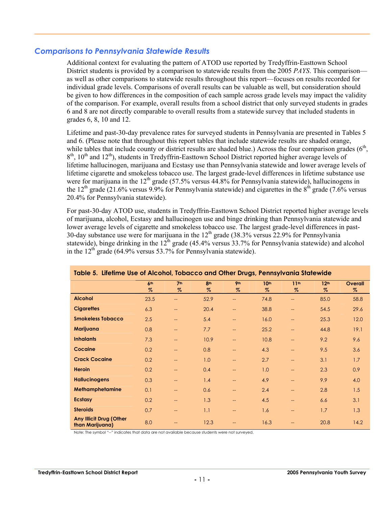#### *Comparisons to Pennsylvania Statewide Results*

Additional context for evaluating the pattern of ATOD use reported by Tredyffrin-Easttown School District students is provided by a comparison to statewide results from the 2005 *PAYS*. This comparison as well as other comparisons to statewide results throughout this report—focuses on results recorded for individual grade levels. Comparisons of overall results can be valuable as well, but consideration should be given to how differences in the composition of each sample across grade levels may impact the validity of the comparison. For example, overall results from a school district that only surveyed students in grades 6 and 8 are not directly comparable to overall results from a statewide survey that included students in grades 6, 8, 10 and 12.

Lifetime and past-30-day prevalence rates for surveyed students in Pennsylvania are presented in Tables 5 and 6. (Please note that throughout this report tables that include statewide results are shaded orange, while tables that include county or district results are shaded blue.) Across the four comparison grades  $(6<sup>th</sup>$ .  $8<sup>th</sup>$ , 10<sup>th</sup> and 12<sup>th</sup>), students in Tredyffrin-Easttown School District reported higher average levels of lifetime hallucinogen, marijuana and Ecstasy use than Pennsylvania statewide and lower average levels of lifetime cigarette and smokeless tobacco use. The largest grade-level differences in lifetime substance use were for marijuana in the 12<sup>th</sup> grade (57.5% versus  $44.8\%$  for Pennsylvania statewide), hallucinogens in the 12<sup>th</sup> grade (21.6% versus 9.9% for Pennsylvania statewide) and cigarettes in the  $8^{th}$  grade (7.6% versus 20.4% for Pennsylvania statewide).

For past-30-day ATOD use, students in Tredyffrin-Easttown School District reported higher average levels of marijuana, alcohol, Ecstasy and hallucinogen use and binge drinking than Pennsylvania statewide and lower average levels of cigarette and smokeless tobacco use. The largest grade-level differences in past-30-day substance use were for marijuana in the  $12<sup>th</sup>$  grade (38.3% versus 22.9% for Pennsylvania statewide), binge drinking in the  $12^{th}$  grade (45.4% versus 33.7% for Pennsylvania statewide) and alcohol in the  $12<sup>th</sup>$  grade (64.9% versus 53.7% for Pennsylvania statewide).

|                                                   | Table 5. Lifetime Use of Alcohol, Tobacco and Other Drugs, Pennsylvania Statewide |                          |          |                         |                          |                          |                          |              |  |  |  |  |  |
|---------------------------------------------------|-----------------------------------------------------------------------------------|--------------------------|----------|-------------------------|--------------------------|--------------------------|--------------------------|--------------|--|--|--|--|--|
|                                                   | 6 <sup>th</sup><br>$\%$                                                           | 7 <sup>th</sup><br>$\%$  | 8th<br>% | 9 <sub>th</sub><br>$\%$ | 10 <sup>th</sup><br>$\%$ | 11 <sup>th</sup><br>$\%$ | 12 <sup>th</sup><br>$\%$ | Overall<br>% |  |  |  |  |  |
| <b>Alcohol</b>                                    | 23.5                                                                              | $\overline{\phantom{a}}$ | 52.9     | --                      | 74.8                     | --                       | 85.0                     | 58.8         |  |  |  |  |  |
| <b>Cigarettes</b>                                 | 6.3                                                                               | $\overline{\phantom{a}}$ | 20.4     | $\qquad \qquad -$       | 38.8                     | $\overline{\phantom{a}}$ | 54.5                     | 29.6         |  |  |  |  |  |
| <b>Smokeless Tobacco</b>                          | 2.5                                                                               | $\overline{\phantom{a}}$ | 5.4      | $\qquad \qquad -$       | 16.0                     | --                       | 25.3                     | 12.0         |  |  |  |  |  |
| Marijuana                                         | 0.8                                                                               | $\overline{\phantom{a}}$ | 7.7      | $\qquad \qquad -$       | 25.2                     | --                       | 44.8                     | 19.1         |  |  |  |  |  |
| <b>Inhalants</b>                                  | 7.3                                                                               | $\overline{\phantom{a}}$ | 10.9     | --                      | 10.8                     | --                       | 9.2                      | 9.6          |  |  |  |  |  |
| Cocaine                                           | 0.2                                                                               | $\overline{\phantom{a}}$ | 0.8      | --                      | 4.3                      | <u></u>                  | 9.5                      | 3.6          |  |  |  |  |  |
| <b>Crack Cocaine</b>                              | 0.2                                                                               | $\overline{\phantom{a}}$ | 1.0      | $\qquad \qquad -$       | 2.7                      | $-$                      | 3.1                      | 1.7          |  |  |  |  |  |
| <b>Heroin</b>                                     | 0.2                                                                               | $-$                      | 0.4      |                         | 1.0                      | ÷÷                       | 2.3                      | 0.9          |  |  |  |  |  |
| <b>Hallucinogens</b>                              | 0.3                                                                               | $\overline{\phantom{a}}$ | 1.4      | $\qquad \qquad -$       | 4.9                      | $\overline{a}$           | 9.9                      | 4.0          |  |  |  |  |  |
| Methamphetamine                                   | 0.1                                                                               | $\overline{\phantom{a}}$ | 0.6      | $\qquad \qquad -$       | 2.4                      | $\overline{\phantom{a}}$ | 2.8                      | 1.5          |  |  |  |  |  |
| <b>Ecstasy</b>                                    | 0.2                                                                               | $\overline{\phantom{a}}$ | 1.3      | $-$                     | 4.5                      | --                       | 6.6                      | 3.1          |  |  |  |  |  |
| <b>Steroids</b>                                   | 0.7                                                                               | $\overline{\phantom{a}}$ | 1.1      | $\qquad \qquad -$       | 1.6                      | --                       | 1.7                      | 1.3          |  |  |  |  |  |
| <b>Any Illicit Drug (Other</b><br>than Marijuana) | 8.0                                                                               | $\overline{\phantom{a}}$ | 12.3     |                         | 16.3                     | --                       | 20.8                     | 14.2         |  |  |  |  |  |

Note: The symbol "--" indicates that data are not available because students were not surveyed.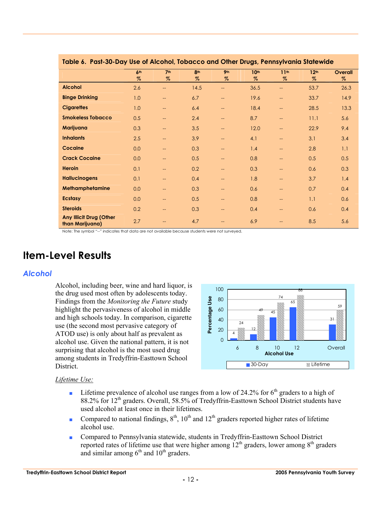| <u>tuble of Tusi-Su-Duy use of Alcotion, tobucco und Omer Drugs, i emisyrvania siulewide</u> |                 |                          |      |                   |                  |                          |                  |         |
|----------------------------------------------------------------------------------------------|-----------------|--------------------------|------|-------------------|------------------|--------------------------|------------------|---------|
|                                                                                              | 6 <sup>th</sup> | 7 <sup>th</sup>          | 8th  | 9 <sub>th</sub>   | 10 <sup>th</sup> | 11 <sup>th</sup>         | 12 <sup>th</sup> | Overall |
|                                                                                              | $\%$            | $\%$                     | $\%$ | $\%$              | $\%$             | $\%$                     | $\%$             | $\%$    |
| <b>Alcohol</b>                                                                               | 2.6             | ——                       | 14.5 | --                | 36.5             | $- -$                    | 53.7             | 26.3    |
| <b>Binge Drinking</b>                                                                        | 1.0             | $-$                      | 6.7  | $\qquad \qquad -$ | 19.6             | $--$                     | 33.7             | 14.9    |
| <b>Cigarettes</b>                                                                            | 1.0             | $\overline{\phantom{a}}$ | 6.4  | $\qquad \qquad -$ | 18.4             | $-$                      | 28.5             | 13.3    |
| <b>Smokeless Tobacco</b>                                                                     | 0.5             | $-$                      | 2.4  | $\qquad \qquad -$ | 8.7              | $\overline{\phantom{m}}$ | 11.1             | 5.6     |
| Marijuana                                                                                    | 0.3             | $-$                      | 3.5  | --                | 12.0             | $--$                     | 22.9             | 9.4     |
| <b>Inhalants</b>                                                                             | 2.5             | $\overline{\phantom{a}}$ | 3.9  | $\qquad \qquad -$ | 4.1              | $-$                      | 3.1              | 3.4     |
| Cocaine                                                                                      | 0.0             | $-$                      | 0.3  | $\qquad \qquad -$ | 1.4              | $\overline{a}$           | 2.8              | 1.1     |
| <b>Crack Cocaine</b>                                                                         | 0.0             | $\overline{\phantom{a}}$ | 0.5  | $\qquad \qquad -$ | 0.8              | $\overline{\phantom{a}}$ | 0.5              | 0.5     |
| <b>Heroin</b>                                                                                | 0.1             | $-$                      | 0.2  | $\qquad \qquad -$ | 0.3              | $--$                     | 0.6              | 0.3     |
| <b>Hallucinogens</b>                                                                         | 0.1             | $-$                      | 0.4  | $\qquad \qquad -$ | 1.8              | $\overline{\phantom{m}}$ | 3.7              | 1.4     |
| Methamphetamine                                                                              | 0.0             | $-$                      | 0.3  | --                | 0.6              | $\qquad \qquad -$        | 0.7              | 0.4     |
| <b>Ecstasy</b>                                                                               | 0.0             | $-$                      | 0.5  | $\qquad \qquad -$ | 0.8              | $\qquad \qquad -$        | 1.1              | 0.6     |
| <b>Steroids</b>                                                                              | 0.2             | --                       | 0.3  | $\qquad \qquad -$ | 0.4              | $\overline{a}$           | 0.6              | 0.4     |
| <b>Any Illicit Drug (Other</b><br>than Marijuana)                                            | 2.7             | --                       | 4.7  | $-$               | 6.9              | $\qquad \qquad -$        | 8.5              | 5.6     |

#### **Table 6. Past-30-Day Use of Alcohol, Tobacco and Other Drugs, Pennsylvania Statewide**

Note: The symbol "--" indicates that data are not available because students were not surveyed.

## **Item-Level Results**

#### *Alcohol*

Alcohol, including beer, wine and hard liquor, is the drug used most often by adolescents today. Findings from the *Monitoring the Future* study highlight the pervasiveness of alcohol in middle and high schools today. In comparison, cigarette use (the second most pervasive category of ATOD use) is only about half as prevalent as alcohol use. Given the national pattern, it is not surprising that alcohol is the most used drug among students in Tredyffrin-Easttown School District.



#### *Lifetime Use:*

- **■** Lifetime prevalence of alcohol use ranges from a low of 24.2% for  $6<sup>th</sup>$  graders to a high of 88.2% for 12<sup>th</sup> graders. Overall, 58.5% of Tredyffrin-Easttown School District students have used alcohol at least once in their lifetimes.
- Compared to national findings,  $8<sup>th</sup>$ ,  $10<sup>th</sup>$  and  $12<sup>th</sup>$  graders reported higher rates of lifetime alcohol use.
- Compared to Pennsylvania statewide, students in Tredyffrin-Easttown School District reported rates of lifetime use that were higher among  $12<sup>th</sup>$  graders, lower among  $8<sup>th</sup>$  graders and similar among  $6<sup>th</sup>$  and  $10<sup>th</sup>$  graders.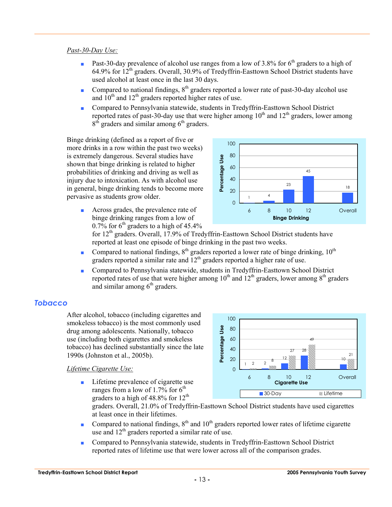#### *Past-30-Day Use:*

- **•** Past-30-day prevalence of alcohol use ranges from a low of 3.8% for  $6<sup>th</sup>$  graders to a high of 64.9% for  $12^{th}$  graders. Overall, 30.9% of Tredyffrin-Easttown School District students have used alcohol at least once in the last 30 days.
- Compared to national findings,  $8<sup>th</sup>$  graders reported a lower rate of past-30-day alcohol use and  $10^{th}$  and  $12^{th}$  graders reported higher rates of use.
- Compared to Pennsylvania statewide, students in Tredyffrin-Easttown School District reported rates of past-30-day use that were higher among  $10<sup>th</sup>$  and  $12<sup>th</sup>$  graders, lower among  $8<sup>th</sup>$  graders and similar among  $6<sup>th</sup>$  graders.

Binge drinking (defined as a report of five or more drinks in a row within the past two weeks) is extremely dangerous. Several studies have shown that binge drinking is related to higher probabilities of drinking and driving as well as injury due to intoxication. As with alcohol use in general, binge drinking tends to become more pervasive as students grow older.



■ Across grades, the prevalence rate of binge drinking ranges from a low of 0.7% for  $6<sup>th</sup>$  graders to a high of 45.4%

for  $12<sup>th</sup>$  graders. Overall, 17.9% of Tredyffrin-Easttown School District students have reported at least one episode of binge drinking in the past two weeks.

- Compared to national findings,  $8<sup>th</sup>$  graders reported a lower rate of binge drinking,  $10<sup>th</sup>$ graders reported a similar rate and 12<sup>th</sup> graders reported a higher rate of use.
- Compared to Pennsylvania statewide, students in Tredyffrin-Easttown School District reported rates of use that were higher among  $10^{th}$  and  $12^{th}$  graders, lower among  $8^{th}$  graders and similar among  $6<sup>th</sup>$  graders.

#### *Tobacco*

After alcohol, tobacco (including cigarettes and smokeless tobacco) is the most commonly used drug among adolescents. Nationally, tobacco use (including both cigarettes and smokeless tobacco) has declined substantially since the late 1990s (Johnston et al., 2005b).

#### *Lifetime Cigarette Use:*

■ Lifetime prevalence of cigarette use ranges from a low of 1.7% for  $6<sup>th</sup>$ graders to a high of 48.8% for  $12^{th}$ 



graders. Overall, 21.0% of Tredyffrin-Easttown School District students have used cigarettes at least once in their lifetimes.

- Compared to national findings,  $8<sup>th</sup>$  and  $10<sup>th</sup>$  graders reported lower rates of lifetime cigarette use and  $12<sup>th</sup>$  graders reported a similar rate of use.
- Compared to Pennsylvania statewide, students in Tredyffrin-Easttown School District reported rates of lifetime use that were lower across all of the comparison grades.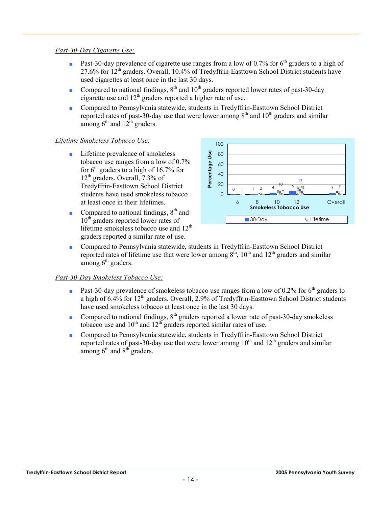#### *Past-30-Day Cigarette Use:*

- **•** Past-30-day prevalence of cigarette use ranges from a low of 0.7% for  $6<sup>th</sup>$  graders to a high of  $27.6\%$  for  $12^{th}$  graders. Overall, 10.4% of Tredyffrin-Easttown School District students have used cigarettes at least once in the last 30 days.
- Compared to national findings,  $8<sup>th</sup>$  and  $10<sup>th</sup>$  graders reported lower rates of past-30-day cigarette use and  $12<sup>th</sup>$  graders reported a higher rate of use.
- Compared to Pennsylvania statewide, students in Tredyffrin-Easttown School District reported rates of past-30-day use that were lower among  $8<sup>th</sup>$  and  $10<sup>th</sup>$  graders and similar among  $6<sup>th</sup>$  and  $12<sup>th</sup>$  graders.

#### *Lifetime Smokeless Tobacco Use:*

- Lifetime prevalence of smokeless tobacco use ranges from a low of 0.7% for  $6<sup>th</sup>$  graders to a high of 16.7% for  $12<sup>th</sup>$  graders. Overall, 7.3% of Tredyffrin-Easttown School District students have used smokeless tobacco at least once in their lifetimes.
- Compared to national findings,  $8<sup>th</sup>$  and 10<sup>th</sup> graders reported lower rates of lifetime smokeless tobacco use and  $12<sup>th</sup>$ graders reported a similar rate of use.



■ Compared to Pennsylvania statewide, students in Tredyffrin-Easttown School District reported rates of lifetime use that were lower among  $8<sup>th</sup>$ ,  $10<sup>th</sup>$  and  $12<sup>th</sup>$  graders and similar among  $6<sup>th</sup>$  graders.

#### *Past-30-Day Smokeless Tobacco Use:*

- **•** Past-30-day prevalence of smokeless tobacco use ranges from a low of 0.2% for  $6<sup>th</sup>$  graders to a high of  $6.4\%$  for  $12<sup>th</sup>$  graders. Overall, 2.9% of Tredyffrin-Easttown School District students have used smokeless tobacco at least once in the last 30 days.
- Compared to national findings,  $8<sup>th</sup>$  graders reported a lower rate of past-30-day smokeless tobacco use and  $10^{th}$  and  $12^{th}$  graders reported similar rates of use.
- Compared to Pennsylvania statewide, students in Tredyffrin-Easttown School District reported rates of past-30-day use that were lower among  $10<sup>th</sup>$  and  $12<sup>th</sup>$  graders and similar among  $6<sup>th</sup>$  and  $8<sup>th</sup>$  graders.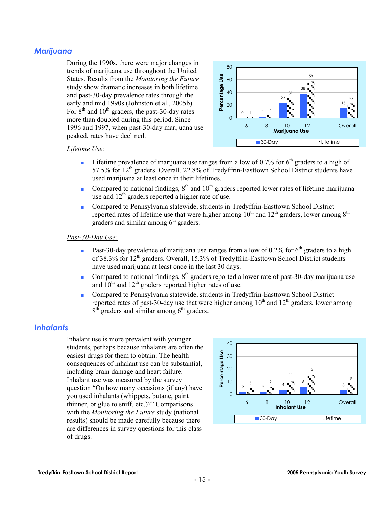#### *Marijuana*

During the 1990s, there were major changes in trends of marijuana use throughout the United States. Results from the *Monitoring the Future* study show dramatic increases in both lifetime and past-30-day prevalence rates through the early and mid 1990s (Johnston et al., 2005b). For  $8<sup>th</sup>$  and  $10<sup>th</sup>$  graders, the past-30-day rates more than doubled during this period. Since 1996 and 1997, when past-30-day marijuana use peaked, rates have declined.



#### *Lifetime Use:*

- **•** Lifetime prevalence of marijuana use ranges from a low of 0.7% for  $6<sup>th</sup>$  graders to a high of 57.5% for  $12<sup>th</sup>$  graders. Overall, 22.8% of Tredyffrin-Easttown School District students have used marijuana at least once in their lifetimes.
- Compared to national findings,  $8<sup>th</sup>$  and  $10<sup>th</sup>$  graders reported lower rates of lifetime marijuana use and  $12<sup>th</sup>$  graders reported a higher rate of use.
- Compared to Pennsylvania statewide, students in Tredyffrin-Easttown School District reported rates of lifetime use that were higher among  $10^{th}$  and  $12^{th}$  graders, lower among  $8^{th}$ graders and similar among  $6<sup>th</sup>$  graders.

#### *Past-30-Day Use:*

- **•** Past-30-day prevalence of marijuana use ranges from a low of 0.2% for  $6<sup>th</sup>$  graders to a high of 38.3% for 12<sup>th</sup> graders. Overall, 15.3% of Tredyffrin-Easttown School District students have used marijuana at least once in the last 30 days.
- Compared to national findings, 8<sup>th</sup> graders reported a lower rate of past-30-day marijuana use and  $10^{th}$  and  $12^{th}$  graders reported higher rates of use.
- Compared to Pennsylvania statewide, students in Tredyffrin-Easttown School District reported rates of past-30-day use that were higher among  $10<sup>th</sup>$  and  $12<sup>th</sup>$  graders, lower among  $8<sup>th</sup>$  graders and similar among  $6<sup>th</sup>$  graders.

#### *Inhalants*

Inhalant use is more prevalent with younger students, perhaps because inhalants are often the easiest drugs for them to obtain. The health consequences of inhalant use can be substantial, including brain damage and heart failure. Inhalant use was measured by the survey question "On how many occasions (if any) have you used inhalants (whippets, butane, paint thinner, or glue to sniff, etc.)?" Comparisons with the *Monitoring the Future* study (national results) should be made carefully because there are differences in survey questions for this class of drugs.

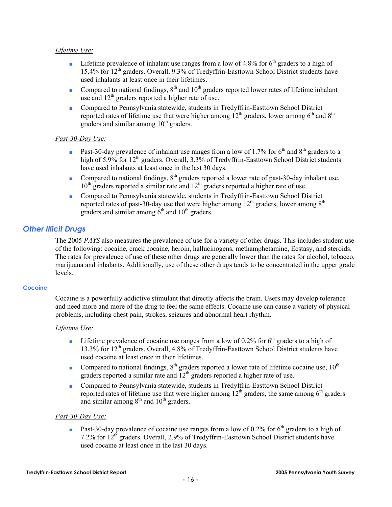#### *Lifetime Use:*

- **■** Lifetime prevalence of inhalant use ranges from a low of 4.8% for  $6<sup>th</sup>$  graders to a high of 15.4% for 12th graders. Overall, 9.3% of Tredyffrin-Easttown School District students have used inhalants at least once in their lifetimes.
- Compared to national findings,  $8<sup>th</sup>$  and  $10<sup>th</sup>$  graders reported lower rates of lifetime inhalant use and  $12<sup>th</sup>$  graders reported a higher rate of use.
- Compared to Pennsylvania statewide, students in Tredyffrin-Easttown School District reported rates of lifetime use that were higher among  $12<sup>th</sup>$  graders, lower among  $6<sup>th</sup>$  and  $8<sup>th</sup>$ graders and similar among  $10<sup>th</sup>$  graders.

#### *Past-30-Day Use:*

- **•** Past-30-day prevalence of inhalant use ranges from a low of 1.7% for 6<sup>th</sup> and 8<sup>th</sup> graders to a high of 5.9% for 12<sup>th</sup> graders. Overall, 3.3% of Tredyffrin-Easttown School District students have used inhalants at least once in the last 30 days.
- Compared to national findings,  $8<sup>th</sup>$  graders reported a lower rate of past-30-day inhalant use,  $10<sup>th</sup>$  graders reported a similar rate and  $12<sup>th</sup>$  graders reported a higher rate of use.
- Compared to Pennsylvania statewide, students in Tredyffrin-Easttown School District reported rates of past-30-day use that were higher among  $12<sup>th</sup>$  graders, lower among  $8<sup>th</sup>$ graders and similar among  $6<sup>th</sup>$  and  $10<sup>th</sup>$  graders.

#### *Other Illicit Drugs*

The 2005 *PAYS* also measures the prevalence of use for a variety of other drugs. This includes student use of the following: cocaine, crack cocaine, heroin, hallucinogens, methamphetamine, Ecstasy, and steroids. The rates for prevalence of use of these other drugs are generally lower than the rates for alcohol, tobacco, marijuana and inhalants. Additionally, use of these other drugs tends to be concentrated in the upper grade levels.

#### **Cocaine**

Cocaine is a powerfully addictive stimulant that directly affects the brain. Users may develop tolerance and need more and more of the drug to feel the same effects. Cocaine use can cause a variety of physical problems, including chest pain, strokes, seizures and abnormal heart rhythm.

#### *Lifetime Use:*

- **•** Lifetime prevalence of cocaine use ranges from a low of 0.2% for  $6<sup>th</sup>$  graders to a high of 13.3% for 12th graders. Overall, 4.8% of Tredyffrin-Easttown School District students have used cocaine at least once in their lifetimes.
- Compared to national findings,  $8<sup>th</sup>$  graders reported a lower rate of lifetime cocaine use,  $10<sup>th</sup>$ graders reported a similar rate and  $12<sup>th</sup>$  graders reported a higher rate of use.
- Compared to Pennsylvania statewide, students in Tredyffrin-Easttown School District reported rates of lifetime use that were higher among  $12<sup>th</sup>$  graders, the same among 6<sup>th</sup> graders and similar among  $8<sup>th</sup>$  and  $10<sup>th</sup>$  graders.

#### *Past-30-Day Use:*

**•** Past-30-day prevalence of cocaine use ranges from a low of 0.2% for  $6<sup>th</sup>$  graders to a high of 7.2% for 12<sup>th</sup> graders. Overall, 2.9% of Tredyffrin-Easttown School District students have used cocaine at least once in the last 30 days.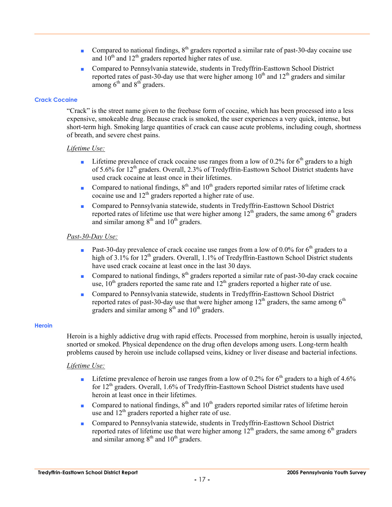- Compared to national findings, 8<sup>th</sup> graders reported a similar rate of past-30-day cocaine use and  $10^{th}$  and  $12^{th}$  graders reported higher rates of use.
- Compared to Pennsylvania statewide, students in Tredyffrin-Easttown School District reported rates of past-30-day use that were higher among  $10<sup>th</sup>$  and  $12<sup>th</sup>$  graders and similar among  $6<sup>th</sup>$  and  $8<sup>th</sup>$  graders.

#### **Crack Cocaine**

"Crack" is the street name given to the freebase form of cocaine, which has been processed into a less expensive, smokeable drug. Because crack is smoked, the user experiences a very quick, intense, but short-term high. Smoking large quantities of crack can cause acute problems, including cough, shortness of breath, and severe chest pains.

#### *Lifetime Use:*

- **•** Lifetime prevalence of crack cocaine use ranges from a low of 0.2% for  $6<sup>th</sup>$  graders to a high of 5.6% for 12<sup>th</sup> graders. Overall, 2.3% of Tredyffrin-Easttown School District students have used crack cocaine at least once in their lifetimes.
- Compared to national findings,  $8<sup>th</sup>$  and  $10<sup>th</sup>$  graders reported similar rates of lifetime crack cocaine use and  $12<sup>th</sup>$  graders reported a higher rate of use.
- Compared to Pennsylvania statewide, students in Tredyffrin-Easttown School District reported rates of lifetime use that were higher among  $12<sup>th</sup>$  graders, the same among  $6<sup>th</sup>$  graders and similar among  $8<sup>th</sup>$  and  $10<sup>th</sup>$  graders.

#### *Past-30-Day Use:*

- **•** Past-30-day prevalence of crack cocaine use ranges from a low of 0.0% for 6<sup>th</sup> graders to a high of 3.1% for 12<sup>th</sup> graders. Overall, 1.1% of Tredyffrin-Easttown School District students have used crack cocaine at least once in the last 30 days.
- Compared to national findings,  $8<sup>th</sup>$  graders reported a similar rate of past-30-day crack cocaine use,  $10^{th}$  graders reported the same rate and  $12^{th}$  graders reported a higher rate of use.
- Compared to Pennsylvania statewide, students in Tredyffrin-Easttown School District reported rates of past-30-day use that were higher among  $12<sup>th</sup>$  graders, the same among  $6<sup>th</sup>$ graders and similar among  $8<sup>th</sup>$  and  $10<sup>th</sup>$  graders.

#### **Heroin**

Heroin is a highly addictive drug with rapid effects. Processed from morphine, heroin is usually injected, snorted or smoked. Physical dependence on the drug often develops among users. Long-term health problems caused by heroin use include collapsed veins, kidney or liver disease and bacterial infections.

#### *Lifetime Use:*

- **•** Lifetime prevalence of heroin use ranges from a low of 0.2% for  $6<sup>th</sup>$  graders to a high of 4.6% for  $12<sup>th</sup>$  graders. Overall, 1.6% of Tredyffrin-Easttown School District students have used heroin at least once in their lifetimes.
- Compared to national findings,  $8<sup>th</sup>$  and  $10<sup>th</sup>$  graders reported similar rates of lifetime heroin use and 12<sup>th</sup> graders reported a higher rate of use.
- Compared to Pennsylvania statewide, students in Tredyffrin-Easttown School District reported rates of lifetime use that were higher among  $12<sup>th</sup>$  graders, the same among 6<sup>th</sup> graders and similar among  $8<sup>th</sup>$  and  $10<sup>th</sup>$  graders.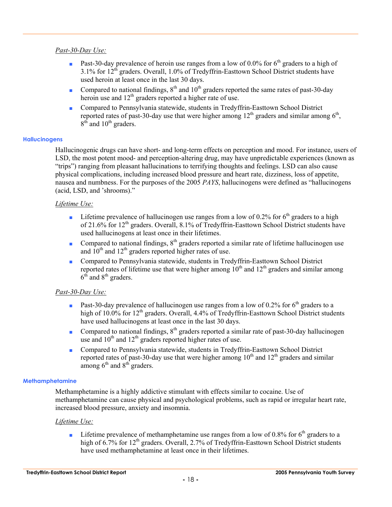#### *Past-30-Day Use:*

- **Past-30-day prevalence of heroin use ranges from a low of 0.0% for 6<sup>th</sup> graders to a high of**  $3.1\%$  for  $12<sup>th</sup>$  graders. Overall, 1.0% of Tredyffrin-Easttown School District students have used heroin at least once in the last 30 days.
- Compared to national findings,  $8<sup>th</sup>$  and  $10<sup>th</sup>$  graders reported the same rates of past-30-day heroin use and  $12<sup>th</sup>$  graders reported a higher rate of use.
- Compared to Pennsylvania statewide, students in Tredyffrin-Easttown School District reported rates of past-30-day use that were higher among  $12<sup>th</sup>$  graders and similar among  $6<sup>th</sup>$ ,  $8<sup>th</sup>$  and  $10<sup>th</sup>$  graders.

#### **Hallucinogens**

Hallucinogenic drugs can have short- and long-term effects on perception and mood. For instance, users of LSD, the most potent mood- and perception-altering drug, may have unpredictable experiences (known as "trips") ranging from pleasant hallucinations to terrifying thoughts and feelings. LSD can also cause physical complications, including increased blood pressure and heart rate, dizziness, loss of appetite, nausea and numbness. For the purposes of the 2005 *PAYS*, hallucinogens were defined as "hallucinogens (acid, LSD, and 'shrooms)."

#### *Lifetime Use:*

- **•** Lifetime prevalence of hallucinogen use ranges from a low of 0.2% for  $6<sup>th</sup>$  graders to a high of 21.6% for  $12<sup>th</sup>$  graders. Overall, 8.1% of Tredyffrin-Easttown School District students have used hallucinogens at least once in their lifetimes.
- Compared to national findings,  $8<sup>th</sup>$  graders reported a similar rate of lifetime hallucinogen use and  $10<sup>th</sup>$  and  $12<sup>th</sup>$  graders reported higher rates of use.
- Compared to Pennsylvania statewide, students in Tredyffrin-Easttown School District reported rates of lifetime use that were higher among  $10<sup>th</sup>$  and  $12<sup>th</sup>$  graders and similar among  $6<sup>th</sup>$  and  $8<sup>th</sup>$  graders.

#### *Past-30-Day Use:*

- **•** Past-30-day prevalence of hallucinogen use ranges from a low of 0.2% for  $6<sup>th</sup>$  graders to a high of 10.0% for 12<sup>th</sup> graders. Overall, 4.4% of Tredyffrin-Easttown School District students have used hallucinogens at least once in the last 30 days.
- Compared to national findings, 8<sup>th</sup> graders reported a similar rate of past-30-day hallucinogen use and  $10^{th}$  and  $12^{th}$  graders reported higher rates of use.
- Compared to Pennsylvania statewide, students in Tredyffrin-Easttown School District reported rates of past-30-day use that were higher among  $10<sup>th</sup>$  and  $12<sup>th</sup>$  graders and similar among  $6<sup>th</sup>$  and  $8<sup>th</sup>$  graders.

#### **Methamphetamine**

Methamphetamine is a highly addictive stimulant with effects similar to cocaine. Use of methamphetamine can cause physical and psychological problems, such as rapid or irregular heart rate, increased blood pressure, anxiety and insomnia.

#### *Lifetime Use:*

**•** Lifetime prevalence of methamphetamine use ranges from a low of 0.8% for  $6<sup>th</sup>$  graders to a high of 6.7% for 12<sup>th</sup> graders. Overall, 2.7% of Tredyffrin-Easttown School District students have used methamphetamine at least once in their lifetimes.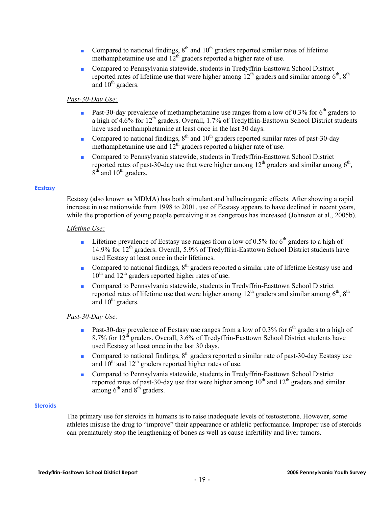- Compared to national findings,  $8<sup>th</sup>$  and  $10<sup>th</sup>$  graders reported similar rates of lifetime methamphetamine use and  $12<sup>th</sup>$  graders reported a higher rate of use.
- Compared to Pennsylvania statewide, students in Tredyffrin-Easttown School District reported rates of lifetime use that were higher among  $12<sup>th</sup>$  graders and similar among  $6<sup>th</sup>$ ,  $8<sup>th</sup>$ and  $10<sup>th</sup>$  graders.

#### *Past-30-Day Use:*

- **•** Past-30-day prevalence of methamphetamine use ranges from a low of 0.3% for  $6<sup>th</sup>$  graders to a high of  $4.6\%$  for  $12<sup>th</sup>$  graders. Overall, 1.7% of Tredyffrin-Easttown School District students have used methamphetamine at least once in the last 30 days.
- Compared to national findings,  $8<sup>th</sup>$  and  $10<sup>th</sup>$  graders reported similar rates of past-30-day methamphetamine use and  $12<sup>th</sup>$  graders reported a higher rate of use.
- Compared to Pennsylvania statewide, students in Tredyffrin-Easttown School District reported rates of past-30-day use that were higher among  $12<sup>th</sup>$  graders and similar among  $6<sup>th</sup>$ ,  $8<sup>th</sup>$  and  $10<sup>th</sup>$  graders.

#### **Ecstasy**

Ecstasy (also known as MDMA) has both stimulant and hallucinogenic effects. After showing a rapid increase in use nationwide from 1998 to 2001, use of Ecstasy appears to have declined in recent years, while the proportion of young people perceiving it as dangerous has increased (Johnston et al., 2005b).

#### *Lifetime Use:*

- **■** Lifetime prevalence of Ecstasy use ranges from a low of 0.5% for  $6<sup>th</sup>$  graders to a high of 14.9% for  $12<sup>th</sup>$  graders. Overall, 5.9% of Tredyffrin-Easttown School District students have used Ecstasy at least once in their lifetimes.
- Compared to national findings,  $8<sup>th</sup>$  graders reported a similar rate of lifetime Ecstasy use and  $10^{th}$  and  $12^{th}$  graders reported higher rates of use.
- Compared to Pennsylvania statewide, students in Tredyffrin-Easttown School District reported rates of lifetime use that were higher among  $12<sup>th</sup>$  graders and similar among  $6<sup>th</sup>$ ,  $8<sup>th</sup>$ and  $10<sup>th</sup>$  graders.

#### *Past-30-Day Use:*

- **•** Past-30-day prevalence of Ecstasy use ranges from a low of 0.3% for  $6<sup>th</sup>$  graders to a high of 8.7% for  $12<sup>th</sup>$  graders. Overall, 3.6% of Tredyffrin-Easttown School District students have used Ecstasy at least once in the last 30 days.
- Compared to national findings,  $8<sup>th</sup>$  graders reported a similar rate of past-30-day Ecstasy use and  $10^{th}$  and  $12^{th}$  graders reported higher rates of use.
- Compared to Pennsylvania statewide, students in Tredyffrin-Easttown School District reported rates of past-30-day use that were higher among  $10<sup>th</sup>$  and  $12<sup>th</sup>$  graders and similar among  $6<sup>th</sup>$  and  $8<sup>th</sup>$  graders.

#### **Steroids**

The primary use for steroids in humans is to raise inadequate levels of testosterone. However, some athletes misuse the drug to "improve" their appearance or athletic performance. Improper use of steroids can prematurely stop the lengthening of bones as well as cause infertility and liver tumors.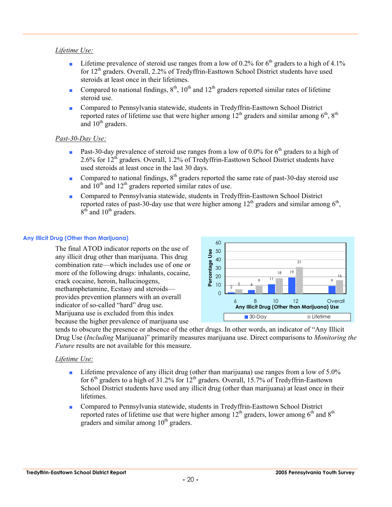#### *Lifetime Use:*

- **•** Lifetime prevalence of steroid use ranges from a low of 0.2% for  $6<sup>th</sup>$  graders to a high of 4.1% for  $12<sup>th</sup>$  graders. Overall, 2.2% of Tredyffrin-Easttown School District students have used steroids at least once in their lifetimes.
- Compared to national findings,  $8<sup>th</sup>$ ,  $10<sup>th</sup>$  and  $12<sup>th</sup>$  graders reported similar rates of lifetime steroid use.
- Compared to Pennsylvania statewide, students in Tredyffrin-Easttown School District reported rates of lifetime use that were higher among  $12<sup>th</sup>$  graders and similar among  $6<sup>th</sup>$ ,  $8<sup>th</sup>$ and  $10^{th}$  graders.

#### *Past-30-Day Use:*

- **•** Past-30-day prevalence of steroid use ranges from a low of 0.0% for  $6<sup>th</sup>$  graders to a high of 2.6% for 12th graders. Overall, 1.2% of Tredyffrin-Easttown School District students have used steroids at least once in the last 30 days.
- Compared to national findings,  $8<sup>th</sup>$  graders reported the same rate of past-30-day steroid use and  $10^{th}$  and  $12^{th}$  graders reported similar rates of use.
- Compared to Pennsylvania statewide, students in Tredyffrin-Easttown School District reported rates of past-30-day use that were higher among  $12<sup>th</sup>$  graders and similar among  $6<sup>th</sup>$ .  $8<sup>th</sup>$  and  $10<sup>th</sup>$  graders.

#### **Any Illicit Drug (Other than Marijuana)**

The final ATOD indicator reports on the use of any illicit drug other than marijuana. This drug combination rate—which includes use of one or more of the following drugs: inhalants, cocaine, crack cocaine, heroin, hallucinogens, methamphetamine, Ecstasy and steroids provides prevention planners with an overall indicator of so-called "hard" drug use. Marijuana use is excluded from this index because the higher prevalence of marijuana use



tends to obscure the presence or absence of the other drugs. In other words, an indicator of "Any Illicit Drug Use (*Including* Marijuana)" primarily measures marijuana use. Direct comparisons to *Monitoring the Future* results are not available for this measure.

#### *Lifetime Use:*

- Lifetime prevalence of any illicit drug (other than marijuana) use ranges from a low of 5.0% for  $6<sup>th</sup>$  graders to a high of 31.2% for  $12<sup>th</sup>$  graders. Overall, 15.7% of Tredyffrin-Easttown School District students have used any illicit drug (other than marijuana) at least once in their lifetimes.
- Compared to Pennsylvania statewide, students in Tredyffrin-Easttown School District reported rates of lifetime use that were higher among  $12<sup>th</sup>$  graders, lower among  $6<sup>th</sup>$  and  $8<sup>th</sup>$ graders and similar among  $10<sup>th</sup>$  graders.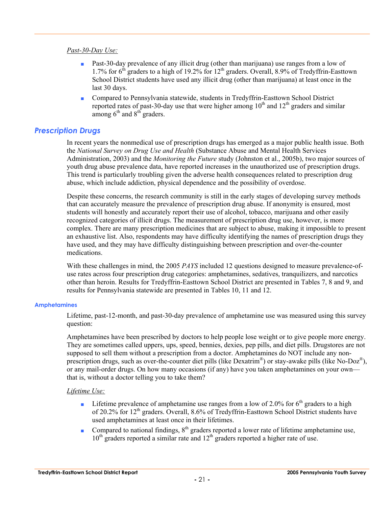#### *Past-30-Day Use:*

- Past-30-day prevalence of any illicit drug (other than marijuana) use ranges from a low of 1.7% for  $6<sup>th</sup>$  graders to a high of 19.2% for 12<sup>th</sup> graders. Overall, 8.9% of Tredyffrin-Easttown School District students have used any illicit drug (other than marijuana) at least once in the last 30 days.
- Compared to Pennsylvania statewide, students in Tredyffrin-Easttown School District reported rates of past-30-day use that were higher among  $10<sup>th</sup>$  and  $12<sup>th</sup>$  graders and similar among  $6<sup>th</sup>$  and  $8<sup>th</sup>$  graders.

#### *Prescription Drugs*

In recent years the nonmedical use of prescription drugs has emerged as a major public health issue. Both the *National Survey on Drug Use and Health* (Substance Abuse and Mental Health Services Administration, 2003) and the *Monitoring the Future* study (Johnston et al., 2005b), two major sources of youth drug abuse prevalence data, have reported increases in the unauthorized use of prescription drugs. This trend is particularly troubling given the adverse health consequences related to prescription drug abuse, which include addiction, physical dependence and the possibility of overdose.

Despite these concerns, the research community is still in the early stages of developing survey methods that can accurately measure the prevalence of prescription drug abuse. If anonymity is ensured, most students will honestly and accurately report their use of alcohol, tobacco, marijuana and other easily recognized categories of illicit drugs. The measurement of prescription drug use, however, is more complex. There are many prescription medicines that are subject to abuse, making it impossible to present an exhaustive list. Also, respondents may have difficulty identifying the names of prescription drugs they have used, and they may have difficulty distinguishing between prescription and over-the-counter medications.

With these challenges in mind, the 2005 *PAYS* included 12 questions designed to measure prevalence-ofuse rates across four prescription drug categories: amphetamines, sedatives, tranquilizers, and narcotics other than heroin. Results for Tredyffrin-Easttown School District are presented in Tables 7, 8 and 9, and results for Pennsylvania statewide are presented in Tables 10, 11 and 12.

#### **Amphetamines**

Lifetime, past-12-month, and past-30-day prevalence of amphetamine use was measured using this survey question:

Amphetamines have been prescribed by doctors to help people lose weight or to give people more energy. They are sometimes called uppers, ups, speed, bennies, dexies, pep pills, and diet pills. Drugstores are not supposed to sell them without a prescription from a doctor. Amphetamines do NOT include any nonprescription drugs, such as over-the-counter diet pills (like Dexatrim<sup>®</sup>) or stay-awake pills (like No-Doz<sup>®</sup>), or any mail-order drugs. On how many occasions (if any) have you taken amphetamines on your own that is, without a doctor telling you to take them?

#### *Lifetime Use:*

- **•** Lifetime prevalence of amphetamine use ranges from a low of 2.0% for  $6<sup>th</sup>$  graders to a high of 20.2% for 12<sup>th</sup> graders. Overall, 8.6% of Tredyffrin-Easttown School District students have used amphetamines at least once in their lifetimes.
- Compared to national findings,  $8<sup>th</sup>$  graders reported a lower rate of lifetime amphetamine use,  $10<sup>th</sup>$  graders reported a similar rate and  $12<sup>th</sup>$  graders reported a higher rate of use.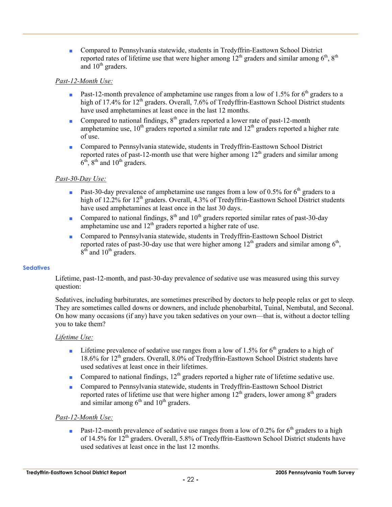■ Compared to Pennsylvania statewide, students in Tredyffrin-Easttown School District reported rates of lifetime use that were higher among  $12<sup>th</sup>$  graders and similar among  $6<sup>th</sup>$ ,  $8<sup>th</sup>$ and  $10^{th}$  graders.

#### *Past-12-Month Use:*

- **•** Past-12-month prevalence of amphetamine use ranges from a low of 1.5% for 6<sup>th</sup> graders to a high of 17.4% for 12<sup>th</sup> graders. Overall, 7.6% of Tredyffrin-Easttown School District students have used amphetamines at least once in the last 12 months.
- Compared to national findings,  $8<sup>th</sup>$  graders reported a lower rate of past-12-month amphetamine use,  $10^{th}$  graders reported a similar rate and  $12^{th}$  graders reported a higher rate of use.
- Compared to Pennsylvania statewide, students in Tredyffrin-Easttown School District reported rates of past-12-month use that were higher among  $12<sup>th</sup>$  graders and similar among  $6<sup>th</sup>$ ,  $8<sup>th</sup>$  and  $10<sup>th</sup>$  graders.

#### *Past-30-Day Use:*

- **•** Past-30-day prevalence of amphetamine use ranges from a low of 0.5% for 6<sup>th</sup> graders to a high of 12.2% for 12<sup>th</sup> graders. Overall, 4.3% of Tredyffrin-Easttown School District students have used amphetamines at least once in the last 30 days.
- Compared to national findings,  $8<sup>th</sup>$  and  $10<sup>th</sup>$  graders reported similar rates of past-30-day amphetamine use and  $12<sup>th</sup>$  graders reported a higher rate of use.
- Compared to Pennsylvania statewide, students in Tredyffrin-Easttown School District reported rates of past-30-day use that were higher among  $12<sup>th</sup>$  graders and similar among  $6<sup>th</sup>$ ,  $8<sup>th</sup>$  and  $10<sup>th</sup>$  graders.

#### **Sedatives**

Lifetime, past-12-month, and past-30-day prevalence of sedative use was measured using this survey question:

Sedatives, including barbiturates, are sometimes prescribed by doctors to help people relax or get to sleep. They are sometimes called downs or downers, and include phenobarbital, Tuinal, Nembutal, and Seconal. On how many occasions (if any) have you taken sedatives on your own—that is, without a doctor telling you to take them?

#### *Lifetime Use:*

- **■** Lifetime prevalence of sedative use ranges from a low of 1.5% for  $6<sup>th</sup>$  graders to a high of 18.6% for 12<sup>th</sup> graders. Overall, 8.0% of Tredyffrin-Easttown School District students have used sedatives at least once in their lifetimes.
- Compared to national findings,  $12<sup>th</sup>$  graders reported a higher rate of lifetime sedative use.
- Compared to Pennsylvania statewide, students in Tredyffrin-Easttown School District reported rates of lifetime use that were higher among  $12<sup>th</sup>$  graders, lower among  $8<sup>th</sup>$  graders and similar among  $6<sup>th</sup>$  and  $10<sup>th</sup>$  graders.

#### *Past-12-Month Use:*

**•** Past-12-month prevalence of sedative use ranges from a low of 0.2% for  $6<sup>th</sup>$  graders to a high of 14.5% for  $12^{th}$  graders. Overall, 5.8% of Tredyffrin-Easttown School District students have used sedatives at least once in the last 12 months.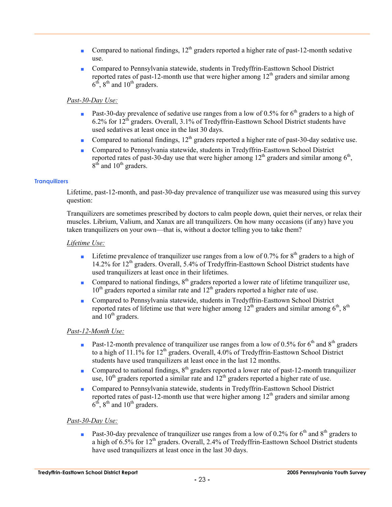- Compared to national findings,  $12<sup>th</sup>$  graders reported a higher rate of past-12-month sedative use.
- Compared to Pennsylvania statewide, students in Tredyffrin-Easttown School District reported rates of past-12-month use that were higher among  $12<sup>th</sup>$  graders and similar among  $6<sup>th</sup>$ ,  $8<sup>th</sup>$  and  $10<sup>th</sup>$  graders.

#### *Past-30-Day Use:*

- **Past-30-day prevalence of sedative use ranges from a low of 0.5% for 6<sup>th</sup> graders to a high of** 6.2% for 12th graders. Overall, 3.1% of Tredyffrin-Easttown School District students have used sedatives at least once in the last 30 days.
- Compared to national findings,  $12<sup>th</sup>$  graders reported a higher rate of past-30-day sedative use.
- Compared to Pennsylvania statewide, students in Tredyffrin-Easttown School District reported rates of past-30-day use that were higher among  $12<sup>th</sup>$  graders and similar among  $6<sup>th</sup>$ ,  $8<sup>th</sup>$  and  $10<sup>th</sup>$  graders.

#### **Tranquilizers**

Lifetime, past-12-month, and past-30-day prevalence of tranquilizer use was measured using this survey question:

Tranquilizers are sometimes prescribed by doctors to calm people down, quiet their nerves, or relax their muscles. Librium, Valium, and Xanax are all tranquilizers. On how many occasions (if any) have you taken tranquilizers on your own—that is, without a doctor telling you to take them?

#### *Lifetime Use:*

- **•** Lifetime prevalence of tranquilizer use ranges from a low of 0.7% for  $8<sup>th</sup>$  graders to a high of 14.2% for 12<sup>th</sup> graders. Overall, 5.4% of Tredyffrin-Easttown School District students have used tranquilizers at least once in their lifetimes.
- Compared to national findings, 8<sup>th</sup> graders reported a lower rate of lifetime tranquilizer use,  $10<sup>th</sup>$  graders reported a similar rate and  $12<sup>th</sup>$  graders reported a higher rate of use.
- Compared to Pennsylvania statewide, students in Tredyffrin-Easttown School District reported rates of lifetime use that were higher among  $12<sup>th</sup>$  graders and similar among  $6<sup>th</sup>$ ,  $8<sup>th</sup>$ and  $10<sup>th</sup>$  graders.

#### *Past-12-Month Use:*

- **•** Past-12-month prevalence of tranquilizer use ranges from a low of 0.5% for  $6<sup>th</sup>$  and  $8<sup>th</sup>$  graders to a high of 11.1% for  $12<sup>th</sup>$  graders. Overall, 4.0% of Tredyffrin-Easttown School District students have used tranquilizers at least once in the last 12 months.
- Compared to national findings,  $8<sup>th</sup>$  graders reported a lower rate of past-12-month tranquilizer use,  $10^{th}$  graders reported a similar rate and  $12^{th}$  graders reported a higher rate of use.
- Compared to Pennsylvania statewide, students in Tredyffrin-Easttown School District reported rates of past-12-month use that were higher among  $12<sup>th</sup>$  graders and similar among  $6<sup>th</sup>$ ,  $8<sup>th</sup>$  and  $10<sup>th</sup>$  graders.

#### *Past-30-Day Use:*

**•** Past-30-day prevalence of tranquilizer use ranges from a low of 0.2% for 6<sup>th</sup> and 8<sup>th</sup> graders to a high of  $6.5\%$  for  $12<sup>th</sup>$  graders. Overall, 2.4% of Tredyffrin-Easttown School District students have used tranquilizers at least once in the last 30 days.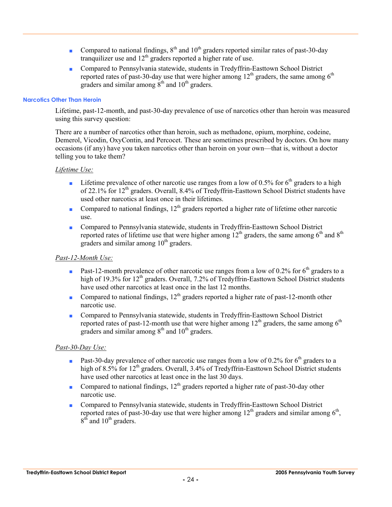- Compared to national findings,  $8<sup>th</sup>$  and  $10<sup>th</sup>$  graders reported similar rates of past-30-day tranquilizer use and  $12<sup>th</sup>$  graders reported a higher rate of use.
- Compared to Pennsylvania statewide, students in Tredyffrin-Easttown School District reported rates of past-30-day use that were higher among  $12<sup>th</sup>$  graders, the same among  $6<sup>th</sup>$ graders and similar among  $8<sup>th</sup>$  and  $10<sup>th</sup>$  graders.

#### **Narcotics Other Than Heroin**

Lifetime, past-12-month, and past-30-day prevalence of use of narcotics other than heroin was measured using this survey question:

There are a number of narcotics other than heroin, such as methadone, opium, morphine, codeine, Demerol, Vicodin, OxyContin, and Percocet. These are sometimes prescribed by doctors. On how many occasions (if any) have you taken narcotics other than heroin on your own—that is, without a doctor telling you to take them?

#### *Lifetime Use:*

- **■** Lifetime prevalence of other narcotic use ranges from a low of 0.5% for  $6<sup>th</sup>$  graders to a high of 22.1% for 12<sup>th</sup> graders. Overall, 8.4% of Tredyffrin-Easttown School District students have used other narcotics at least once in their lifetimes.
- Compared to national findings,  $12<sup>th</sup>$  graders reported a higher rate of lifetime other narcotic use.
- Compared to Pennsylvania statewide, students in Tredyffrin-Easttown School District reported rates of lifetime use that were higher among  $12<sup>th</sup>$  graders, the same among  $6<sup>th</sup>$  and  $8<sup>th</sup>$ graders and similar among  $10<sup>th</sup>$  graders.

#### *Past-12-Month Use:*

- **•** Past-12-month prevalence of other narcotic use ranges from a low of 0.2% for 6<sup>th</sup> graders to a high of 19.3% for 12<sup>th</sup> graders. Overall, 7.2% of Tredyffrin-Easttown School District students have used other narcotics at least once in the last 12 months.
- Compared to national findings,  $12<sup>th</sup>$  graders reported a higher rate of past-12-month other narcotic use.
- Compared to Pennsylvania statewide, students in Tredyffrin-Easttown School District reported rates of past-12-month use that were higher among  $12<sup>th</sup>$  graders, the same among  $6<sup>th</sup>$ graders and similar among  $8<sup>th</sup>$  and  $10<sup>th</sup>$  graders.

#### *Past-30-Day Use:*

- **•** Past-30-day prevalence of other narcotic use ranges from a low of 0.2% for 6<sup>th</sup> graders to a high of 8.5% for 12<sup>th</sup> graders. Overall, 3.4% of Tredyffrin-Easttown School District students have used other narcotics at least once in the last 30 days.
- Compared to national findings,  $12<sup>th</sup>$  graders reported a higher rate of past-30-day other narcotic use.
- Compared to Pennsylvania statewide, students in Tredyffrin-Easttown School District reported rates of past-30-day use that were higher among  $12<sup>th</sup>$  graders and similar among  $6<sup>th</sup>$ ,  $8<sup>th</sup>$  and  $10<sup>th</sup>$  graders.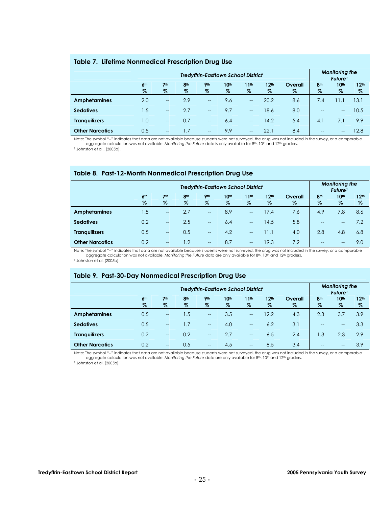#### **Table 7. Lifetime Nonmedical Prescription Drug Use**

|                        | <b>Monitoring the</b><br>Future <sup>1</sup> |                         |                         |                          |                          |                          |                          |                 |                         |                          |                          |
|------------------------|----------------------------------------------|-------------------------|-------------------------|--------------------------|--------------------------|--------------------------|--------------------------|-----------------|-------------------------|--------------------------|--------------------------|
|                        | 6 <sup>th</sup><br>$\%$                      | 7 <sup>th</sup><br>$\%$ | 8 <sup>th</sup><br>$\%$ | 9 <sub>th</sub><br>$\%$  | 10 <sup>th</sup><br>$\%$ | 11 <sup>th</sup><br>%    | 12 <sup>th</sup><br>$\%$ | Overall<br>$\%$ | 8 <sup>th</sup><br>$\%$ | 10 <sup>th</sup><br>$\%$ | 12 <sup>th</sup><br>$\%$ |
| <b>Amphetamines</b>    | 2.0                                          | $\qquad \qquad -$       | 2.9                     | $--$                     | 9.6                      | $\overline{\phantom{a}}$ | 20.2                     | 8.6             | 7.4                     | 1.1                      | 13.1                     |
| <b>Sedatives</b>       | 1.5                                          | $-$                     | 2.7                     | $\overline{\phantom{a}}$ | 9.7                      | $\overline{\phantom{a}}$ | 18.6                     | 8.0             | $\qquad \qquad -$       | $--$                     | 10.5                     |
| <b>Tranguilizers</b>   | 1.0                                          | $\overline{a}$          | 0.7                     | $--$                     | 6.4                      | $\overline{\phantom{a}}$ | 14.2                     | 5.4             | 4.1                     | 7.1                      | 9.9                      |
| <b>Other Narcotics</b> | 0.5                                          | $\qquad \qquad -$       |                         | $--$                     | 9.9                      | $\overline{\phantom{a}}$ | 22.1                     | 8.4             | $\qquad \qquad -$       | $\hspace{0.05cm}$        | 12.8                     |

Note: The symbol "--" indicates that data are not available because students were not surveyed, the drug was not included in the survey, or a comparable<br>aggregate calculation was not available. Monitoring the Future data i 1 Johnston et al., (2005b).

#### **Table 8. Past-12-Month Nonmedical Prescription Drug Use**

|                        | <b>Monitoring the</b><br>Future <sup>1</sup> |                         |                         |                          |                          |                          |                          |                 |                         |                          |                          |
|------------------------|----------------------------------------------|-------------------------|-------------------------|--------------------------|--------------------------|--------------------------|--------------------------|-----------------|-------------------------|--------------------------|--------------------------|
|                        | 6 <sup>th</sup><br>$\%$                      | 7 <sup>th</sup><br>$\%$ | 8 <sup>th</sup><br>$\%$ | 9 <sub>th</sub><br>$\%$  | 10 <sup>th</sup><br>$\%$ | 11 <sup>th</sup><br>$\%$ | 12 <sup>th</sup><br>$\%$ | Overall<br>$\%$ | 8 <sup>th</sup><br>$\%$ | 10 <sup>th</sup><br>$\%$ | 12 <sup>th</sup><br>$\%$ |
| <b>Amphetamines</b>    | 1.5                                          | $\hspace{0.05cm}$       | 2.7                     | $\hspace{0.05cm}$        | 8.9                      | $\rightarrow$            | 17.4                     | 7.6             | 4.9                     | 7.8                      | 8.6                      |
| <b>Sedatives</b>       | 0.2                                          | $\qquad \qquad -$       | 2.5                     | $\overline{\phantom{a}}$ | 6.4                      | $\overline{\phantom{a}}$ | 14.5                     | 5.8             | $\qquad \qquad -$       | $--$                     | 7.2                      |
| <b>Tranguilizers</b>   | 0.5                                          | $\qquad \qquad -$       | 0.5                     | $\overline{\phantom{a}}$ | 4.2                      | $\overline{\phantom{0}}$ | 11.1                     | 4.0             | 2.8                     | 4.8                      | 6.8                      |
| <b>Other Narcotics</b> | 0.2                                          | $\qquad \qquad -$       | $\overline{1.2}$        | $\hspace{0.05cm}$        | 8.7                      | $\rightarrow$            | 19.3                     | 7.2             | $- -$                   | $\qquad \qquad -$        | 9.0                      |

Note: The symbol "--" indicates that data are not available because students were not surveyed, the drug was not included in the survey, or a comparable aggregate calculation was not available. Monitoring the Future data are only available for 8<sup>th</sup>, 10<sup>th</sup> and 12<sup>th</sup> graders.

1 Johnston et al. (2005b).

#### **Table 9. Past-30-Day Nonmedical Prescription Drug Use**

|                        | <b>Monitoring the</b><br>Future <sup>1</sup> |                          |                 |                          |      |                          |                  |         |                   |                  |                  |  |
|------------------------|----------------------------------------------|--------------------------|-----------------|--------------------------|------|--------------------------|------------------|---------|-------------------|------------------|------------------|--|
|                        | 6 <sup>th</sup>                              | 7 <sup>th</sup>          | 8 <sup>th</sup> | 9 <sub>th</sub>          | 10th | 11 <sup>th</sup>         | 12 <sup>th</sup> | Overall | 8 <sup>th</sup>   | 10 <sup>th</sup> | 12 <sup>th</sup> |  |
|                        | $\%$                                         | $\%$                     | $\%$            | $\%$                     | $\%$ | $\%$                     | $\%$             | $\%$    | $\%$              | $\%$             | $\%$             |  |
| <b>Amphetamines</b>    | 0.5                                          | $\qquad \qquad -$        | 1.5             | $\overline{\phantom{a}}$ | 3.5  | $\overline{\phantom{a}}$ | 12.2             | 4.3     | 2.3               | 3.7              | 3.9              |  |
| <b>Sedatives</b>       | 0.5                                          | $\hspace{0.05cm}$        | 1.7             | $\overline{\phantom{a}}$ | 4.0  | $\overline{\phantom{a}}$ | 6.2              | 3.1     | $\qquad \qquad -$ | $- -$            | 3.3              |  |
| <b>Tranquilizers</b>   | 0.2                                          | $\overline{\phantom{m}}$ | 0.2             | $ -$                     | 2.7  | $--$                     | 6.5              | 2.4     | 1.3               | 2.3              | 2.9              |  |
| <b>Other Narcotics</b> | 0.2                                          | $- -$                    | 0.5             | $- -$                    | 4.5  | $\overline{\phantom{a}}$ | 8.5              | 3.4     | $- -$             | $- -$            | 3.9              |  |

Note: The symbol "--" indicates that data are not available because students were not surveyed, the drug was not included in the survey, or a comparable aggregate calculation was not available. *Monitoring the Future* data are only available for 8th, 10th and 12th graders.

<sup>1</sup> Johnston et al. (2005b).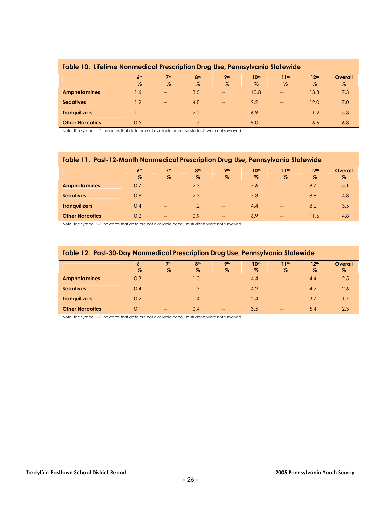|                        |                 |                                       |                 |                          | . .              |                          |                  |         |
|------------------------|-----------------|---------------------------------------|-----------------|--------------------------|------------------|--------------------------|------------------|---------|
|                        | 6 <sup>th</sup> | 7 <sup>th</sup>                       | 8 <sup>th</sup> | 9 <sub>th</sub>          | 10 <sup>th</sup> | 11 <sup>th</sup>         | 12 <sup>th</sup> | Overall |
|                        | $\%$            | $\%$                                  | $\%$            | $\%$                     | $\%$             | $\%$                     | $\%$             | $\%$    |
| <b>Amphetamines</b>    | 1.6             | $\overline{\phantom{m}}$              | 3.5             | $\overline{\phantom{m}}$ | 10.8             | $\qquad \qquad -$        | 13.3             | 7.3     |
| <b>Sedatives</b>       | 1.9             | $--$                                  | 4.8             | $\hspace{0.05cm}$        | 9.2              | $\hspace{0.05cm}$        | 12.0             | 7.0     |
| <b>Tranquilizers</b>   | IJ              | $\hspace{0.05cm}$ – $\hspace{0.05cm}$ | 2.0             | $\qquad \qquad -$        | 6.9              | $\qquad \qquad -$        | 11.2             | 5.3     |
| <b>Other Narcotics</b> | 0.5             | $\hspace{0.05cm}$ – $\hspace{0.05cm}$ | 1.7             | $\overline{\phantom{m}}$ | 9.0              | $\overline{\phantom{a}}$ | 16.6             | 6.8     |

#### **Table 10. Lifetime Nonmedical Prescription Drug Use, Pennsylvania Statewide**

Note: The symbol "--" indicates that data are not available because students were not surveyed.

#### **Table 11. Past-12-Month Nonmedical Prescription Drug Use, Pennsylvania Statewide**

|                        | 6 <sup>th</sup> | 7 <sup>th</sup>   | 8 <sup>th</sup> | <b>9th</b>               | 10 <sup>th</sup> | 11 <sup>th</sup>  | 12 <sup>th</sup> | Overall |
|------------------------|-----------------|-------------------|-----------------|--------------------------|------------------|-------------------|------------------|---------|
|                        | $\%$            | $\%$              | $\%$            | $\%$                     | $\%$             | $\%$              | $\%$             | $\%$    |
| <b>Amphetamines</b>    | 0.7             | $\qquad \qquad -$ | 2.3             | $\hspace{0.05cm}$        | 7.6              | $\qquad \qquad -$ | 9.7              | 5.1     |
| <b>Sedatives</b>       | 0.8             | $\qquad \qquad -$ | 2.3             | $\overline{\phantom{m}}$ | 7.3              | $\hspace{0.05cm}$ | 8.8              | 4.8     |
| <b>Tranquilizers</b>   | 0.4             | $\qquad \qquad -$ | 1.2             | $\qquad \qquad -$        | 4.4              | $\qquad \qquad -$ | 8.2              | 3.5     |
| <b>Other Narcotics</b> | 0.2             | $\qquad \qquad -$ | 0.9             | $\overline{\phantom{m}}$ | 6.9              | $\qquad \qquad -$ | 11.6             | 4.8     |

Note: The symbol "--" indicates that data are not available because students were not surveyed.

| Table 12. Past-30-Day Nonmedical Prescription Drug Use, Pennsylvania Statewide |                 |                          |                 |                        |                  |                   |                  |         |  |  |
|--------------------------------------------------------------------------------|-----------------|--------------------------|-----------------|------------------------|------------------|-------------------|------------------|---------|--|--|
|                                                                                | 6 <sup>th</sup> | 7 <sup>th</sup>          | 8 <sup>th</sup> | 9 <sub>th</sub>        | 10 <sup>th</sup> | 11 <sup>th</sup>  | 12 <sup>th</sup> | Overall |  |  |
|                                                                                | $\%$            | $\%$                     | $\%$            | $\%$                   | $\%$             | $\%$              | Z                | %       |  |  |
| <b>Amphetamines</b>                                                            | 0.3             | $-$                      | 1.0             | $\qquad \qquad -$      | 4.4              | $-$               | 4.4              | 2.5     |  |  |
| <b>Sedatives</b>                                                               | 0.4             | $\overline{\phantom{a}}$ | 1.3             | $\qquad \qquad -$      | 4.2              | $-$               | 4.2              | 2.6     |  |  |
| <b>Tranguilizers</b>                                                           | 0.2             | $-$                      | 0.4             | $\qquad \qquad -$      | 2.4              | $\qquad \qquad -$ | 3.7              | 1.7     |  |  |
| <b>Other Narcotics</b>                                                         | 0.1             | $-$                      | 0.4             | $\qquad \qquad \cdots$ | 3.5              | $\qquad \qquad -$ | 5.4              | 2.3     |  |  |

Note: The symbol "--" indicates that data are not available because students were not surveyed.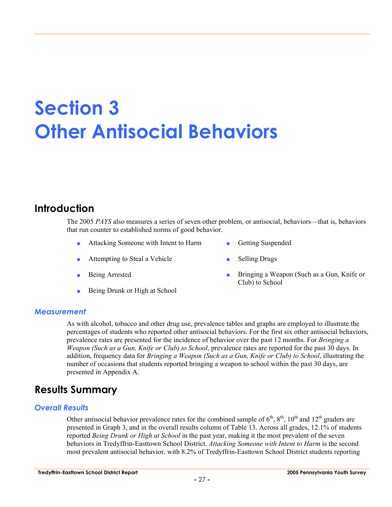## **Section 3 Other Antisocial Behaviors**

## **Introduction**

The 2005 *PAYS* also measures a series of seven other problem, or antisocial, behaviors—that is, behaviors that run counter to established norms of good behavior.

- Attacking Someone with Intent to Harm Getting Suspended
- Attempting to Steal a Vehicle Selling Drugs
- 
- Being Drunk or High at School
- 
- 
- Being Arrested **Bringing a Weapon (Such as a Gun, Knife or** Club) to School

#### *Measurement*

As with alcohol, tobacco and other drug use, prevalence tables and graphs are employed to illustrate the percentages of students who reported other antisocial behaviors. For the first six other antisocial behaviors, prevalence rates are presented for the incidence of behavior over the past 12 months. For *Bringing a Weapon (Such as a Gun, Knife or Club) to School*, prevalence rates are reported for the past 30 days. In addition, frequency data for *Bringing a Weapon (Such as a Gun, Knife or Club) to School*, illustrating the number of occasions that students reported bringing a weapon to school within the past 30 days, are presented in Appendix A.

## **Results Summary**

#### *Overall Results*

Other antisocial behavior prevalence rates for the combined sample of  $6<sup>th</sup>$ ,  $8<sup>th</sup>$ ,  $10<sup>th</sup>$  and  $12<sup>th</sup>$  graders are presented in Graph 3, and in the overall results column of Table 13. Across all grades, 12.1% of students reported *Being Drunk or High at School* in the past year, making it the most prevalent of the seven behaviors in Tredyffrin-Easttown School District. *Attacking Someone with Intent to Harm* is the second most prevalent antisocial behavior, with 8.2% of Tredyffrin-Easttown School District students reporting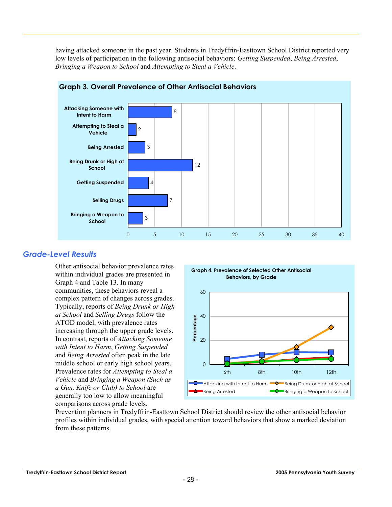having attacked someone in the past year. Students in Tredyffrin-Easttown School District reported very low levels of participation in the following antisocial behaviors: *Getting Suspended*, *Being Arrested*, *Bringing a Weapon to School* and *Attempting to Steal a Vehicle*.



#### **Graph 3. Overall Prevalence of Other Antisocial Behaviors**

#### *Grade-Level Results*

Other antisocial behavior prevalence rates within individual grades are presented in Graph 4 and Table 13. In many communities, these behaviors reveal a complex pattern of changes across grades. Typically, reports of *Being Drunk or High at School* and *Selling Drugs* follow the ATOD model, with prevalence rates increasing through the upper grade levels. In contrast, reports of *Attacking Someone with Intent to Harm*, *Getting Suspended* and *Being Arrested* often peak in the late middle school or early high school years. Prevalence rates for *Attempting to Steal a Vehicle* and *Bringing a Weapon (Such as a Gun, Knife or Club) to School* are generally too low to allow meaningful comparisons across grade levels.



Prevention planners in Tredyffrin-Easttown School District should review the other antisocial behavior profiles within individual grades, with special attention toward behaviors that show a marked deviation from these patterns.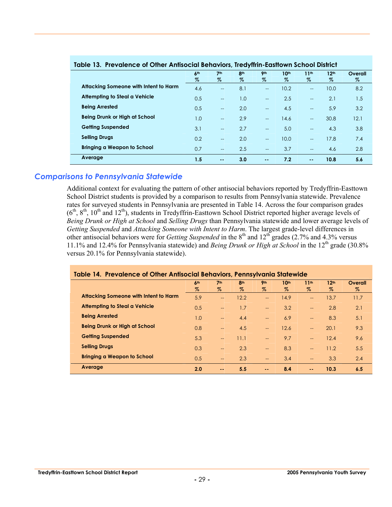| Table 13. Flevalence of Offici Annisocial Bendviors, Heavillin-Easilown School District |                      |                          |                         |                          |                       |                          |                       |              |  |  |
|-----------------------------------------------------------------------------------------|----------------------|--------------------------|-------------------------|--------------------------|-----------------------|--------------------------|-----------------------|--------------|--|--|
|                                                                                         | 6 <sup>th</sup><br>% | 7 <sup>th</sup><br>$\%$  | 8 <sup>th</sup><br>$\%$ | <b>9th</b><br>$\%$       | 10 <sup>th</sup><br>Z | 11 <sup>th</sup><br>Z    | 12 <sup>th</sup><br>% | Overall<br>% |  |  |
| Attacking Someone with Intent to Harm                                                   | 4.6                  | $-$                      | 8.1                     | $-$                      | 10.2                  | $\overline{\phantom{a}}$ | 10.0                  | 8.2          |  |  |
| Attempting to Steal a Vehicle                                                           | 0.5                  | $-$                      | 1.0                     | $- -$                    | 2.5                   | $\overline{\phantom{a}}$ | 2.1                   | 1.5          |  |  |
| <b>Being Arrested</b>                                                                   | 0.5                  | $-$                      | 2.0                     | $\overline{\phantom{a}}$ | 4.5                   | $-$                      | 5.9                   | 3.2          |  |  |
| Being Drunk or High at School                                                           | 1.0                  | $\overline{\phantom{a}}$ | 2.9                     | $\overline{\phantom{a}}$ | 14.6                  | $\overline{\phantom{a}}$ | 30.8                  | 12.1         |  |  |
| <b>Getting Suspended</b>                                                                | 3.1                  | $-$                      | 2.7                     | $- -$                    | 5.0                   | $\overline{a}$           | 4.3                   | 3.8          |  |  |
| <b>Selling Drugs</b>                                                                    | 0.2                  | $-$                      | 2.0                     | $- -$                    | 10.0                  | $\overline{a}$           | 17.8                  | 7.4          |  |  |
| <b>Bringing a Weapon to School</b>                                                      | 0.7                  | $-$                      | 2.5                     | $\overline{\phantom{a}}$ | 3.7                   | $\overline{\phantom{a}}$ | 4.6                   | 2.8          |  |  |
| Average                                                                                 | 1.5                  | $\sim$ $\sim$            | 3.0                     | $\sim$ $-$               | 7.2                   | $\sim$ $-$               | 10.8                  | 5.6          |  |  |

#### **Table 13. Prevalence of Other Antisocial Behaviors, Tredyffrin-Easttown School District**

#### *Comparisons to Pennsylvania Statewide*

Additional context for evaluating the pattern of other antisocial behaviors reported by Tredyffrin-Easttown School District students is provided by a comparison to results from Pennsylvania statewide. Prevalence rates for surveyed students in Pennsylvania are presented in Table 14. Across the four comparison grades  $(6<sup>th</sup>, 8<sup>th</sup>, 10<sup>th</sup>$  and  $12<sup>th</sup>$ ), students in Tredyffrin-Easttown School District reported higher average levels of *Being Drunk or High at School* and *Selling Drugs* than Pennsylvania statewide and lower average levels of *Getting Suspended* and *Attacking Someone with Intent to Harm*. The largest grade-level differences in other antisocial behaviors were for *Getting Suspended* in the 8<sup>th</sup> and 12<sup>th</sup> grades (2.7% and 4.3% versus 11.1% and 12.4% for Pennsylvania statewide) and *Being Drunk or High at School* in the 12th grade (30.8% versus 20.1% for Pennsylvania statewide).

| Table 14. Prevalence of Other Antisocial Behaviors, Pennsylvania Statewide |                 |                          |                 |                          |                  |                          |                  |         |  |
|----------------------------------------------------------------------------|-----------------|--------------------------|-----------------|--------------------------|------------------|--------------------------|------------------|---------|--|
|                                                                            | 6 <sup>th</sup> | 7 <sup>th</sup>          | 8 <sup>th</sup> | <b>9th</b>               | 10 <sup>th</sup> | 11 <sup>th</sup>         | 12 <sup>th</sup> | Overall |  |
|                                                                            | $\%$            | $\%$                     | $\%$            | $\%$                     | $\%$             | $\%$                     | $\%$             | $\%$    |  |
| Attacking Someone with Intent to Harm                                      | 5.9             | $-$                      | 12.2            | $-$                      | 14.9             | $-$                      | 13.7             | 11.7    |  |
| Attempting to Steal a Vehicle                                              | 0.5             | $\overline{\phantom{a}}$ | 1.7             | $\overline{\phantom{m}}$ | 3.2              | $-$                      | 2.8              | 2.1     |  |
| <b>Being Arrested</b>                                                      | 1.0             | $-$                      | 4.4             | $- -$                    | 6.9              | $-$                      | 8.3              | 5.1     |  |
| <b>Being Drunk or High at School</b>                                       | 0.8             | $\overline{\phantom{0}}$ | 4.5             | $- -$                    | 12.6             | $-$                      | 20.1             | 9.3     |  |
| <b>Getting Suspended</b>                                                   | 5.3             | $-$                      | 11.1            | $\overline{\phantom{0}}$ | 9.7              | $\overline{\phantom{0}}$ | 12.4             | 9.6     |  |
| <b>Selling Drugs</b>                                                       | 0.3             | $\overline{\phantom{a}}$ | 2.3             | $-$                      | 8.3              | $\overline{\phantom{0}}$ | 11.2             | 5.5     |  |
| <b>Bringing a Weapon to School</b>                                         | 0.5             | $-$                      | 2.3             | $-$                      | 3.4              | $-$                      | 3.3              | 2.4     |  |
| Average                                                                    | 2.0             | $\sim$ $-$               | 5.5             | $\sim$ $\sim$            | 8.4              | $\sim$ $\sim$            | 10.3             | 6.5     |  |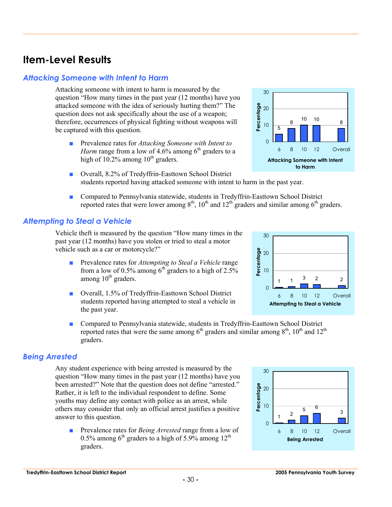## **Item-Level Results**

#### *Attacking Someone with Intent to Harm*

Attacking someone with intent to harm is measured by the question "How many times in the past year (12 months) have you attacked someone with the idea of seriously hurting them?" The question does not ask specifically about the use of a weapon; therefore, occurrences of physical fighting without weapons will be captured with this question.

- Prevalence rates for *Attacking Someone with Intent to Harm* range from a low of 4.6% among  $6<sup>th</sup>$  graders to a high of  $10.2\%$  among  $10^{th}$  graders.
- Overall, 8.2% of Tredyffrin-Easttown School District students reported having attacked someone with intent to harm in the past year.
- Compared to Pennsylvania statewide, students in Tredyffrin-Easttown School District reported rates that were lower among  $8<sup>th</sup>$ ,  $10<sup>th</sup>$  and  $12<sup>th</sup>$  graders and similar among  $6<sup>th</sup>$  graders.

### *Attempting to Steal a Vehicle*

Vehicle theft is measured by the question "How many times in the past year (12 months) have you stolen or tried to steal a motor vehicle such as a car or motorcycle?"

- Prevalence rates for *Attempting to Steal a Vehicle* range from a low of 0.5% among  $6<sup>th</sup>$  graders to a high of 2.5% among  $10<sup>th</sup>$  graders.
- Overall, 1.5% of Tredyffrin-Easttown School District students reported having attempted to steal a vehicle in the past year.
- Compared to Pennsylvania statewide, students in Tredyffrin-Easttown School District reported rates that were the same among  $6<sup>th</sup>$  graders and similar among  $8<sup>th</sup>$ ,  $10<sup>th</sup>$  and  $12<sup>th</sup>$ graders.

#### *Being Arrested*

Any student experience with being arrested is measured by the question "How many times in the past year (12 months) have you been arrested?" Note that the question does not define "arrested." Rather, it is left to the individual respondent to define. Some youths may define any contact with police as an arrest, while others may consider that only an official arrest justifies a positive answer to this question.

■ Prevalence rates for *Being Arrested* range from a low of 0.5% among  $6<sup>th</sup>$  graders to a high of 5.9% among 12<sup>th</sup> graders.





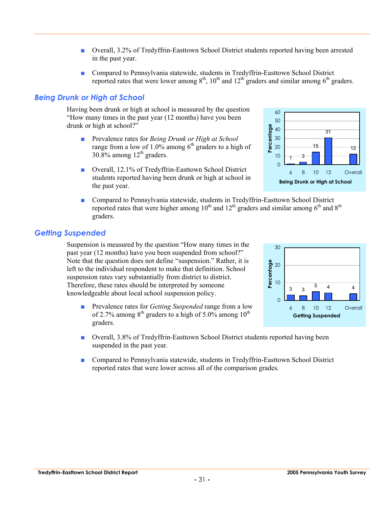- Overall, 3.2% of Tredyffrin-Easttown School District students reported having been arrested in the past year.
- Compared to Pennsylvania statewide, students in Tredyffrin-Easttown School District reported rates that were lower among  $8<sup>th</sup>$ ,  $10<sup>th</sup>$  and  $12<sup>th</sup>$  graders and similar among  $6<sup>th</sup>$  graders.

#### *Being Drunk or High at School*

Having been drunk or high at school is measured by the question "How many times in the past year (12 months) have you been drunk or high at school?"

- Prevalence rates for *Being Drunk or High at School* range from a low of 1.0% among  $6<sup>th</sup>$  graders to a high of 30.8% among  $12<sup>th</sup>$  graders.
- Overall, 12.1% of Tredyffrin-Easttown School District students reported having been drunk or high at school in the past year.
- Compared to Pennsylvania statewide, students in Tredyffrin-Easttown School District reported rates that were higher among  $10^{th}$  and  $12^{th}$  graders and similar among  $6^{th}$  and  $8^{th}$ graders.

#### *Getting Suspended*

Suspension is measured by the question "How many times in the past year (12 months) have you been suspended from school?" Note that the question does not define "suspension." Rather, it is left to the individual respondent to make that definition. School suspension rates vary substantially from district to district. Therefore, these rates should be interpreted by someone knowledgeable about local school suspension policy.

- Prevalence rates for *Getting Suspended* range from a low of 2.7% among  $8<sup>th</sup>$  graders to a high of 5.0% among 10<sup>th</sup> graders.
- Overall, 3.8% of Tredyffrin-Easttown School District students reported having been suspended in the past year.
- Compared to Pennsylvania statewide, students in Tredyffrin-Easttown School District reported rates that were lower across all of the comparison grades.





**Being Drunk or High at School**

15

31

6 8 10 12 Overall

12

1 3

**Percentage**

Percentage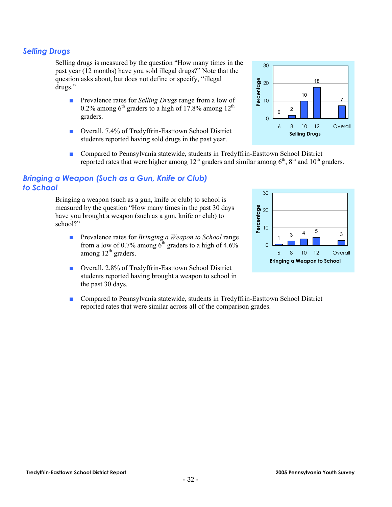### *Selling Drugs*

Selling drugs is measured by the question "How many times in the past year (12 months) have you sold illegal drugs?" Note that the question asks about, but does not define or specify, "illegal drugs."

- Prevalence rates for *Selling Drugs* range from a low of 0.2% among  $6<sup>th</sup>$  graders to a high of 17.8% among 12<sup>th</sup> graders.
- Overall, 7.4% of Tredyffrin-Easttown School District students reported having sold drugs in the past year.
- Compared to Pennsylvania statewide, students in Tredyffrin-Easttown School District reported rates that were higher among  $12^{th}$  graders and similar among  $6^{th}$ ,  $8^{th}$  and  $10^{th}$  graders.

### *Bringing a Weapon (Such as a Gun, Knife or Club) to School*

Bringing a weapon (such as a gun, knife or club) to school is measured by the question "How many times in the past 30 days have you brought a weapon (such as a gun, knife or club) to school?"

- Prevalence rates for *Bringing a Weapon to School* range from a low of 0.7% among  $6<sup>th</sup>$  graders to a high of 4.6% among  $12<sup>th</sup>$  graders.
- Overall, 2.8% of Tredyffrin-Easttown School District students reported having brought a weapon to school in the past 30 days.
- Compared to Pennsylvania statewide, students in Tredyffrin-Easttown School District reported rates that were similar across all of the comparison grades.





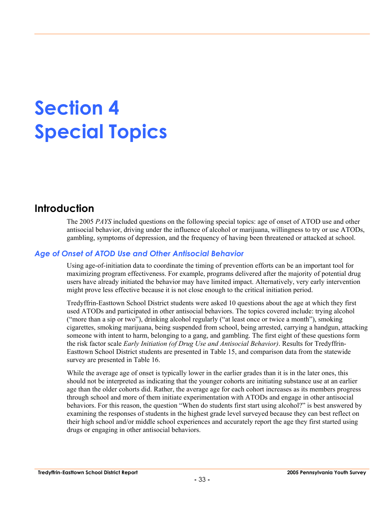# **Section 4 Special Topics**

## **Introduction**

The 2005 *PAYS* included questions on the following special topics: age of onset of ATOD use and other antisocial behavior, driving under the influence of alcohol or marijuana, willingness to try or use ATODs, gambling, symptoms of depression, and the frequency of having been threatened or attacked at school.

### *Age of Onset of ATOD Use and Other Antisocial Behavior*

Using age-of-initiation data to coordinate the timing of prevention efforts can be an important tool for maximizing program effectiveness. For example, programs delivered after the majority of potential drug users have already initiated the behavior may have limited impact. Alternatively, very early intervention might prove less effective because it is not close enough to the critical initiation period.

Tredyffrin-Easttown School District students were asked 10 questions about the age at which they first used ATODs and participated in other antisocial behaviors. The topics covered include: trying alcohol ("more than a sip or two"), drinking alcohol regularly ("at least once or twice a month"), smoking cigarettes, smoking marijuana, being suspended from school, being arrested, carrying a handgun, attacking someone with intent to harm, belonging to a gang, and gambling. The first eight of these questions form the risk factor scale *Early Initiation (of Drug Use and Antisocial Behavior)*. Results for Tredyffrin-Easttown School District students are presented in Table 15, and comparison data from the statewide survey are presented in Table 16.

While the average age of onset is typically lower in the earlier grades than it is in the later ones, this should not be interpreted as indicating that the younger cohorts are initiating substance use at an earlier age than the older cohorts did. Rather, the average age for each cohort increases as its members progress through school and more of them initiate experimentation with ATODs and engage in other antisocial behaviors. For this reason, the question "When do students first start using alcohol?" is best answered by examining the responses of students in the highest grade level surveyed because they can best reflect on their high school and/or middle school experiences and accurately report the age they first started using drugs or engaging in other antisocial behaviors.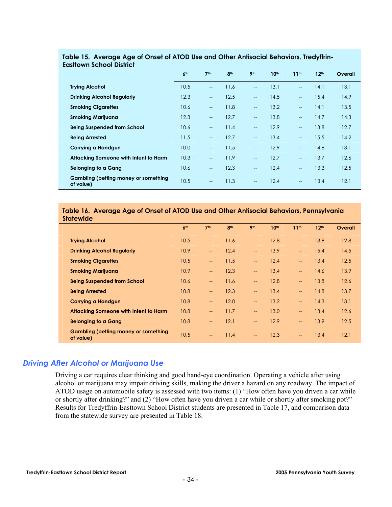|                                                   | 6 <sup>th</sup> | 7 <sup>th</sup>          | 8 <sup>th</sup> | 9 <sub>th</sub>          | 10 <sup>th</sup> | 11 <sup>th</sup>         | 12 <sup>th</sup> | Overall |
|---------------------------------------------------|-----------------|--------------------------|-----------------|--------------------------|------------------|--------------------------|------------------|---------|
| <b>Trying Alcohol</b>                             | 10.5            | $\overline{a}$           | 11.6            | $-$                      | 13.1             | $\overline{\phantom{a}}$ | 14.1             | 13.1    |
| <b>Drinking Alcohol Regularly</b>                 | 12.3            | $\overline{\phantom{a}}$ | 12.5            | $-$                      | 14.5             | $\overline{\phantom{a}}$ | 15.4             | 14.9    |
| <b>Smoking Cigarettes</b>                         | 10.6            | $\overline{a}$           | 11.8            | $\overline{\phantom{0}}$ | 13.2             | $\overline{\phantom{a}}$ | 14.1             | 13.5    |
| <b>Smoking Marijuana</b>                          | 12.3            | $\overline{\phantom{a}}$ | 12.7            | $-$                      | 13.8             | $\overline{\phantom{a}}$ | 14.7             | 14.3    |
| <b>Being Suspended from School</b>                | 10.6            | $\overline{\phantom{a}}$ | 11.4            | $\overline{\phantom{a}}$ | 12.9             | $\overline{\phantom{a}}$ | 13.8             | 12.7    |
| <b>Being Arrested</b>                             | 11.5            | $\overline{a}$           | 12.7            | $\overline{\phantom{0}}$ | 13.4             | $\overline{\phantom{a}}$ | 15.5             | 14.2    |
| Carrying a Handgun                                | 10.0            | $\overline{\phantom{a}}$ | 11.5            | $\overline{\phantom{a}}$ | 12.9             | $\overline{\phantom{a}}$ | 14.6             | 13.1    |
| Attacking Someone with Intent to Harm             | 10.3            | $\overline{\phantom{a}}$ | 11.9            | $\overline{\phantom{0}}$ | 12.7             | $\overline{\phantom{a}}$ | 13.7             | 12.6    |
| <b>Belonging to a Gang</b>                        | 10.6            | $\overline{\phantom{a}}$ | 12.3            | $\overline{\phantom{a}}$ | 12.4             | $--$                     | 13.3             | 12.5    |
| Gambling (betting money or something<br>of value) | 10.5            | $-$                      | 11.3            | $\overline{\phantom{a}}$ | 12.4             | $-$                      | 13.4             | 12.1    |

#### **Table 15. Average Age of Onset of ATOD Use and Other Antisocial Behaviors, Tredyffrin-Easttown School District**

#### **Table 16. Average Age of Onset of ATOD Use and Other Antisocial Behaviors, Pennsylvania Statewide**

|                                                   | 6 <sup>th</sup> | 7 <sup>th</sup>          | 8 <sup>th</sup> | 9 <sub>th</sub>          | 10th | 11 <sup>th</sup>         | 12 <sup>th</sup> | Overall |
|---------------------------------------------------|-----------------|--------------------------|-----------------|--------------------------|------|--------------------------|------------------|---------|
| <b>Trying Alcohol</b>                             | 10.5            | $\overline{\phantom{a}}$ | 11.6            | $\overline{\phantom{a}}$ | 12.8 | $\qquad \qquad -$        | 13.9             | 12.8    |
| <b>Drinking Alcohol Regularly</b>                 | 10.9            | $\overline{a}$           | 12.4            | $\overline{\phantom{a}}$ | 13.9 | $\overline{\phantom{a}}$ | 15.4             | 14.5    |
| <b>Smoking Cigarettes</b>                         | 10.5            | $\overline{\phantom{a}}$ | 11.5            | $\overline{\phantom{a}}$ | 12.4 | $-$                      | 13.4             | 12.5    |
| <b>Smoking Marijuana</b>                          | 10.9            | $\overline{\phantom{a}}$ | 12.3            | $\overline{\phantom{a}}$ | 13.4 | $\overline{\phantom{a}}$ | 14.6             | 13.9    |
| <b>Being Suspended from School</b>                | 10.6            | $\overline{\phantom{a}}$ | 11.6            | $\overline{\phantom{a}}$ | 12.8 | $\qquad \qquad -$        | 13.8             | 12.6    |
| <b>Being Arrested</b>                             | 10.8            | $\overline{\phantom{a}}$ | 12.3            | $\qquad \qquad -$        | 13.4 | $-$                      | 14.8             | 13.7    |
| <b>Carrying a Handgun</b>                         | 10.8            | $\overline{\phantom{a}}$ | 12.0            | $\overline{\phantom{a}}$ | 13.2 | $\overline{\phantom{a}}$ | 14.3             | 13.1    |
| <b>Attacking Someone with Intent to Harm</b>      | 10.8            | $\overline{\phantom{a}}$ | 11.7            | $\overline{\phantom{a}}$ | 13.0 | $\overline{\phantom{a}}$ | 13.4             | 12.6    |
| <b>Belonging to a Gang</b>                        | 10.8            | $\overline{\phantom{a}}$ | 12.1            | $\overline{a}$           | 12.9 | $\overline{\phantom{a}}$ | 13.9             | 12.5    |
| Gambling (betting money or something<br>of value) | 10.5            | $\overline{a}$           | 11.4            | $\overline{\phantom{a}}$ | 12.3 | $--$                     | 13.4             | 12.1    |

## *Driving After Alcohol or Marijuana Use*

Driving a car requires clear thinking and good hand-eye coordination. Operating a vehicle after using alcohol or marijuana may impair driving skills, making the driver a hazard on any roadway. The impact of ATOD usage on automobile safety is assessed with two items: (1) "How often have you driven a car while or shortly after drinking?" and (2) "How often have you driven a car while or shortly after smoking pot?" Results for Tredyffrin-Easttown School District students are presented in Table 17, and comparison data from the statewide survey are presented in Table 18.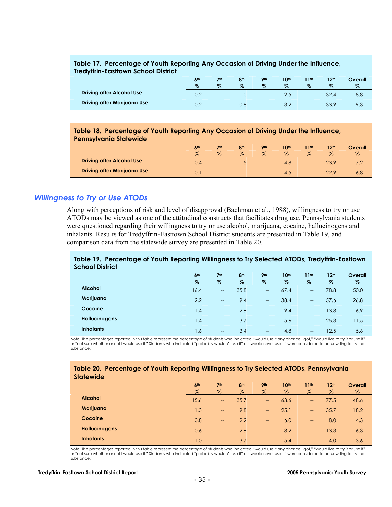#### **Table 17. Percentage of Youth Reporting Any Occasion of Driving Under the Influence, Tredyffrin-Easttown School District**

|                                  | 6 <sup>th</sup><br>$\%$ | 7 <sub>th</sub><br>$\%$ | 8 <sub>th</sub><br>$\%$ | <b>Oth</b><br>$\%$       | 10th<br>$\%$ | 11th<br>$\%$ | 12 <sup>th</sup><br>$\%$ | Overall<br>$\%$ |
|----------------------------------|-------------------------|-------------------------|-------------------------|--------------------------|--------------|--------------|--------------------------|-----------------|
| <b>Driving after Alcohol Use</b> | 0.2                     | $- -$                   |                         | $\overline{\phantom{a}}$ | 2.5          | $- -$        |                          | 8.8             |
| Driving after Marijuana Use      |                         | $- -$                   | 0.8                     | $\hspace{0.05cm}$        |              | $- -$        | 33.9                     | 9.3             |

#### **Table 18. Percentage of Youth Reporting Any Occasion of Driving Under the Influence, Pennsylvania Statewide**

| -------------------------<br>---------------- |                 |                 |                 |            |      |       |                  |         |
|-----------------------------------------------|-----------------|-----------------|-----------------|------------|------|-------|------------------|---------|
|                                               | 6 <sup>th</sup> | 7 <sup>th</sup> | 8 <sup>th</sup> | <b>9th</b> | 10th | 11th  | 12 <sup>th</sup> | Overall |
|                                               | $\%$            | $\%$            | $\%$            | $\%$       | $\%$ | $\%$  | $\%$             | Z       |
| <b>Driving after Alcohol Use</b>              | 0.4             | $-\!$           |                 | --         | 4.8  | $- -$ |                  |         |
| <b>Driving after Marijuana Use</b>            |                 | $- -$           |                 | $-\!$      | 4.5  | $- -$ |                  | 6.8     |

#### *Willingness to Try or Use ATODs*

Along with perceptions of risk and level of disapproval (Bachman et al., 1988), willingness to try or use ATODs may be viewed as one of the attitudinal constructs that facilitates drug use. Pennsylvania students were questioned regarding their willingness to try or use alcohol, marijuana, cocaine, hallucinogens and inhalants. Results for Tredyffrin-Easttown School District students are presented in Table 19, and comparison data from the statewide survey are presented in Table 20.

#### **Table 19. Percentage of Youth Reporting Willingness to Try Selected ATODs, Tredyffrin-Easttown School District**

|                      | 6 <sup>th</sup> | 7 <sup>th</sup>          | 8 <sup>th</sup> | <b>9th</b>               | 10 <sup>th</sup> | 11 <sup>th</sup>         | 12 <sup>th</sup> | Overall |
|----------------------|-----------------|--------------------------|-----------------|--------------------------|------------------|--------------------------|------------------|---------|
|                      | $\%$            | $\%$                     | $\%$            | $\%$                     | $\%$             | $\%$                     | $\%$             | $\%$    |
| <b>Alcohol</b>       | 16.4            | $\overline{\phantom{a}}$ | 35.8            | $\overline{\phantom{a}}$ | 67.4             | $\overline{a}$           | 78.8             | 50.0    |
| Marijuana            | 2.2             | $\hspace{0.05cm}$        | 9.4             | $\hspace{0.05cm}$        | 38.4             | $\overline{\phantom{a}}$ | 57.6             | 26.8    |
| Cocaine              | 1.4             | $\hspace{0.05cm}$        | 2.9             | $\overline{\phantom{a}}$ | 9.4              | $\overline{a}$           | 13.8             | 6.9     |
| <b>Hallucinogens</b> | 1.4             | $\hspace{0.05cm}$        | 3.7             | $-\!$                    | 15.6             | $\overline{\phantom{a}}$ | 25.3             | 11.5    |
| <b>Inhalants</b>     | 1.6             | $\qquad \qquad -$        | 3.4             | $\hspace{0.05cm}$        | 4.8              | $\qquad \qquad -$        | 12.5             | 5.6     |

Note: The percentages reported in this table represent the percentage of students who indicated "would use it any chance I got," "would like to try it or use it" or "not sure whether or not I would use it." Students who indicated "probably wouldn't use it" or "would never use it" were considered to be unwilling to try the substance.

#### **Table 20. Percentage of Youth Reporting Willingness to Try Selected ATODs, Pennsylvania Statewide**

|                      | 6 <sup>th</sup> | 7 <sup>th</sup>                     | 8 <sup>th</sup> | 9 <sub>th</sub>          | 10th | 11 <sup>th</sup>         | 12 <sup>th</sup> | <b>Overall</b> |
|----------------------|-----------------|-------------------------------------|-----------------|--------------------------|------|--------------------------|------------------|----------------|
|                      | $\%$            | $\%$                                | $\%$            | $\%$                     | $\%$ | $\%$                     | $\%$             | $\%$           |
| <b>Alcohol</b>       | 15.6            | $\hspace{0.05cm}$                   | 35.7            | $\overline{\phantom{a}}$ | 63.6 | $\qquad \qquad -$        | 77.5             | 48.6           |
| Marijuana            | 1.3             | $\hspace{0.05cm}$                   | 9.8             | $\overline{\phantom{a}}$ | 25.1 | $\overline{\phantom{m}}$ | 35.7             | 18.2           |
| Cocaine              | 0.8             | $\hspace{0.05cm}$                   | 2.2             | $\hspace{0.05cm}$        | 6.0  | $\overline{\phantom{m}}$ | 8.0              | 4.3            |
| <b>Hallucinogens</b> | 0.6             | $\hspace{0.05cm}$ $\hspace{0.05cm}$ | 2.9             | $\overline{\phantom{0}}$ | 8.2  | $\overline{\phantom{0}}$ | 13.3             | 6.3            |
| <b>Inhalants</b>     | 1.0             | $\hspace{0.05cm}$ $\hspace{0.05cm}$ | 3.7             | $\overline{\phantom{a}}$ | 5.4  | $\qquad \qquad -$        | 4.0              | 3.6            |

Note: The percentages reported in this table represent the percentage of students who indicated "would use it any chance I got," "would like to try it or use it" or "not sure whether or not I would use it." Students who indicated "probably wouldn't use it" or "would never use it" were considered to be unwilling to try the substance.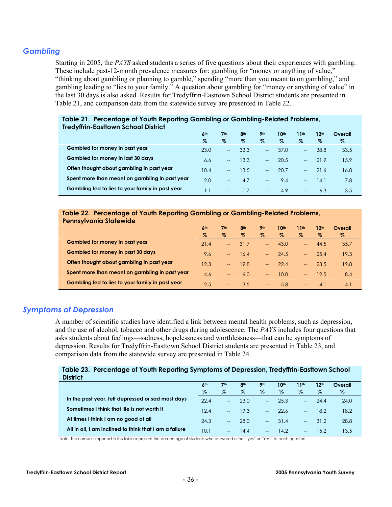#### *Gambling*

Starting in 2005, the *PAYS* asked students a series of five questions about their experiences with gambling. These include past-12-month prevalence measures for: gambling for "money or anything of value," "thinking about gambling or planning to gamble," spending "more than you meant to on gambling," and gambling leading to "lies to your family." A question about gambling for "money or anything of value" in the last 30 days is also asked. Results for Tredyffrin-Easttown School District students are presented in Table 21, and comparison data from the statewide survey are presented in Table 22.

| <b>IFEQUILIU-EQSTIOWN SCROOL DISTRICT</b>        |                 |                          |                 |                 |                  |       |                  |         |  |
|--------------------------------------------------|-----------------|--------------------------|-----------------|-----------------|------------------|-------|------------------|---------|--|
|                                                  | 6 <sup>th</sup> | 7 <sup>th</sup>          | 8 <sup>th</sup> | 9 <sub>th</sub> | 10 <sup>th</sup> | 11th  | 12 <sup>th</sup> | Overall |  |
|                                                  | %               | $\%$                     | $\%$            | %               | $\%$             | $\%$  | %                | %       |  |
| Gambled for money in past year                   | 23.0            | $\hspace{0.05cm} \ldots$ | 33.3            | $-$             | 37.0             | $- -$ | 38.8             | 33.5    |  |
| Gambled for money in last 30 days                | 6.6             | $--$                     | 13.3            | $-$             | 20.5             | $- -$ | 21.9             | 15.9    |  |
| Often thought about gambling in past year        | 10.4            | $-$                      | 13.5            | $-$             | 20.7             | $---$ | 21.6             | 16.8    |  |
| Spent more than meant on gambling in past year   | 2.0             | $\qquad \qquad -$        | 4.7             | $-$             | 9.4              | $- -$ | 14.1             | 7.8     |  |
| Gambling led to lies to your family in past year | ا. ا            | $-$                      | 1.7             | $---$           | 4.9              | $- -$ | 6.3              | 3.5     |  |

#### **Table 21. Percentage of Youth Reporting Gambling or Gambling-Related Problems, Tredyffrin-Easttown School District**

#### **Table 22. Percentage of Youth Reporting Gambling or Gambling-Related Problems, Pennsylvania Statewide**

|                                                  | 6 <sup>th</sup> | 7 <sup>th</sup>   | 8 <sup>th</sup> | 9 <sub>th</sub>          | 10 <sup>th</sup> | 11th              | 12 <sup>th</sup> | Overall |  |
|--------------------------------------------------|-----------------|-------------------|-----------------|--------------------------|------------------|-------------------|------------------|---------|--|
|                                                  | Z               | $\%$              | $\%$            | $\%$                     | Z                | $\%$              | $\%$             | $\%$    |  |
| Gambled for money in past year                   | 21.4            | $-$               | 31.7            | $\overline{\phantom{a}}$ | 43.0             | $--$              | 44.5             | 35.7    |  |
| <b>Gambled for money in past 30 days</b>         | 9.6             | $-$               | 16.4            | $\overline{a}$           | 24.5             | $---$             | 25.4             | 19.3    |  |
| Often thought about gambling in past year        | 12.3            | $-$               | 19.8            | $---$                    | 22.4             | $--$              | 23.5             | 19.8    |  |
| Spent more than meant on gambling in past year   | 4.6             | $\qquad \qquad -$ | 6.0             | $---$                    | 10.0             | $- -$             | 12.5             | 8.4     |  |
| Gambling led to lies to your family in past year | 2.5             | --                | 3.5             | $\qquad \qquad -$        | 5.8              | $\qquad \qquad -$ | 4.1              | 4.1     |  |

#### *Symptoms of Depression*

A number of scientific studies have identified a link between mental health problems, such as depression, and the use of alcohol, tobacco and other drugs during adolescence. The *PAYS* includes four questions that asks students about feelings—sadness, hopelessness and worthlessness—that can be symptoms of depression. Results for Tredyffrin-Easttown School District students are presented in Table 23, and comparison data from the statewide survey are presented in Table 24.

#### **Table 23. Percentage of Youth Reporting Symptoms of Depression, Tredyffrin-Easttown School District**

| -------                                                |                 |                          |                 |                          |                  |                          |                  |         |
|--------------------------------------------------------|-----------------|--------------------------|-----------------|--------------------------|------------------|--------------------------|------------------|---------|
|                                                        | 6 <sup>th</sup> | 7 <sup>th</sup>          | 8 <sup>th</sup> | 9 <sub>th</sub>          | 10 <sup>th</sup> | 11th                     | 12 <sup>th</sup> | Overall |
|                                                        | %               | $\%$                     | $\%$            | Z                        | %                | %                        | $\%$             | %       |
| In the past year, felt depressed or sad most days      | 22.4            | $-$                      | 23.0            | $-$                      | 25.3             |                          | 24.4             | 24.0    |
| Sometimes I think that life is not worth it            | 12.4            | $\sim$                   | 19.3            | $-$                      | 22.6             | $\sim$                   | 18.2             | 18.2    |
| At times I think I am no good at all                   | 24.3            | $\overline{\phantom{a}}$ | 28.0            | $-$                      | 31.4             | $\overline{\phantom{a}}$ | 31.2             | 28.8    |
| All in all, I am inclined to think that I am a failure | 10.1            | $- -$                    | 14.4            | $\overline{\phantom{a}}$ | 14.2             | $\hspace{0.05cm}$        | 15.2             | 13.5    |

Note: The numbers reported in this table represent the percentage of students who answered either "yes" or "Yes!" to each question.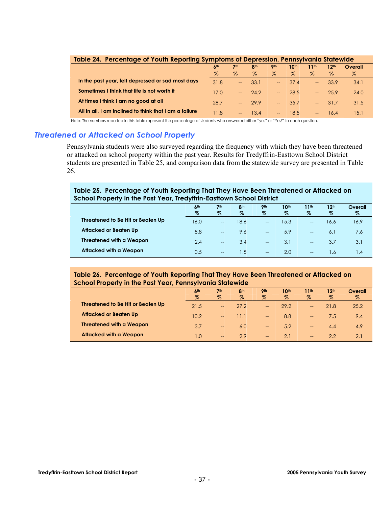| Table 24. Percentage of Youth Reporting Symptoms of Depression, Pennsylvania Statewide |                   |                 |                 |                |         |                |                  |         |  |  |
|----------------------------------------------------------------------------------------|-------------------|-----------------|-----------------|----------------|---------|----------------|------------------|---------|--|--|
|                                                                                        | $A$ <sub>th</sub> | 7 <sup>th</sup> | 8 <sup>th</sup> | <b>9th</b>     | 10th    | 11th           | 12 <sup>th</sup> | Overall |  |  |
|                                                                                        | %                 | Z.              | $\%$            | Z              | Z.      | %              | $\%$             | Z       |  |  |
| In the past year, felt depressed or sad most days                                      | 31.8              |                 | 33.1            |                | $-37.4$ | <b>Service</b> | 33.9             | 34.1    |  |  |
| Sometimes I think that life is not worth it                                            | 17.0              |                 | $-24.2$         |                | $-28.5$ | <b>Service</b> | 25.9             | 24.0    |  |  |
| At times I think I am no good at all                                                   | 28.7              | $\sim$ $\sim$   | 299             |                | $-35.7$ |                | $-31.7$          | 31.5    |  |  |
| All in all, I am inclined to think that I am a failure                                 | 11.8              | $--$            | 134             | $\overline{a}$ | 18.5    | $\sim$         | 16.4             | 15.1    |  |  |

Note: The numbers reported in this table represent the percentage of students who answered either "yes" or "Yes!" to each question.

#### *Threatened or Attacked on School Property*

Pennsylvania students were also surveyed regarding the frequency with which they have been threatened or attacked on school property within the past year. Results for Tredyffrin-Easttown School District students are presented in Table 25, and comparison data from the statewide survey are presented in Table 26.

#### **Table 25. Percentage of Youth Reporting That They Have Been Threatened or Attacked on School Property in the Past Year, Tredyffrin-Easttown School District**

|                                   | 6 <sup>th</sup> | 7 <sub>th</sub>   | 8 <sup>th</sup> | <b>9th</b>               | 10 <sup>th</sup> | 11th                     | 12 <sup>th</sup> | Overall   |
|-----------------------------------|-----------------|-------------------|-----------------|--------------------------|------------------|--------------------------|------------------|-----------|
|                                   | $\%$            | $\%$              | $\%$            | $\%$                     | $\%$             | $\%$                     | $\%$             | $\%$      |
| Threatened to Be Hit or Beaten Up | 16.0            | $\hspace{0.05cm}$ | 18.6            | $\hspace{0.05cm}$        | 15.3             | $\hspace{0.05cm}$        | 16.6             | 16.9      |
| Attacked or Beaten Up             | 8.8             | $\hspace{0.05cm}$ | 9.6             | $\hspace{0.05cm}$        | 5.9              | $\overline{\phantom{a}}$ | 6.1              | 7.6       |
| <b>Threatened with a Weapon</b>   | 2.4             | $\hspace{0.05cm}$ | 3.4             | $\overline{\phantom{a}}$ | 3.1              | $\hspace{0.05cm}$        | 3.7              | 3.1       |
| Attacked with a Weapon            | 0.5             | $\hspace{0.05cm}$ | l .5            | $\hspace{0.05cm}$        | 2.0              | $\hspace{0.05cm}$        | ∣.6              | $\cdot$ 4 |

#### **Table 26. Percentage of Youth Reporting That They Have Been Threatened or Attacked on School Property in the Past Year, Pennsylvania Statewide**

|                                   | 6 <sup>th</sup> | 7 <sup>th</sup>          | 8 <sup>th</sup> | <b>9th</b>               | 10th             | 11th                     | 12 <sup>th</sup> | Overall |
|-----------------------------------|-----------------|--------------------------|-----------------|--------------------------|------------------|--------------------------|------------------|---------|
|                                   | $\%$            | $\%$                     | $\%$            | $\%$                     | $\%$             | $\%$                     | $\%$             | $\%$    |
| Threatened to Be Hit or Beaten Up | 21.5            | $\qquad \qquad -$        | 27.2            | $\overline{\phantom{a}}$ | 29.2             | $-$                      | 21.8             | 25.2    |
| <b>Attacked or Beaten Up</b>      | 10.2            | $-$                      | 11.1            | $\hspace{0.05cm}$        | 8.8              | $\overline{\phantom{a}}$ | 7.5              | 9.4     |
| <b>Threatened with a Weapon</b>   | 3.7             | $\overline{\phantom{a}}$ | 6.0             | $\hspace{0.05cm}$        | 5.2 <sub>7</sub> | $\overline{\phantom{0}}$ | 4.4              | 4.9     |
| Attacked with a Weapon            | 1.0             | $\qquad \qquad -$        | 2.9             | $\hspace{0.05cm}$        | 2.1              | $--$                     | 2.2              | 2.1     |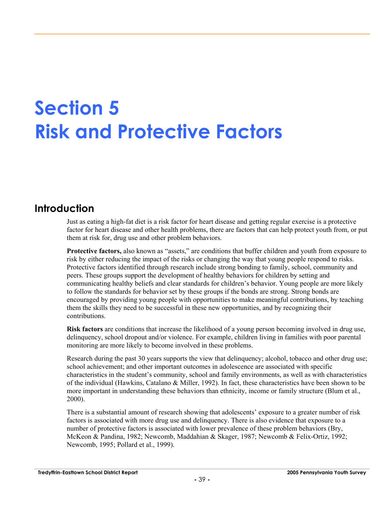# **Section 5 Risk and Protective Factors**

## **Introduction**

Just as eating a high-fat diet is a risk factor for heart disease and getting regular exercise is a protective factor for heart disease and other health problems, there are factors that can help protect youth from, or put them at risk for, drug use and other problem behaviors.

**Protective factors,** also known as "assets," are conditions that buffer children and youth from exposure to risk by either reducing the impact of the risks or changing the way that young people respond to risks. Protective factors identified through research include strong bonding to family, school, community and peers. These groups support the development of healthy behaviors for children by setting and communicating healthy beliefs and clear standards for children's behavior. Young people are more likely to follow the standards for behavior set by these groups if the bonds are strong. Strong bonds are encouraged by providing young people with opportunities to make meaningful contributions, by teaching them the skills they need to be successful in these new opportunities, and by recognizing their contributions.

**Risk factors** are conditions that increase the likelihood of a young person becoming involved in drug use, delinquency, school dropout and/or violence. For example, children living in families with poor parental monitoring are more likely to become involved in these problems.

Research during the past 30 years supports the view that delinquency; alcohol, tobacco and other drug use; school achievement; and other important outcomes in adolescence are associated with specific characteristics in the student's community, school and family environments, as well as with characteristics of the individual (Hawkins, Catalano & Miller, 1992). In fact, these characteristics have been shown to be more important in understanding these behaviors than ethnicity, income or family structure (Blum et al., 2000).

There is a substantial amount of research showing that adolescents' exposure to a greater number of risk factors is associated with more drug use and delinquency. There is also evidence that exposure to a number of protective factors is associated with lower prevalence of these problem behaviors (Bry, McKeon & Pandina, 1982; Newcomb, Maddahian & Skager, 1987; Newcomb & Felix-Ortiz, 1992; Newcomb, 1995; Pollard et al., 1999).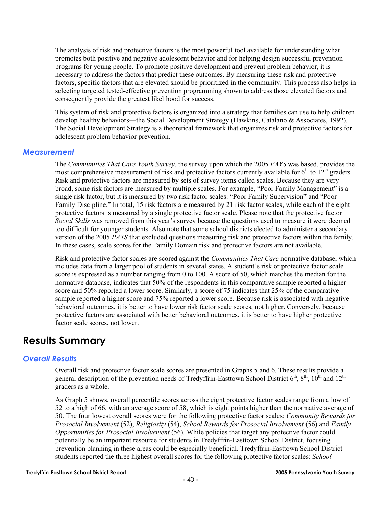The analysis of risk and protective factors is the most powerful tool available for understanding what promotes both positive and negative adolescent behavior and for helping design successful prevention programs for young people. To promote positive development and prevent problem behavior, it is necessary to address the factors that predict these outcomes. By measuring these risk and protective factors, specific factors that are elevated should be prioritized in the community. This process also helps in selecting targeted tested-effective prevention programming shown to address those elevated factors and consequently provide the greatest likelihood for success.

This system of risk and protective factors is organized into a strategy that families can use to help children develop healthy behaviors—the Social Development Strategy (Hawkins, Catalano & Associates, 1992). The Social Development Strategy is a theoretical framework that organizes risk and protective factors for adolescent problem behavior prevention.

#### *Measurement*

The *Communities That Care Youth Survey*, the survey upon which the 2005 *PAYS* was based, provides the most comprehensive measurement of risk and protective factors currently available for  $6<sup>th</sup>$  to  $12<sup>th</sup>$  graders. Risk and protective factors are measured by sets of survey items called scales. Because they are very broad, some risk factors are measured by multiple scales. For example, "Poor Family Management" is a single risk factor, but it is measured by two risk factor scales: "Poor Family Supervision" and "Poor Family Discipline." In total, 15 risk factors are measured by 21 risk factor scales, while each of the eight protective factors is measured by a single protective factor scale. Please note that the protective factor *Social Skills* was removed from this year's survey because the questions used to measure it were deemed too difficult for younger students. Also note that some school districts elected to administer a secondary version of the 2005 *PAYS* that excluded questions measuring risk and protective factors within the family. In these cases, scale scores for the Family Domain risk and protective factors are not available.

Risk and protective factor scales are scored against the *Communities That Care* normative database, which includes data from a larger pool of students in several states. A student's risk or protective factor scale score is expressed as a number ranging from 0 to 100. A score of 50, which matches the median for the normative database, indicates that 50% of the respondents in this comparative sample reported a higher score and 50% reported a lower score. Similarly, a score of 75 indicates that 25% of the comparative sample reported a higher score and 75% reported a lower score. Because risk is associated with negative behavioral outcomes, it is better to have lower risk factor scale scores, not higher. Conversely, because protective factors are associated with better behavioral outcomes, it is better to have higher protective factor scale scores, not lower.

## **Results Summary**

## *Overall Results*

Overall risk and protective factor scale scores are presented in Graphs 5 and 6. These results provide a general description of the prevention needs of Tredyffrin-Easttown School District  $6<sup>th</sup>$ ,  $8<sup>th</sup>$ ,  $10<sup>th</sup>$  and  $12<sup>th</sup>$ graders as a whole.

As Graph 5 shows, overall percentile scores across the eight protective factor scales range from a low of 52 to a high of 66, with an average score of 58, which is eight points higher than the normative average of 50. The four lowest overall scores were for the following protective factor scales: *Community Rewards for Prosocial Involvement* (52), *Religiosity* (54), *School Rewards for Prosocial Involvement* (56) and *Family Opportunities for Prosocial Involvement* (56). While policies that target any protective factor could potentially be an important resource for students in Tredyffrin-Easttown School District, focusing prevention planning in these areas could be especially beneficial. Tredyffrin-Easttown School District students reported the three highest overall scores for the following protective factor scales: *School*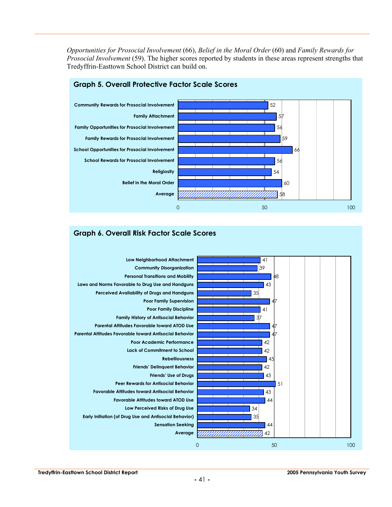*Opportunities for Prosocial Involvement* (66), *Belief in the Moral Order* (60) and *Family Rewards for Prosocial Involvement* (59). The higher scores reported by students in these areas represent strengths that Tredyffrin-Easttown School District can build on.



#### **Graph 6. Overall Risk Factor Scale Scores**

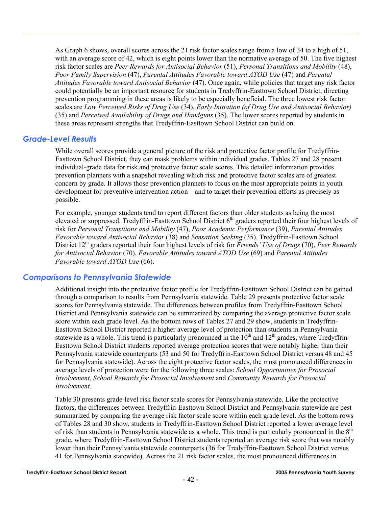As Graph 6 shows, overall scores across the 21 risk factor scales range from a low of 34 to a high of 51, with an average score of 42, which is eight points lower than the normative average of 50. The five highest risk factor scales are *Peer Rewards for Antisocial Behavior* (51), *Personal Transitions and Mobility* (48), *Poor Family Supervision* (47), *Parental Attitudes Favorable toward ATOD Use* (47) and *Parental Attitudes Favorable toward Antisocial Behavior* (47). Once again, while policies that target any risk factor could potentially be an important resource for students in Tredyffrin-Easttown School District, directing prevention programming in these areas is likely to be especially beneficial. The three lowest risk factor scales are *Low Perceived Risks of Drug Use* (34), *Early Initiation (of Drug Use and Antisocial Behavior)* (35) and *Perceived Availability of Drugs and Handguns* (35). The lower scores reported by students in these areas represent strengths that Tredyffrin-Easttown School District can build on.

#### *Grade-Level Results*

While overall scores provide a general picture of the risk and protective factor profile for Tredyffrin-Easttown School District, they can mask problems within individual grades. Tables 27 and 28 present individual-grade data for risk and protective factor scale scores. This detailed information provides prevention planners with a snapshot revealing which risk and protective factor scales are of greatest concern by grade. It allows those prevention planners to focus on the most appropriate points in youth development for preventive intervention action—and to target their prevention efforts as precisely as possible.

For example, younger students tend to report different factors than older students as being the most elevated or suppressed. Tredyffrin-Easttown School District 6<sup>th</sup> graders reported their four highest levels of risk for *Personal Transitions and Mobility* (47), *Poor Academic Performance* (39), *Parental Attitudes Favorable toward Antisocial Behavior* (38) and *Sensation Seeking* (35). Tredyffrin-Easttown School District 12<sup>th</sup> graders reported their four highest levels of risk for *Friends' Use of Drugs* (70), *Peer Rewards for Antisocial Behavior* (70), *Favorable Attitudes toward ATOD Use* (69) and *Parental Attitudes Favorable toward ATOD Use* (66).

#### *Comparisons to Pennsylvania Statewide*

Additional insight into the protective factor profile for Tredyffrin-Easttown School District can be gained through a comparison to results from Pennsylvania statewide. Table 29 presents protective factor scale scores for Pennsylvania statewide. The differences between profiles from Tredyffrin-Easttown School District and Pennsylvania statewide can be summarized by comparing the average protective factor scale score within each grade level. As the bottom rows of Tables 27 and 29 show, students in Tredyffrin-Easttown School District reported a higher average level of protection than students in Pennsylvania statewide as a whole. This trend is particularly pronounced in the  $10<sup>th</sup>$  and  $12<sup>th</sup>$  grades, where Tredyffrin-Easttown School District students reported average protection scores that were notably higher than their Pennsylvania statewide counterparts (53 and 50 for Tredyffrin-Easttown School District versus 48 and 45 for Pennsylvania statewide). Across the eight protective factor scales, the most pronounced differences in average levels of protection were for the following three scales: *School Opportunities for Prosocial Involvement*, *School Rewards for Prosocial Involvement* and *Community Rewards for Prosocial Involvement*.

Table 30 presents grade-level risk factor scale scores for Pennsylvania statewide. Like the protective factors, the differences between Tredyffrin-Easttown School District and Pennsylvania statewide are best summarized by comparing the average risk factor scale score within each grade level. As the bottom rows of Tables 28 and 30 show, students in Tredyffrin-Easttown School District reported a lower average level of risk than students in Pennsylvania statewide as a whole. This trend is particularly pronounced in the  $8<sup>th</sup>$ grade, where Tredyffrin-Easttown School District students reported an average risk score that was notably lower than their Pennsylvania statewide counterparts (36 for Tredyffrin-Easttown School District versus 41 for Pennsylvania statewide). Across the 21 risk factor scales, the most pronounced differences in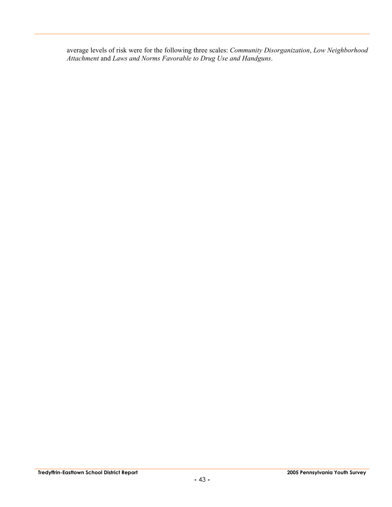average levels of risk were for the following three scales: *Community Disorganization*, *Low Neighborhood Attachment* and *Laws and Norms Favorable to Drug Use and Handguns*.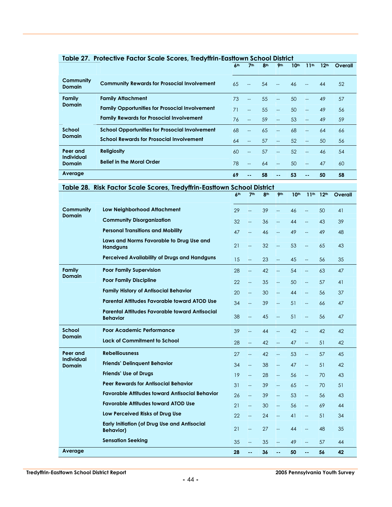|                                    | <u> Rubic 27. Troicente ruelor seule scores, neu film-eusilonii senool bisniel</u> | 6 <sup>th</sup> | <b>7th</b>     | 8 <sup>th</sup> | 9 <sub>th</sub>          | 10 <sup>th</sup> | 11th                     | 12 <sup>th</sup> | Overall |
|------------------------------------|------------------------------------------------------------------------------------|-----------------|----------------|-----------------|--------------------------|------------------|--------------------------|------------------|---------|
| Community<br><b>Domain</b>         | <b>Community Rewards for Prosocial Involvement</b>                                 | 65              | $-$            | 54              |                          | 46               |                          | 44               | 52      |
| Family                             | <b>Family Attachment</b>                                                           | 73              |                | 55              |                          | 50               | $-$                      | 49               | 57      |
| <b>Domain</b>                      | <b>Family Opportunities for Prosocial Involvement</b>                              | 71              | $\overline{a}$ | 55              | $-$                      | 50               | $\overline{a}$           | 49               | 56      |
|                                    | <b>Family Rewards for Prosocial Involvement</b>                                    | 76              | $-$            | 59              | $\overline{\phantom{a}}$ | 53               | $\overline{\phantom{a}}$ | 49               | 59      |
| School                             | <b>School Opportunities for Prosocial Involvement</b>                              | 68              |                | 65              | $\overline{a}$           | 68               | $-$                      | 64               | 66      |
| <b>Domain</b>                      | <b>School Rewards for Prosocial Involvement</b>                                    | 64              | $-$            | 57              | $\overline{\phantom{a}}$ | 52               | $\overline{\phantom{a}}$ | 50               | 56      |
| Peer and                           | <b>Religiosity</b>                                                                 | 60              |                | 57              | <u></u>                  | 52               | $-$                      | 46               | 54      |
| <b>Individual</b><br><b>Domain</b> | <b>Belief in the Moral Order</b>                                                   | 78              | $-$            | 64              | $\overline{a}$           | 50               | $\overline{a}$           | 47               | 60      |
| Average                            |                                                                                    | 69              |                | 58              | --                       | 53               | $- -$                    | 50               | 58      |

|  | Table 28. Risk Factor Scale Scores, Tredyffrin-Eastlown School District |
|--|-------------------------------------------------------------------------|
|  |                                                                         |

|                                                                                               |                                                                          | 6 <sup>th</sup>          | 7 <sup>th</sup>          | 8 <sup>th</sup>          | 9 <sub>th</sub>          | 10 <sup>th</sup>         | 11 <sup>th</sup>         | 12 <sup>th</sup> | Overall |
|-----------------------------------------------------------------------------------------------|--------------------------------------------------------------------------|--------------------------|--------------------------|--------------------------|--------------------------|--------------------------|--------------------------|------------------|---------|
| Community                                                                                     | Low Neighborhood Attachment                                              | 29                       | <u></u>                  | 39                       | $\overline{\phantom{a}}$ | 46                       | --                       | 50               | 41      |
| <b>Domain</b><br><b>Community Disorganization</b><br><b>Personal Transitions and Mobility</b> |                                                                          | 32                       | $\overline{\phantom{a}}$ | 36                       | $\overline{\phantom{a}}$ | 44                       | --                       | 43               | 39      |
|                                                                                               |                                                                          | 47                       | $\overline{\phantom{0}}$ | 46                       | $\overline{\phantom{a}}$ | 49                       | <u></u>                  | 49               | 48      |
|                                                                                               | Laws and Norms Favorable to Drug Use and<br><b>Handguns</b>              | 21                       | $\overline{a}$           | 32                       | $-$                      | 53                       | Щ,                       | 65               | 43      |
|                                                                                               | Perceived Availability of Drugs and Handguns                             | 15                       | Щ,                       | 23                       | $\overline{\phantom{a}}$ | 45                       | <u></u>                  | 56               | 35      |
| Family                                                                                        | <b>Poor Family Supervision</b>                                           | 28                       | $\overline{a}$           | 42                       | $\overline{a}$           | 54                       | $\overline{\phantom{a}}$ | 63               | 47      |
| <b>Domain</b>                                                                                 | <b>Poor Family Discipline</b>                                            | 22                       | Щ,                       | 35                       | Щ,                       | 50                       | <u></u>                  | 57               | 41      |
|                                                                                               | <b>Family History of Antisocial Behavior</b>                             | 20                       | цL,                      | 30                       | Ц.                       | 44                       | Щ,                       | 56               | 37      |
| <b>Parental Attitudes Favorable toward ATOD Use</b>                                           | 34                                                                       | $\overline{\phantom{a}}$ | 39                       | $\overline{\phantom{a}}$ | 51                       | $\overline{\phantom{0}}$ | 66                       | 47               |         |
|                                                                                               | <b>Parental Attitudes Favorable toward Antisocial</b><br><b>Behavior</b> | 38                       | $-$                      | 45                       | $\overline{\phantom{0}}$ | 51                       | $\overline{\phantom{a}}$ | 56               | 47      |
| School                                                                                        | Poor Academic Performance                                                | 39                       | $\overline{\phantom{a}}$ | 44                       | $\overline{\phantom{a}}$ | 42                       | <u></u>                  | 42               | 42      |
| <b>Domain</b><br><b>Lack of Commitment to School</b>                                          | 28                                                                       | $\overline{\phantom{a}}$ | 42                       | $\overline{\phantom{a}}$ | 47                       | цL,                      | 51                       | 42               |         |
| Peer and                                                                                      | <b>Rebelliousness</b>                                                    | 27                       | $\overline{\phantom{a}}$ | 42                       | $\overline{\phantom{a}}$ | 53                       | ш.                       | 57               | 45      |
| <b>Individual</b><br><b>Domain</b>                                                            | <b>Friends' Delinquent Behavior</b>                                      | 34                       | $\overline{\phantom{a}}$ | 38                       | Щ,                       | 47                       | <u></u>                  | 51               | 42      |
|                                                                                               | <b>Friends' Use of Drugs</b>                                             | 19                       | $\overline{a}$           | 28                       | цL,                      | 56                       | Щ,                       | 70               | 43      |
|                                                                                               | <b>Peer Rewards for Antisocial Behavior</b>                              | 31                       | $-$                      | 39                       | $\overline{\phantom{0}}$ | 65                       | $\overline{\phantom{0}}$ | 70               | 51      |
|                                                                                               | <b>Favorable Attitudes toward Antisocial Behavior</b>                    | 26                       | Щ,                       | 39                       | Щ,                       | 53                       | Ц,                       | 56               | 43      |
|                                                                                               | <b>Favorable Attitudes toward ATOD Use</b>                               | 21                       | $\overline{\phantom{a}}$ | 30                       | $\overline{\phantom{a}}$ | 56                       | $\overline{\phantom{a}}$ | 69               | 44      |
|                                                                                               | Low Perceived Risks of Drug Use                                          | 22                       | $\overline{\phantom{a}}$ | 24                       | $\overline{\phantom{a}}$ | 41                       | $\overline{\phantom{a}}$ | 51               | 34      |
|                                                                                               | <b>Early Initiation (of Drug Use and Antisocial</b><br><b>Behavior</b> ) | 21                       | $\qquad \qquad -$        | 27                       | $\overline{\phantom{a}}$ | 44                       | $\overline{\phantom{a}}$ | 48               | 35      |
|                                                                                               | <b>Sensation Seeking</b>                                                 | 35                       | $\overline{a}$           | 35                       | $\overline{\phantom{0}}$ | 49                       | $\overline{\phantom{a}}$ | 57               | 44      |
| Average                                                                                       |                                                                          | 28                       | ۵۵,                      | 36                       | 44                       | 50                       | å.                       | 56               | 42      |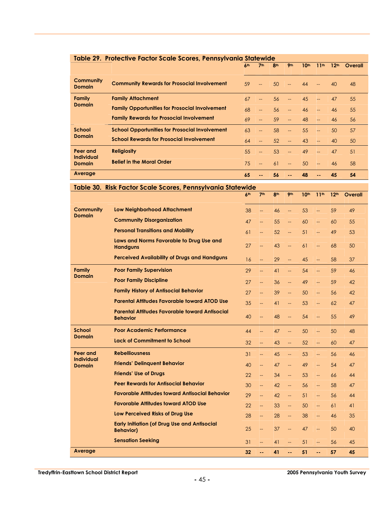| Table 29. Protective Factor Scale Scores, Pennsylvania Statewide |                                                       |                 |                          |                 |                          |                  |                  |                  |         |  |  |
|------------------------------------------------------------------|-------------------------------------------------------|-----------------|--------------------------|-----------------|--------------------------|------------------|------------------|------------------|---------|--|--|
|                                                                  |                                                       | 6 <sup>th</sup> | 7 <sup>th</sup>          | 8 <sup>th</sup> | 9 <sub>th</sub>          | 10 <sup>th</sup> | 11 <sup>th</sup> | 12 <sup>th</sup> | Overall |  |  |
| Community<br><b>Domain</b>                                       | <b>Community Rewards for Prosocial Involvement</b>    | 59              | $\overline{\phantom{a}}$ | 50              | $\mathbb{L}$             | 44               |                  | 40               | 48      |  |  |
| Family<br><b>Domain</b>                                          | <b>Family Attachment</b>                              | 67              | $-$                      | 56              | --                       | 45               | $--$             | 47               | 55      |  |  |
|                                                                  | <b>Family Opportunities for Prosocial Involvement</b> | 68              | --                       | 56              | $--$                     | 46               | L.               | 46               | 55      |  |  |
|                                                                  | <b>Family Rewards for Prosocial Involvement</b>       | 69              | $-$                      | 59              | $--$                     | 48               | $--$             | 46               | 56      |  |  |
| School                                                           | <b>School Opportunities for Prosocial Involvement</b> | 63              | --                       | 58              | $--$                     | 55               | $---$            | 50               | 57      |  |  |
| <b>Domain</b>                                                    | <b>School Rewards for Prosocial Involvement</b>       | 64              | --                       | 52              | $\overline{\phantom{a}}$ | 43               | L.               | 40               | 50      |  |  |
| Peer and<br><b>Individual</b>                                    | <b>Religiosity</b>                                    | 55              | <b>__</b>                | 53              | --                       | 49               | $---$            | 47               | 51      |  |  |
| <b>Domain</b>                                                    | <b>Belief in the Moral Order</b>                      | 75              | <b>__</b>                | 61              | $--$                     | 50               | $-$              | 46               | 58      |  |  |
| Average                                                          |                                                       | 65              | --                       | 56              |                          | 48               | $\sim$ $\sim$    | 45               | 54      |  |  |

|                                | <b>KISK FUCTOL SCUID SCUIDS, FUILSYTVALIIG SIGIDIV</b>                   | uc<br>6 <sup>th</sup> | 7 <sup>th</sup>          | 8 <sup>th</sup> | 9 <sub>th</sub>          | 10 <sup>th</sup> | 11 <sup>th</sup>         | 12 <sup>th</sup> | Overall |
|--------------------------------|--------------------------------------------------------------------------|-----------------------|--------------------------|-----------------|--------------------------|------------------|--------------------------|------------------|---------|
| <b>Community</b>               | <b>Low Neighborhood Attachment</b>                                       |                       |                          |                 |                          |                  |                          |                  |         |
| <b>Domain</b>                  |                                                                          | 38                    | $\overline{\phantom{a}}$ | 46              | u.                       | 53               | $\overline{\phantom{a}}$ | 59               | 49      |
|                                | <b>Community Disorganization</b>                                         | 47                    | --                       | 55              | <u>.,</u>                | 60               | <u>.,</u>                | 60               | 55      |
|                                | <b>Personal Transitions and Mobility</b>                                 | 61                    | $\overline{\phantom{a}}$ | 52              | Ц,                       | 51               | Ц,                       | 49               | 53      |
|                                | Laws and Norms Favorable to Drug Use and<br><b>Handguns</b>              | 27                    | $\overline{\phantom{a}}$ | 43              | $\overline{\phantom{a}}$ | 61               | $\overline{\phantom{a}}$ | 68               | 50      |
|                                | <b>Perceived Availability of Drugs and Handguns</b>                      | 16                    | L.                       | 29              | $\overline{\phantom{a}}$ | 45               | $\overline{\phantom{0}}$ | 58               | 37      |
| <b>Family</b><br><b>Domain</b> | <b>Poor Family Supervision</b>                                           | 29                    | --                       | 41              | u.                       | 54               | $\overline{\phantom{0}}$ | 59               | 46      |
|                                | <b>Poor Family Discipline</b>                                            | 27                    | L.                       | 36              | <u>.,</u>                | 49               | <u>.,</u>                | 59               | 42      |
|                                | <b>Family History of Antisocial Behavior</b>                             | 27                    | ΞĒ,                      | 39              | $\overline{\phantom{a}}$ | 50               | $\overline{\phantom{a}}$ | 56               | 42      |
|                                | <b>Parental Attitudes Favorable toward ATOD Use</b>                      | 35                    | $-$                      | 41              | $\overline{\phantom{a}}$ | 53               | $\overline{\phantom{m}}$ | 62               | 47      |
|                                | Parental Attitudes Favorable toward Antisocial<br><b>Behavior</b>        | 40                    | $\overline{\phantom{a}}$ | 48              | <u>.,</u>                | 54               | <u>.,</u>                | 55               | 49      |
| School                         | Poor Academic Performance                                                | 44                    | $\overline{\phantom{0}}$ | 47              | $\overline{\phantom{a}}$ | 50               | $\overline{\phantom{m}}$ | 50               | 48      |
| <b>Domain</b>                  | <b>Lack of Commitment to School</b>                                      | 32                    | ΞĒ,                      | 43              | $\overline{\phantom{0}}$ | 52               | $\overline{\phantom{a}}$ | 60               | 47      |
| Peer and<br><b>Individual</b>  | <b>Rebelliousness</b>                                                    | 31                    | $\overline{\phantom{a}}$ | 45              | <u>.,</u>                | 53               | $\overline{\phantom{m}}$ | 56               | 46      |
| <b>Domain</b>                  | <b>Friends' Delinquent Behavior</b>                                      | 40                    | $\overline{\phantom{a}}$ | 47              | $\overline{\phantom{a}}$ | 49               | <u>.,</u>                | 54               | 47      |
|                                | <b>Friends' Use of Drugs</b>                                             | 22                    | $\overline{\phantom{a}}$ | 34              | <u>.,</u>                | 53               | $\overline{\phantom{a}}$ | 66               | 44      |
|                                | <b>Peer Rewards for Antisocial Behavior</b>                              | 30                    | --                       | 42              | $\overline{\phantom{a}}$ | 56               | $\overline{\phantom{a}}$ | 58               | 47      |
|                                | <b>Favorable Attitudes toward Antisocial Behavior</b>                    | 29                    | $-$                      | 42              | $\overline{\phantom{a}}$ | 51               | $\overline{\phantom{a}}$ | 56               | 44      |
|                                | <b>Favorable Attitudes toward ATOD Use</b>                               | 22                    | $\overline{\phantom{a}}$ | 33              | $\overline{\phantom{m}}$ | 50               | $\overline{\phantom{m}}$ | 61               | 41      |
|                                | Low Perceived Risks of Drug Use                                          | 28                    | $\overline{\phantom{0}}$ | 28              | $-$                      | 38               | $\overline{\phantom{m}}$ | 46               | 35      |
|                                | <b>Early Initiation (of Drug Use and Antisocial</b><br><b>Behavior</b> ) | 25                    | --                       | 37              | $\overline{\phantom{0}}$ | 47               | <u></u>                  | 50               | 40      |
|                                | <b>Sensation Seeking</b>                                                 | 31                    |                          | 41              | $\overline{\phantom{0}}$ | 51               | $\overline{\phantom{0}}$ | 56               | 45      |

#### **Table 30. Risk Factor Scale Scores, Pennsylvania Statewide**

**Average 32 -- 41 -- 51 -- 57 45**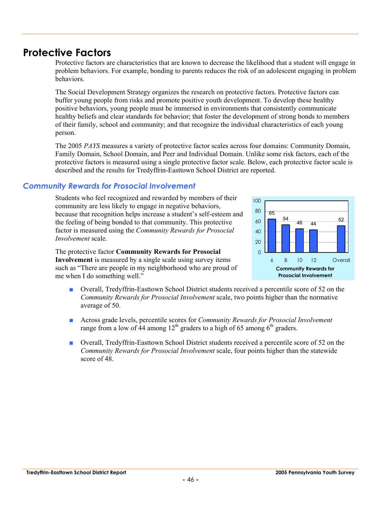## **Protective Factors**

Protective factors are characteristics that are known to decrease the likelihood that a student will engage in problem behaviors. For example, bonding to parents reduces the risk of an adolescent engaging in problem behaviors.

The Social Development Strategy organizes the research on protective factors. Protective factors can buffer young people from risks and promote positive youth development. To develop these healthy positive behaviors, young people must be immersed in environments that consistently communicate healthy beliefs and clear standards for behavior; that foster the development of strong bonds to members of their family, school and community; and that recognize the individual characteristics of each young person.

The 2005 *PAYS* measures a variety of protective factor scales across four domains: Community Domain, Family Domain, School Domain, and Peer and Individual Domain. Unlike some risk factors, each of the protective factors is measured using a single protective factor scale. Below, each protective factor scale is described and the results for Tredyffrin-Easttown School District are reported.

#### *Community Rewards for Prosocial Involvement*

Students who feel recognized and rewarded by members of their community are less likely to engage in negative behaviors, because that recognition helps increase a student's self-esteem and the feeling of being bonded to that community. This protective factor is measured using the *Community Rewards for Prosocial Involvement* scale.

The protective factor **Community Rewards for Prosocial Involvement** is measured by a single scale using survey items such as "There are people in my neighborhood who are proud of me when I do something well."



- Overall, Tredyffrin-Easttown School District students received a percentile score of 52 on the *Community Rewards for Prosocial Involvement* scale, two points higher than the normative average of 50.
- Across grade levels, percentile scores for *Community Rewards for Prosocial Involvement* range from a low of 44 among  $12<sup>th</sup>$  graders to a high of 65 among 6<sup>th</sup> graders.
- Overall, Tredyffrin-Easttown School District students received a percentile score of 52 on the *Community Rewards for Prosocial Involvement* scale, four points higher than the statewide score of 48.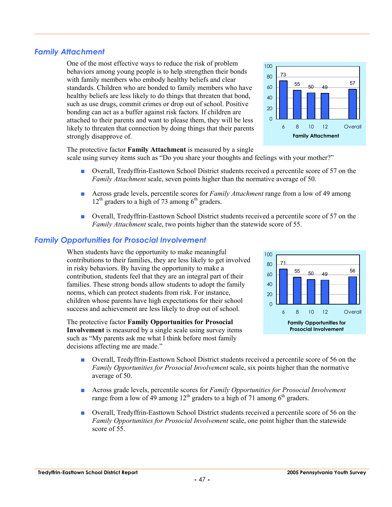# standards. Children who are bonded to family members who have

*Family Attachment* 

healthy beliefs are less likely to do things that threaten that bond, such as use drugs, commit crimes or drop out of school. Positive bonding can act as a buffer against risk factors. If children are attached to their parents and want to please them, they will be less likely to threaten that connection by doing things that their parents strongly disapprove of.

One of the most effective ways to reduce the risk of problem behaviors among young people is to help strengthen their bonds with family members who embody healthy beliefs and clear



The protective factor **Family Attachment** is measured by a single

scale using survey items such as "Do you share your thoughts and feelings with your mother?"

- Overall, Tredyffrin-Easttown School District students received a percentile score of 57 on the *Family Attachment* scale, seven points higher than the normative average of 50.
- Across grade levels, percentile scores for *Family Attachment* range from a low of 49 among  $12<sup>th</sup>$  graders to a high of 73 among 6<sup>th</sup> graders.
- Overall, Tredyffrin-Easttown School District students received a percentile score of 57 on the *Family Attachment* scale, two points higher than the statewide score of 55.

## *Family Opportunities for Prosocial Involvement*

When students have the opportunity to make meaningful contributions to their families, they are less likely to get involved in risky behaviors. By having the opportunity to make a contribution, students feel that they are an integral part of their families. These strong bonds allow students to adopt the family norms, which can protect students from risk. For instance, children whose parents have high expectations for their school success and achievement are less likely to drop out of school.

The protective factor **Family Opportunities for Prosocial Involvement** is measured by a single scale using survey items such as "My parents ask me what I think before most family decisions affecting me are made."



- Overall, Tredyffrin-Easttown School District students received a percentile score of 56 on the *Family Opportunities for Prosocial Involvement* scale, six points higher than the normative average of 50.
- Across grade levels, percentile scores for *Family Opportunities for Prosocial Involvement* range from a low of  $\hat{4}9$  among  $12<sup>th</sup>$  graders to a high of 71 among 6<sup>th</sup> graders.
- Overall, Tredyffrin-Easttown School District students received a percentile score of 56 on the *Family Opportunities for Prosocial Involvement* scale, one point higher than the statewide score of 55.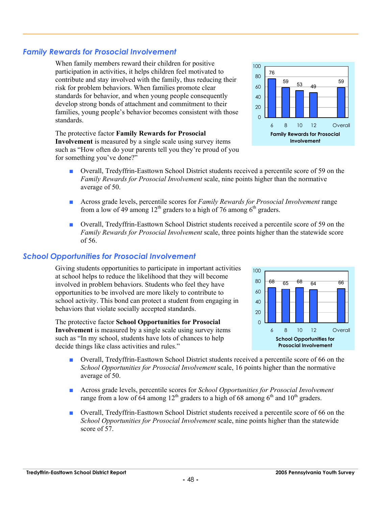## *Family Rewards for Prosocial Involvement*

When family members reward their children for positive participation in activities, it helps children feel motivated to contribute and stay involved with the family, thus reducing their risk for problem behaviors. When families promote clear standards for behavior, and when young people consequently develop strong bonds of attachment and commitment to their families, young people's behavior becomes consistent with those standards.

The protective factor **Family Rewards for Prosocial Involvement** is measured by a single scale using survey items such as "How often do your parents tell you they're proud of you for something you've done?"



- Across grade levels, percentile scores for *Family Rewards for Prosocial Involvement* range from a low of 49 among  $12<sup>th</sup>$  graders to a high of 76 among  $6<sup>th</sup>$  graders.
- Overall, Tredyffrin-Easttown School District students received a percentile score of 59 on the *Family Rewards for Prosocial Involvement* scale, three points higher than the statewide score of 56.

#### *School Opportunities for Prosocial Involvement*

Giving students opportunities to participate in important activities at school helps to reduce the likelihood that they will become involved in problem behaviors. Students who feel they have opportunities to be involved are more likely to contribute to school activity. This bond can protect a student from engaging in behaviors that violate socially accepted standards.

The protective factor **School Opportunities for Prosocial Involvement** is measured by a single scale using survey items such as "In my school, students have lots of chances to help decide things like class activities and rules."

- **School Opportunities for Prosocial Involvement** 68 <sub>65</sub> 68 <sub>64</sub> 66  $\Omega$  $20$ 40 60 80 100 6 8 10 12 Overall
- Overall, Tredyffrin-Easttown School District students received a percentile score of 66 on the *School Opportunities for Prosocial Involvement* scale, 16 points higher than the normative average of 50.
- Across grade levels, percentile scores for *School Opportunities for Prosocial Involvement* range from a low of 64 among  $12<sup>th</sup>$  graders to a high of 68 among 6<sup>th</sup> and  $10<sup>th</sup>$  graders.
- Overall, Tredyffrin-Easttown School District students received a percentile score of 66 on the *School Opportunities for Prosocial Involvement* scale, nine points higher than the statewide score of 57.

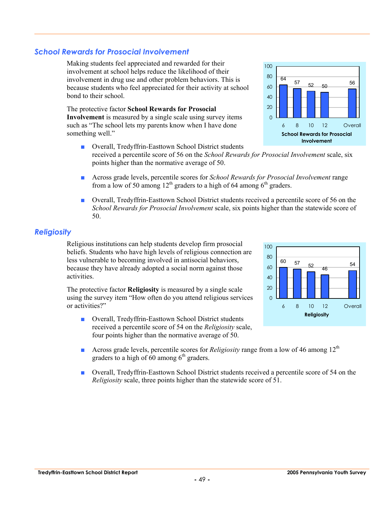## *School Rewards for Prosocial Involvement*

Making students feel appreciated and rewarded for their involvement at school helps reduce the likelihood of their involvement in drug use and other problem behaviors. This is because students who feel appreciated for their activity at school bond to their school.

The protective factor **School Rewards for Prosocial Involvement** is measured by a single scale using survey items such as "The school lets my parents know when I have done something well."

- Overall, Tredyffrin-Easttown School District students received a percentile score of 56 on the *School Rewards for Prosocial Involvement* scale, six points higher than the normative average of 50.
- Across grade levels, percentile scores for *School Rewards for Prosocial Involvement* range from a low of 50 among  $12<sup>th</sup>$  graders to a high of 64 among 6<sup>th</sup> graders.
- Overall, Tredyffrin-Easttown School District students received a percentile score of 56 on the *School Rewards for Prosocial Involvement* scale, six points higher than the statewide score of 50.

#### *Religiosity*

Religious institutions can help students develop firm prosocial beliefs. Students who have high levels of religious connection are less vulnerable to becoming involved in antisocial behaviors, because they have already adopted a social norm against those activities.

The protective factor **Religiosity** is measured by a single scale using the survey item "How often do you attend religious services or activities?"

- Overall, Tredyffrin-Easttown School District students received a percentile score of 54 on the *Religiosity* scale, four points higher than the normative average of 50.
- Across grade levels, percentile scores for *Religiosity* range from a low of 46 among 12<sup>th</sup> graders to a high of  $60$  among  $6<sup>th</sup>$  graders.
- Overall, Tredyffrin-Easttown School District students received a percentile score of 54 on the *Religiosity* scale, three points higher than the statewide score of 51.





80 100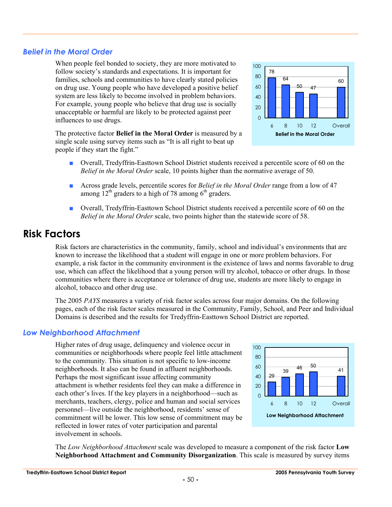#### *Belief in the Moral Order*

When people feel bonded to society, they are more motivated to follow society's standards and expectations. It is important for families, schools and communities to have clearly stated policies on drug use. Young people who have developed a positive belief system are less likely to become involved in problem behaviors. For example, young people who believe that drug use is socially unacceptable or harmful are likely to be protected against peer influences to use drugs.

The protective factor **Belief in the Moral Order** is measured by a single scale using survey items such as "It is all right to beat up people if they start the fight."



- Overall, Tredyffrin-Easttown School District students received a percentile score of 60 on the *Belief in the Moral Order* scale, 10 points higher than the normative average of 50.
- Across grade levels, percentile scores for *Belief in the Moral Order* range from a low of 47 among  $12<sup>th</sup>$  graders to a high of 78 among  $6<sup>th</sup>$  graders.
- Overall, Tredyffrin-Easttown School District students received a percentile score of 60 on the *Belief in the Moral Order* scale, two points higher than the statewide score of 58.

## **Risk Factors**

Risk factors are characteristics in the community, family, school and individual's environments that are known to increase the likelihood that a student will engage in one or more problem behaviors. For example, a risk factor in the community environment is the existence of laws and norms favorable to drug use, which can affect the likelihood that a young person will try alcohol, tobacco or other drugs. In those communities where there is acceptance or tolerance of drug use, students are more likely to engage in alcohol, tobacco and other drug use.

The 2005 *PAYS* measures a variety of risk factor scales across four major domains. On the following pages, each of the risk factor scales measured in the Community, Family, School, and Peer and Individual Domains is described and the results for Tredyffrin-Easttown School District are reported.

## *Low Neighborhood Attachment*

Higher rates of drug usage, delinquency and violence occur in communities or neighborhoods where people feel little attachment to the community. This situation is not specific to low-income neighborhoods. It also can be found in affluent neighborhoods. Perhaps the most significant issue affecting community attachment is whether residents feel they can make a difference in each other's lives. If the key players in a neighborhood—such as merchants, teachers, clergy, police and human and social services personnel—live outside the neighborhood, residents' sense of commitment will be lower. This low sense of commitment may be reflected in lower rates of voter participation and parental involvement in schools.



The *Low Neighborhood Attachment* scale was developed to measure a component of the risk factor **Low Neighborhood Attachment and Community Disorganization**. This scale is measured by survey items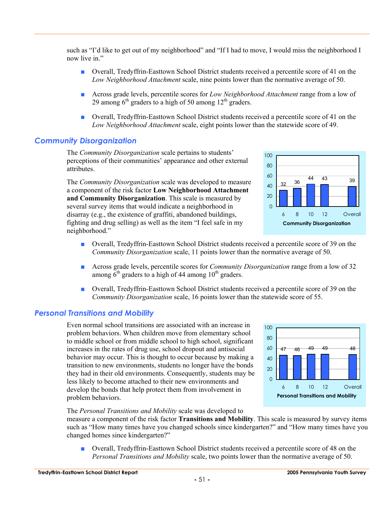such as "I'd like to get out of my neighborhood" and "If I had to move, I would miss the neighborhood I now live in"

- Overall, Tredyffrin-Easttown School District students received a percentile score of 41 on the *Low Neighborhood Attachment* scale, nine points lower than the normative average of 50.
- Across grade levels, percentile scores for *Low Neighborhood Attachment* range from a low of 29 among  $6<sup>th</sup>$  graders to a high of 50 among  $12<sup>th</sup>$  graders.
- Overall, Tredyffrin-Easttown School District students received a percentile score of 41 on the *Low Neighborhood Attachment* scale, eight points lower than the statewide score of 49.

## *Community Disorganization*

The *Community Disorganization* scale pertains to students' perceptions of their communities' appearance and other external attributes.

The *Community Disorganization* scale was developed to measure a component of the risk factor **Low Neighborhood Attachment and Community Disorganization**. This scale is measured by several survey items that would indicate a neighborhood in disarray (e.g., the existence of graffiti, abandoned buildings, fighting and drug selling) as well as the item "I feel safe in my neighborhood."



- Overall, Tredyffrin-Easttown School District students received a percentile score of 39 on the *Community Disorganization* scale, 11 points lower than the normative average of 50.
- Across grade levels, percentile scores for *Community Disorganization* range from a low of 32 among  $6<sup>th</sup>$  graders to a high of 44 among  $10<sup>th</sup>$  graders.
- Overall, Tredyffrin-Easttown School District students received a percentile score of 39 on the *Community Disorganization* scale, 16 points lower than the statewide score of 55.

#### *Personal Transitions and Mobility*

Even normal school transitions are associated with an increase in problem behaviors. When children move from elementary school to middle school or from middle school to high school, significant increases in the rates of drug use, school dropout and antisocial behavior may occur. This is thought to occur because by making a transition to new environments, students no longer have the bonds they had in their old environments. Consequently, students may be less likely to become attached to their new environments and develop the bonds that help protect them from involvement in problem behaviors.



#### The *Personal Transitions and Mobility* scale was developed to

measure a component of the risk factor **Transitions and Mobility**. This scale is measured by survey items such as "How many times have you changed schools since kindergarten?" and "How many times have you changed homes since kindergarten?"

■ Overall, Tredyffrin-Easttown School District students received a percentile score of 48 on the *Personal Transitions and Mobility* scale, two points lower than the normative average of 50.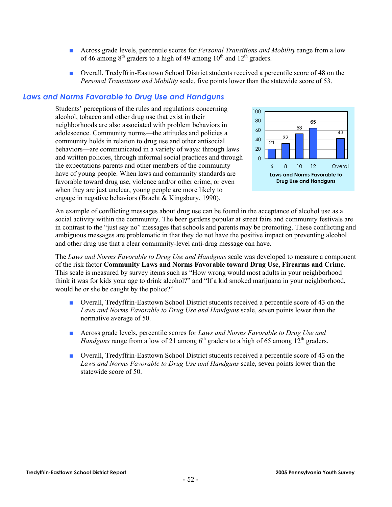- Across grade levels, percentile scores for *Personal Transitions and Mobility* range from a low of 46 among  $8<sup>th</sup>$  graders to a high of 49 among  $10<sup>th</sup>$  and  $12<sup>th</sup>$  graders.
- Overall, Tredyffrin-Easttown School District students received a percentile score of 48 on the *Personal Transitions and Mobility* scale, five points lower than the statewide score of 53.

#### *Laws and Norms Favorable to Drug Use and Handguns*

Students' perceptions of the rules and regulations concerning alcohol, tobacco and other drug use that exist in their neighborhoods are also associated with problem behaviors in adolescence. Community norms—the attitudes and policies a community holds in relation to drug use and other antisocial behaviors—are communicated in a variety of ways: through laws and written policies, through informal social practices and through the expectations parents and other members of the community have of young people. When laws and community standards are favorable toward drug use, violence and/or other crime, or even when they are just unclear, young people are more likely to engage in negative behaviors (Bracht & Kingsbury, 1990).



An example of conflicting messages about drug use can be found in the acceptance of alcohol use as a social activity within the community. The beer gardens popular at street fairs and community festivals are in contrast to the "just say no" messages that schools and parents may be promoting. These conflicting and ambiguous messages are problematic in that they do not have the positive impact on preventing alcohol and other drug use that a clear community-level anti-drug message can have.

The *Laws and Norms Favorable to Drug Use and Handguns* scale was developed to measure a component of the risk factor **Community Laws and Norms Favorable toward Drug Use, Firearms and Crime**. This scale is measured by survey items such as "How wrong would most adults in your neighborhood think it was for kids your age to drink alcohol?" and "If a kid smoked marijuana in your neighborhood, would he or she be caught by the police?"

- Overall, Tredyffrin-Easttown School District students received a percentile score of 43 on the *Laws and Norms Favorable to Drug Use and Handguns* scale, seven points lower than the normative average of 50.
- Across grade levels, percentile scores for *Laws and Norms Favorable to Drug Use and Handguns* range from a low of 21 among  $6<sup>th</sup>$  graders to a high of 65 among  $12<sup>th</sup>$  graders.
- Overall, Tredyffrin-Easttown School District students received a percentile score of 43 on the *Laws and Norms Favorable to Drug Use and Handguns* scale, seven points lower than the statewide score of 50.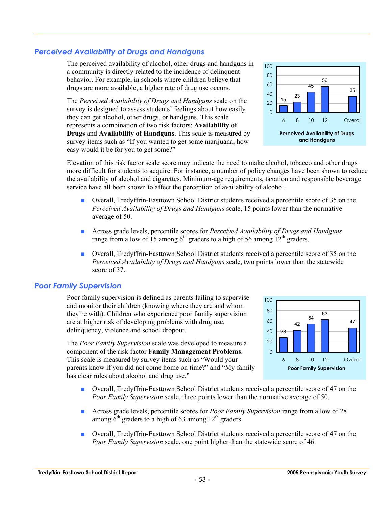## *Perceived Availability of Drugs and Handguns*

The perceived availability of alcohol, other drugs and handguns in a community is directly related to the incidence of delinquent behavior. For example, in schools where children believe that drugs are more available, a higher rate of drug use occurs.

The *Perceived Availability of Drugs and Handguns* scale on the survey is designed to assess students' feelings about how easily they can get alcohol, other drugs, or handguns. This scale represents a combination of two risk factors: **Availability of Drugs** and **Availability of Handguns**. This scale is measured by survey items such as "If you wanted to get some marijuana, how easy would it be for you to get some?"



Elevation of this risk factor scale score may indicate the need to make alcohol, tobacco and other drugs more difficult for students to acquire. For instance, a number of policy changes have been shown to reduce the availability of alcohol and cigarettes. Minimum-age requirements, taxation and responsible beverage service have all been shown to affect the perception of availability of alcohol.

- Overall, Tredyffrin-Easttown School District students received a percentile score of 35 on the *Perceived Availability of Drugs and Handguns* scale, 15 points lower than the normative average of 50.
- Across grade levels, percentile scores for *Perceived Availability of Drugs and Handguns* range from a low of 15 among  $6<sup>th</sup>$  graders to a high of 56 among 12<sup>th</sup> graders.
- Overall, Tredyffrin-Easttown School District students received a percentile score of 35 on the *Perceived Availability of Drugs and Handguns* scale, two points lower than the statewide score of 37.

#### *Poor Family Supervision*

Poor family supervision is defined as parents failing to supervise and monitor their children (knowing where they are and whom they're with). Children who experience poor family supervision are at higher risk of developing problems with drug use, delinquency, violence and school dropout.

The *Poor Family Supervision* scale was developed to measure a component of the risk factor **Family Management Problems**. This scale is measured by survey items such as "Would your parents know if you did not come home on time?" and "My family has clear rules about alcohol and drug use."



- Overall, Tredyffrin-Easttown School District students received a percentile score of 47 on the *Poor Family Supervision* scale, three points lower than the normative average of 50.
- Across grade levels, percentile scores for *Poor Family Supervision* range from a low of 28 among  $6<sup>th</sup>$  graders to a high of 63 among  $12<sup>th</sup>$  graders.
- Overall, Tredyffrin-Easttown School District students received a percentile score of 47 on the *Poor Family Supervision* scale, one point higher than the statewide score of 46.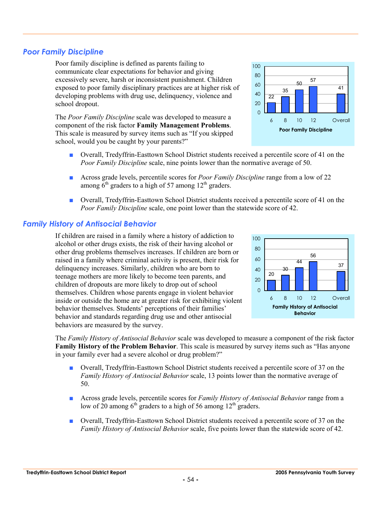## *Poor Family Discipline*

Poor family discipline is defined as parents failing to communicate clear expectations for behavior and giving excessively severe, harsh or inconsistent punishment. Children exposed to poor family disciplinary practices are at higher risk of developing problems with drug use, delinquency, violence and school dropout.

The *Poor Family Discipline* scale was developed to measure a component of the risk factor **Family Management Problems**. This scale is measured by survey items such as "If you skipped school, would you be caught by your parents?"

- Overall, Tredyffrin-Easttown School District students received a percentile score of 41 on the *Poor Family Discipline* scale, nine points lower than the normative average of 50.
- Across grade levels, percentile scores for *Poor Family Discipline* range from a low of 22 among  $6<sup>th</sup>$  graders to a high of 57 among 12<sup>th</sup> graders.
- Overall, Tredyffrin-Easttown School District students received a percentile score of 41 on the *Poor Family Discipline* scale, one point lower than the statewide score of 42.

## *Family History of Antisocial Behavior*

If children are raised in a family where a history of addiction to alcohol or other drugs exists, the risk of their having alcohol or other drug problems themselves increases. If children are born or raised in a family where criminal activity is present, their risk for delinquency increases. Similarly, children who are born to teenage mothers are more likely to become teen parents, and children of dropouts are more likely to drop out of school themselves. Children whose parents engage in violent behavior inside or outside the home are at greater risk for exhibiting violent behavior themselves. Students' perceptions of their families' behavior and standards regarding drug use and other antisocial behaviors are measured by the survey.

The *Family History of Antisocial Behavior* scale was developed to measure a component of the risk factor **Family History of the Problem Behavior**. This scale is measured by survey items such as "Has anyone in your family ever had a severe alcohol or drug problem?"

- Overall, Tredyffrin-Easttown School District students received a percentile score of 37 on the *Family History of Antisocial Behavior* scale, 13 points lower than the normative average of 50.
- Across grade levels, percentile scores for *Family History of Antisocial Behavior* range from a low of 20 among  $6<sup>th</sup>$  graders to a high of 56 among 12<sup>th</sup> graders.
- Overall, Tredyffrin-Easttown School District students received a percentile score of 37 on the *Family History of Antisocial Behavior* scale, five points lower than the statewide score of 42.



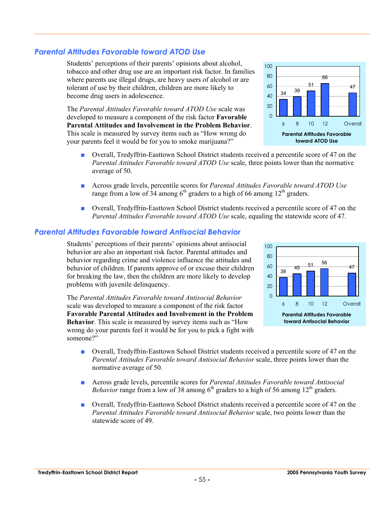#### **Tredyffrin-Easttown School District Report 2005 Pennsylvania Youth Survey**

## *Parental Attitudes Favorable toward ATOD Use*

Students' perceptions of their parents' opinions about alcohol, tobacco and other drug use are an important risk factor. In families where parents use illegal drugs, are heavy users of alcohol or are tolerant of use by their children, children are more likely to become drug users in adolescence.

The *Parental Attitudes Favorable toward ATOD Use* scale was developed to measure a component of the risk factor **Favorable Parental Attitudes and Involvement in the Problem Behavior**. This scale is measured by survey items such as "How wrong do your parents feel it would be for you to smoke marijuana?"

- Overall, Tredyffrin-Easttown School District students received a percentile score of 47 on the *Parental Attitudes Favorable toward ATOD Use* scale, three points lower than the normative average of 50.
- Across grade levels, percentile scores for *Parental Attitudes Favorable toward ATOD Use* range from a low of  $34$  among 6<sup>th</sup> graders to a high of 66 among 12<sup>th</sup> graders.
- Overall, Tredyffrin-Easttown School District students received a percentile score of 47 on the *Parental Attitudes Favorable toward ATOD Use* scale, equaling the statewide score of 47.

## *Parental Attitudes Favorable toward Antisocial Behavior*

Students' perceptions of their parents' opinions about antisocial behavior are also an important risk factor. Parental attitudes and behavior regarding crime and violence influence the attitudes and behavior of children. If parents approve of or excuse their children for breaking the law, then the children are more likely to develop problems with juvenile delinquency.

The *Parental Attitudes Favorable toward Antisocial Behavior* scale was developed to measure a component of the risk factor **Favorable Parental Attitudes and Involvement in the Problem Behavior**. This scale is measured by survey items such as "How wrong do your parents feel it would be for you to pick a fight with someone?"

- Overall, Tredyffrin-Easttown School District students received a percentile score of 47 on the *Parental Attitudes Favorable toward Antisocial Behavior* scale, three points lower than the normative average of 50.
- Across grade levels, percentile scores for *Parental Attitudes Favorable toward Antisocial Behavior* range from a low of 38 among  $6<sup>th</sup>$  graders to a high of 56 among  $12<sup>th</sup>$  graders.

**-** 55 **-** 

■ Overall, Tredyffrin-Easttown School District students received a percentile score of 47 on the *Parental Attitudes Favorable toward Antisocial Behavior* scale, two points lower than the statewide score of 49.



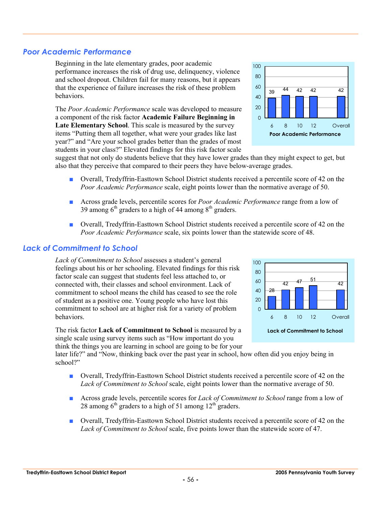## *Poor Academic Performance*

Beginning in the late elementary grades, poor academic performance increases the risk of drug use, delinquency, violence and school dropout. Children fail for many reasons, but it appears that the experience of failure increases the risk of these problem behaviors.

The *Poor Academic Performance* scale was developed to measure a component of the risk factor **Academic Failure Beginning in Late Elementary School**. This scale is measured by the survey items "Putting them all together, what were your grades like last year?" and "Are your school grades better than the grades of most students in your class?" Elevated findings for this risk factor scale

suggest that not only do students believe that they have lower grades than they might expect to get, but also that they perceive that compared to their peers they have below-average grades.

- Overall, Tredyffrin-Easttown School District students received a percentile score of 42 on the *Poor Academic Performance* scale, eight points lower than the normative average of 50.
- Across grade levels, percentile scores for *Poor Academic Performance* range from a low of 39 among  $6<sup>th</sup>$  graders to a high of 44 among  $8<sup>th</sup>$  graders.
- Overall, Tredyffrin-Easttown School District students received a percentile score of 42 on the *Poor Academic Performance* scale, six points lower than the statewide score of 48.

## *Lack of Commitment to School*

*Lack of Commitment to School* assesses a student's general feelings about his or her schooling. Elevated findings for this risk factor scale can suggest that students feel less attached to, or connected with, their classes and school environment. Lack of commitment to school means the child has ceased to see the role of student as a positive one. Young people who have lost this commitment to school are at higher risk for a variety of problem behaviors.

The risk factor **Lack of Commitment to School** is measured by a single scale using survey items such as "How important do you think the things you are learning in school are going to be for your

later life?" and "Now, thinking back over the past year in school, how often did you enjoy being in school?"

- Overall, Tredyffrin-Easttown School District students received a percentile score of 42 on the *Lack of Commitment to School* scale, eight points lower than the normative average of 50.
- Across grade levels, percentile scores for *Lack of Commitment to School* range from a low of 28 among  $6<sup>th</sup>$  graders to a high of 51 among  $12<sup>th</sup>$  graders.
- Overall, Tredyffrin-Easttown School District students received a percentile score of 42 on the *Lack of Commitment to School* scale, five points lower than the statewide score of 47.



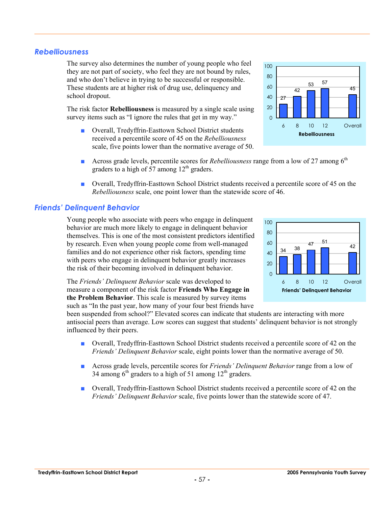## *Rebelliousness*

The survey also determines the number of young people who feel they are not part of society, who feel they are not bound by rules, and who don't believe in trying to be successful or responsible. These students are at higher risk of drug use, delinquency and school dropout.

The risk factor **Rebelliousness** is measured by a single scale using survey items such as "I ignore the rules that get in my way."

- Overall, Tredyffrin-Easttown School District students received a percentile score of 45 on the *Rebelliousness* scale, five points lower than the normative average of 50.
- Across grade levels, percentile scores for *Rebelliousness* range from a low of 27 among 6<sup>th</sup> graders to a high of  $\frac{57}{2}$  among  $12<sup>th</sup>$  graders.
- Overall, Tredyffrin-Easttown School District students received a percentile score of 45 on the *Rebelliousness* scale, one point lower than the statewide score of 46.

## *Friends' Delinquent Behavior*

Young people who associate with peers who engage in delinquent behavior are much more likely to engage in delinquent behavior themselves. This is one of the most consistent predictors identified by research. Even when young people come from well-managed families and do not experience other risk factors, spending time with peers who engage in delinquent behavior greatly increases the risk of their becoming involved in delinquent behavior.

The *Friends' Delinquent Behavior* scale was developed to measure a component of the risk factor **Friends Who Engage in the Problem Behavior**. This scale is measured by survey items such as "In the past year, how many of your four best friends have

been suspended from school?" Elevated scores can indicate that students are interacting with more antisocial peers than average. Low scores can suggest that students' delinquent behavior is not strongly influenced by their peers.

- Overall, Tredyffrin-Easttown School District students received a percentile score of 42 on the *Friends' Delinquent Behavior* scale, eight points lower than the normative average of 50.
- Across grade levels, percentile scores for *Friends' Delinquent Behavior* range from a low of 34 among  $6<sup>th</sup>$  graders to a high of 51 among  $12<sup>th</sup>$  graders.
- Overall, Tredyffrin-Easttown School District students received a percentile score of 42 on the *Friends' Delinquent Behavior* scale, five points lower than the statewide score of 47.



**Friends' Delinquent Behavior**

6 8 10 12 Overall

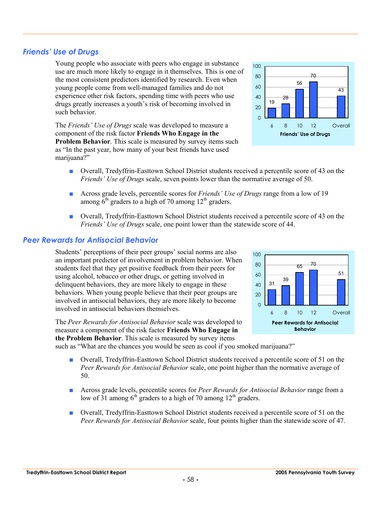#### *Peer Rewards for Antisocial Behavior*

*Friends' Use of Drugs* 

such behavior.

marijuana?"

Students' perceptions of their peer groups' social norms are also an important predictor of involvement in problem behavior. When students feel that they get positive feedback from their peers for using alcohol, tobacco or other drugs, or getting involved in delinquent behaviors, they are more likely to engage in these behaviors. When young people believe that their peer groups are involved in antisocial behaviors, they are more likely to become involved in antisocial behaviors themselves.

Young people who associate with peers who engage in substance use are much more likely to engage in it themselves. This is one of the most consistent predictors identified by research. Even when young people come from well-managed families and do not

The *Peer Rewards for Antisocial Behavior* scale was developed to measure a component of the risk factor **Friends Who Engage in the Problem Behavior**. This scale is measured by survey items

such as "What are the chances you would be seen as cool if you smoked marijuana?"

- Overall, Tredyffrin-Easttown School District students received a percentile score of 51 on the *Peer Rewards for Antisocial Behavior* scale, one point higher than the normative average of 50.
- Across grade levels, percentile scores for *Peer Rewards for Antisocial Behavior* range from a low of 31 among  $6<sup>th</sup>$  graders to a high of 70 among 12<sup>th</sup> graders.
- Overall, Tredyffrin-Easttown School District students received a percentile score of 51 on the *Peer Rewards for Antisocial Behavior* scale, four points higher than the statewide score of 47.

**Problem Behavior**. This scale is measured by survey items such as "In the past year, how many of your best friends have used

60 80 100

- Overall, Tredyffrin-Easttown School District students received a percentile score of 43 on the *Friends' Use of Drugs* scale, seven points lower than the normative average of 50.
- Across grade levels, percentile scores for *Friends' Use of Drugs* range from a low of 19 among  $6<sup>th</sup>$  graders to a high of 70 among 12<sup>th</sup> graders.
- Overall, Tredyffrin-Easttown School District students received a percentile score of 43 on the *Friends' Use of Drugs* scale, one point lower than the statewide score of 44.



56

70

43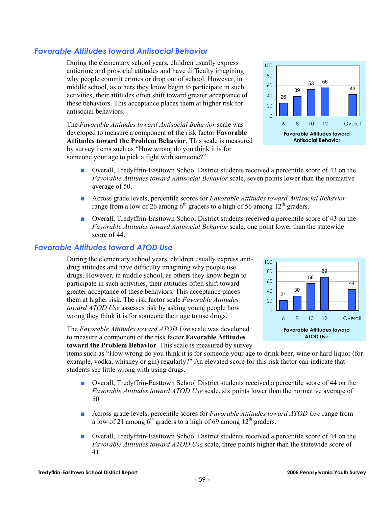## *Favorable Attitudes toward Antisocial Behavior*

During the elementary school years, children usually express anticrime and prosocial attitudes and have difficulty imagining why people commit crimes or drop out of school. However, in middle school, as others they know begin to participate in such activities, their attitudes often shift toward greater acceptance of these behaviors. This acceptance places them at higher risk for antisocial behaviors.

The *Favorable Attitudes toward Antisocial Behavior* scale was developed to measure a component of the risk factor **Favorable Attitudes toward the Problem Behavior**. This scale is measured by survey items such as "How wrong do you think it is for someone your age to pick a fight with someone?"

- Overall, Tredyffrin-Easttown School District students received a percentile score of 43 on the *Favorable Attitudes toward Antisocial Behavior* scale, seven points lower than the normative average of 50.
- Across grade levels, percentile scores for *Favorable Attitudes toward Antisocial Behavior* range from a low of 26 among  $6<sup>th</sup>$  graders to a high of 56 among 12<sup>th</sup> graders.
- Overall, Tredyffrin-Easttown School District students received a percentile score of 43 on the *Favorable Attitudes toward Antisocial Behavior* scale, one point lower than the statewide score of 44.

#### *Favorable Attitudes toward ATOD Use*

During the elementary school years, children usually express antidrug attitudes and have difficulty imagining why people use drugs. However, in middle school, as others they know begin to participate in such activities, their attitudes often shift toward greater acceptance of these behaviors. This acceptance places them at higher risk. The risk factor scale *Favorable Attitudes toward ATOD Use* assesses risk by asking young people how wrong they think it is for someone their age to use drugs.

The *Favorable Attitudes toward ATOD Use* scale was developed to measure a component of the risk factor **Favorable Attitudes toward the Problem Behavior**. This scale is measured by survey

items such as "How wrong do you think it is for someone your age to drink beer, wine or hard liquor (for example, vodka, whiskey or gin) regularly?" An elevated score for this risk factor can indicate that students see little wrong with using drugs.

- Overall, Tredyffrin-Easttown School District students received a percentile score of 44 on the *Favorable Attitudes toward ATOD Use* scale, six points lower than the normative average of 50.
- Across grade levels, percentile scores for *Favorable Attitudes toward ATOD Use* range from a low of 21 among  $6<sup>th</sup>$  graders to a high of 69 among 12<sup>th</sup> graders.
- Overall, Tredyffrin-Easttown School District students received a percentile score of 44 on the *Favorable Attitudes toward ATOD Use* scale, three points higher than the statewide score of 41.



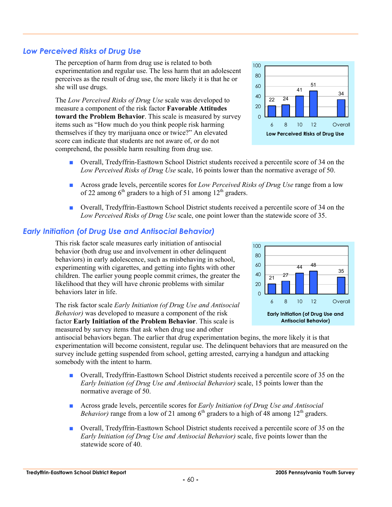## *Low Perceived Risks of Drug Use*

The perception of harm from drug use is related to both experimentation and regular use. The less harm that an adolescent perceives as the result of drug use, the more likely it is that he or she will use drugs.

The *Low Perceived Risks of Drug Use* scale was developed to measure a component of the risk factor **Favorable Attitudes toward the Problem Behavior**. This scale is measured by survey items such as "How much do you think people risk harming themselves if they try marijuana once or twice?" An elevated score can indicate that students are not aware of, or do not comprehend, the possible harm resulting from drug use.

- Overall, Tredyffrin-Easttown School District students received a percentile score of 34 on the *Low Perceived Risks of Drug Use* scale, 16 points lower than the normative average of 50.
- Across grade levels, percentile scores for *Low Perceived Risks of Drug Use* range from a low of 22 among  $6<sup>th</sup>$  graders to a high of 51 among 12<sup>th</sup> graders.
- Overall, Tredyffrin-Easttown School District students received a percentile score of 34 on the *Low Perceived Risks of Drug Use* scale, one point lower than the statewide score of 35.

## *Early Initiation (of Drug Use and Antisocial Behavior)*

This risk factor scale measures early initiation of antisocial behavior (both drug use and involvement in other delinquent behaviors) in early adolescence, such as misbehaving in school, experimenting with cigarettes, and getting into fights with other children. The earlier young people commit crimes, the greater the likelihood that they will have chronic problems with similar behaviors later in life.

The risk factor scale *Early Initiation (of Drug Use and Antisocial Behavior)* was developed to measure a component of the risk factor **Early Initiation of the Problem Behavior**. This scale is measured by survey items that ask when drug use and other

antisocial behaviors began. The earlier that drug experimentation begins, the more likely it is that experimentation will become consistent, regular use. The delinquent behaviors that are measured on the survey include getting suspended from school, getting arrested, carrying a handgun and attacking somebody with the intent to harm.

- Overall, Tredyffrin-Easttown School District students received a percentile score of 35 on the *Early Initiation (of Drug Use and Antisocial Behavior)* scale, 15 points lower than the normative average of 50.
- Across grade levels, percentile scores for *Early Initiation (of Drug Use and Antisocial Behavior*) range from a low of 21 among  $6<sup>th</sup>$  graders to a high of 48 among  $12<sup>th</sup>$  graders.
- Overall, Tredyffrin-Easttown School District students received a percentile score of 35 on the *Early Initiation (of Drug Use and Antisocial Behavior)* scale, five points lower than the statewide score of 40.



**Antisocial Behavior)**



100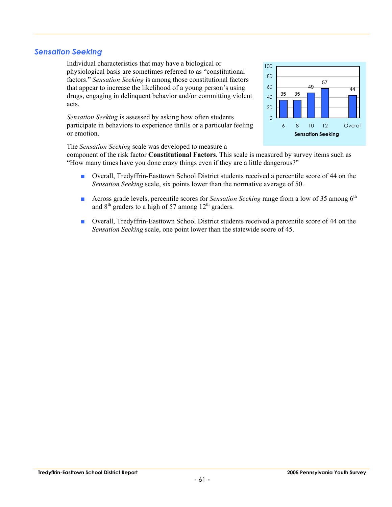#### *Sensation Seeking*

Individual characteristics that may have a biological or physiological basis are sometimes referred to as "constitutional factors." *Sensation Seeking* is among those constitutional factors that appear to increase the likelihood of a young person's using drugs, engaging in delinquent behavior and/or committing violent acts.

*Sensation Seeking* is assessed by asking how often students participate in behaviors to experience thrills or a particular feeling or emotion.

**Sensation Seeking** 35 35 49 57 44  $\Omega$ 20 40 60 80 100 6 8 10 12 Overall

The *Sensation Seeking* scale was developed to measure a

component of the risk factor **Constitutional Factors**. This scale is measured by survey items such as "How many times have you done crazy things even if they are a little dangerous?"

- Overall, Tredyffrin-Easttown School District students received a percentile score of 44 on the *Sensation Seeking* scale, six points lower than the normative average of 50.
- Across grade levels, percentile scores for *Sensation Seeking* range from a low of 35 among 6<sup>th</sup> and  $8<sup>th</sup>$  graders to a high of 57 among  $12<sup>th</sup>$  graders.
- Overall, Tredyffrin-Easttown School District students received a percentile score of 44 on the *Sensation Seeking* scale, one point lower than the statewide score of 45.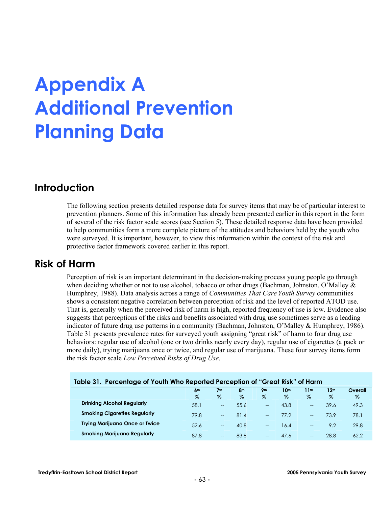# **Appendix A Additional Prevention Planning Data**

## **Introduction**

The following section presents detailed response data for survey items that may be of particular interest to prevention planners. Some of this information has already been presented earlier in this report in the form of several of the risk factor scale scores (see Section 5). These detailed response data have been provided to help communities form a more complete picture of the attitudes and behaviors held by the youth who were surveyed. It is important, however, to view this information within the context of the risk and protective factor framework covered earlier in this report.

## **Risk of Harm**

Perception of risk is an important determinant in the decision-making process young people go through when deciding whether or not to use alcohol, tobacco or other drugs (Bachman, Johnston, O'Malley & Humphrey, 1988). Data analysis across a range of *Communities That Care Youth Survey* communities shows a consistent negative correlation between perception of risk and the level of reported ATOD use. That is, generally when the perceived risk of harm is high, reported frequency of use is low. Evidence also suggests that perceptions of the risks and benefits associated with drug use sometimes serve as a leading indicator of future drug use patterns in a community (Bachman, Johnston, O'Malley & Humphrey, 1986). Table 31 presents prevalence rates for surveyed youth assigning "great risk" of harm to four drug use behaviors: regular use of alcohol (one or two drinks nearly every day), regular use of cigarettes (a pack or more daily), trying marijuana once or twice, and regular use of marijuana. These four survey items form the risk factor scale *Low Perceived Risks of Drug Use*.

| Table 31. Percentage of Youth Who Reported Perception of "Great Risk" of Harm |                         |                          |                      |                 |              |                   |                          |                 |  |  |  |
|-------------------------------------------------------------------------------|-------------------------|--------------------------|----------------------|-----------------|--------------|-------------------|--------------------------|-----------------|--|--|--|
|                                                                               | 6 <sup>th</sup><br>$\%$ | 7 <sup>th</sup><br>%     | 8 <sup>th</sup><br>% | <b>Qth</b><br>% | 10th<br>$\%$ | 11th<br>$\%$      | 12 <sup>th</sup><br>$\%$ | Overall<br>$\%$ |  |  |  |
| <b>Drinking Alcohol Regularly</b>                                             | 58.1                    | $\overline{\phantom{a}}$ | 55.6                 | $- -$           | 43.8         | $-$               | 39.6                     | 49.3            |  |  |  |
| <b>Smoking Cigarettes Regularly</b>                                           | 79.8                    | $\sim$                   | 81.4                 | $-$             | 77.2         | $\overline{a}$    | 73.9                     | 78.1            |  |  |  |
| <b>Trying Marijuana Once or Twice</b>                                         | 52.6                    | $-$                      | 40.8                 | $- -$           | 16.4         | $-$               | 9.2                      | 29.8            |  |  |  |
| <b>Smoking Marijuana Regularly</b>                                            | 87.8                    | $\hspace{0.05cm}$        | 83.8                 | $- -$           | 47.6         | $\qquad \qquad -$ | 28.8                     | 62.2            |  |  |  |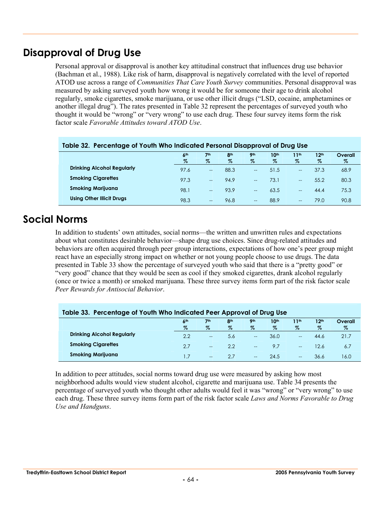## **Disapproval of Drug Use**

Personal approval or disapproval is another key attitudinal construct that influences drug use behavior (Bachman et al., 1988). Like risk of harm, disapproval is negatively correlated with the level of reported ATOD use across a range of *Communities That Care Youth Survey* communities. Personal disapproval was measured by asking surveyed youth how wrong it would be for someone their age to drink alcohol regularly, smoke cigarettes, smoke marijuana, or use other illicit drugs ("LSD, cocaine, amphetamines or another illegal drug"). The rates presented in Table 32 represent the percentages of surveyed youth who thought it would be "wrong" or "very wrong" to use each drug. These four survey items form the risk factor scale *Favorable Attitudes toward ATOD Use*.

| Table 32. Felcemage of Tourn Who indicated Felsonal Disapproval of Drug Use |                 |                          |                 |                   |                  |                                       |                  |         |  |  |
|-----------------------------------------------------------------------------|-----------------|--------------------------|-----------------|-------------------|------------------|---------------------------------------|------------------|---------|--|--|
|                                                                             | 6 <sup>th</sup> | 7 <sup>th</sup>          | 8 <sup>th</sup> | <b>9th</b>        | 10 <sup>th</sup> | 11 <sup>th</sup>                      | 12 <sup>th</sup> | Overall |  |  |
|                                                                             | %               | $\%$                     | %               | %                 | %                | $\%$                                  | $\%$             | %       |  |  |
| <b>Drinking Alcohol Regularly</b>                                           | 97.6            | $\overline{\phantom{a}}$ | 88.3            | $\hspace{0.05cm}$ | 51.5             | $\hspace{0.05cm}$ – $\hspace{0.05cm}$ | 37.3             | 68.9    |  |  |
| <b>Smoking Cigarettes</b>                                                   | 97.3            | $-$                      | 94.9            | $-$               | 73.1             | $- -$                                 | 55.2             | 80.3    |  |  |
| <b>Smoking Marijuana</b>                                                    | 98.1            | $\qquad \qquad -$        | 93.9            | $- -$             | 63.5             | $- -$                                 | 44.4             | 75.3    |  |  |
| <b>Using Other Illicit Drugs</b>                                            | 98.3            | $-$                      | 96.8            | $\hspace{0.05cm}$ | 88.9             | $- -$                                 | 79.0             | 90.8    |  |  |

## **Table 32. Percentage of Youth Who Indicated Personal Disapproval of Drug Use**

## **Social Norms**

In addition to students' own attitudes, social norms—the written and unwritten rules and expectations about what constitutes desirable behavior—shape drug use choices. Since drug-related attitudes and behaviors are often acquired through peer group interactions, expectations of how one's peer group might react have an especially strong impact on whether or not young people choose to use drugs. The data presented in Table 33 show the percentage of surveyed youth who said that there is a "pretty good" or "very good" chance that they would be seen as cool if they smoked cigarettes, drank alcohol regularly (once or twice a month) or smoked marijuana. These three survey items form part of the risk factor scale *Peer Rewards for Antisocial Behavior*.

| Table 33. Percentage of Youth Who Indicated Peer Approval of Drug Use |                         |                          |                         |                          |                          |                   |                          |                 |  |  |  |
|-----------------------------------------------------------------------|-------------------------|--------------------------|-------------------------|--------------------------|--------------------------|-------------------|--------------------------|-----------------|--|--|--|
|                                                                       | 6 <sup>th</sup><br>$\%$ | 7 <sup>th</sup><br>%     | 8 <sup>th</sup><br>$\%$ | <b>9th</b><br>$\%$       | 10 <sup>th</sup><br>$\%$ | 11th<br>$\%$      | 12 <sup>th</sup><br>$\%$ | Overall<br>$\%$ |  |  |  |
| <b>Drinking Alcohol Regularly</b>                                     | 2.2                     | $\hspace{0.05cm}$        | 5.6                     | $\overline{\phantom{a}}$ | 36.0                     | $- -$             | 44.6                     | 21.7            |  |  |  |
| <b>Smoking Cigarettes</b>                                             | 2.7                     |                          | 2.2                     | $\overline{\phantom{a}}$ | 9.7                      | $\qquad \qquad -$ | 12.6                     | 6.7             |  |  |  |
| <b>Smoking Marijuana</b>                                              | .7                      | $\overline{\phantom{a}}$ | 27                      | $\hspace{0.05cm}$        | 24.5                     | $- -$             | 36.6                     | 6.0             |  |  |  |

In addition to peer attitudes, social norms toward drug use were measured by asking how most neighborhood adults would view student alcohol, cigarette and marijuana use. Table 34 presents the percentage of surveyed youth who thought other adults would feel it was "wrong" or "very wrong" to use each drug. These three survey items form part of the risk factor scale *Laws and Norms Favorable to Drug Use and Handguns*.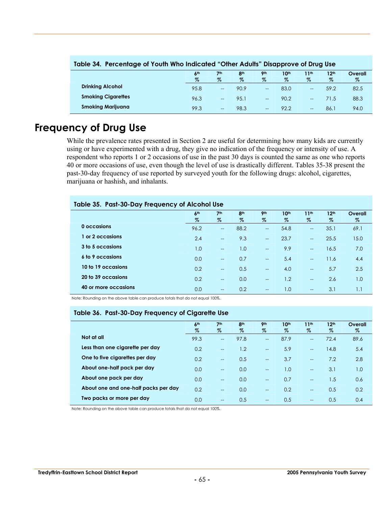| Table 34. Percentage of Youth Who Indicated "Other Adults" Disapprove of Drug Use |                         |                      |                         |                    |                          |                          |                          |              |  |  |  |
|-----------------------------------------------------------------------------------|-------------------------|----------------------|-------------------------|--------------------|--------------------------|--------------------------|--------------------------|--------------|--|--|--|
|                                                                                   | 6 <sup>th</sup><br>$\%$ | 7 <sub>th</sub><br>% | 8 <sup>th</sup><br>$\%$ | <b>9th</b><br>$\%$ | 10 <sup>th</sup><br>$\%$ | 11 <sup>th</sup><br>$\%$ | 12 <sup>th</sup><br>$\%$ | Overall<br>% |  |  |  |
|                                                                                   |                         |                      |                         |                    |                          |                          |                          |              |  |  |  |
| <b>Drinking Alcohol</b>                                                           | 95.8                    | $\qquad \qquad -$    | 90.9                    | $\hspace{0.05cm}$  | 83.0                     | $\overline{\phantom{a}}$ | 59.2                     | 82.5         |  |  |  |
| <b>Smoking Cigarettes</b>                                                         | 96.3                    | $-$                  | 95.1                    | $-$                | 90.2                     | $\overline{a}$           | 71.5                     | 88.3         |  |  |  |
| <b>Smoking Marijuana</b>                                                          | 99.3                    | $\qquad \qquad -$    | 98.3                    | $\qquad \qquad -$  | 92.2                     | $\qquad \qquad -$        | 86.1                     | 94.0         |  |  |  |

#### **Table 34. Percentage of Youth Who Indicated "Other Adults" Disapprove of Drug Use**

## **Frequency of Drug Use**

While the prevalence rates presented in Section 2 are useful for determining how many kids are currently using or have experimented with a drug, they give no indication of the frequency or intensity of use. A respondent who reports 1 or 2 occasions of use in the past 30 days is counted the same as one who reports 40 or more occasions of use, even though the level of use is drastically different. Tables 35-38 present the past-30-day frequency of use reported by surveyed youth for the following drugs: alcohol, cigarettes, marijuana or hashish, and inhalants.

#### **Table 35. Past-30-Day Frequency of Alcohol Use**

|                      | 6 <sup>th</sup><br>$\%$ | 7 <sup>th</sup><br>$\%$  | 8 <sup>th</sup><br>$\%$ | 9 <sub>th</sub><br>$\%$  | 10 <sup>th</sup><br>$\%$ | 11 <sup>th</sup><br>Z                 | 12 <sup>th</sup><br>$\%$ | Overall<br>$\%$ |
|----------------------|-------------------------|--------------------------|-------------------------|--------------------------|--------------------------|---------------------------------------|--------------------------|-----------------|
| 0 occasions          | 96.2                    | $\overline{\phantom{a}}$ | 88.2                    | $\hspace{0.05cm}$        | 54.8                     | $\hspace{0.05cm}$ – $\hspace{0.05cm}$ | 35.1                     | 69.1            |
| or 2 occasions       | 2.4                     | $\overline{\phantom{a}}$ | 9.3                     | $\overline{\phantom{a}}$ | 23.7                     | $\overline{\phantom{a}}$              | 25.5                     | 15.0            |
| 3 to 5 occasions     | 1.0                     | $\overline{\phantom{a}}$ | 1.0                     | $\overline{\phantom{a}}$ | 9.9                      | $\overline{\phantom{a}}$              | 16.5                     | 7.0             |
| 6 to 9 occasions     | 0.0                     | $\overline{a}$           | 0.7                     | $\overline{\phantom{a}}$ | 5.4                      | $\overline{\phantom{a}}$              | 11.6                     | 4.4             |
| 10 to 19 occasions   | 0.2                     | $\overline{\phantom{a}}$ | 0.5                     | $\overline{\phantom{a}}$ | 4.0                      | $\rightarrow$                         | 5.7                      | 2.5             |
| 20 to 39 occasions   | 0.2                     | $\overline{a}$           | 0.0                     | $-$                      | 1.2                      | $\overline{\phantom{a}}$              | 2.6                      | 1.0             |
| 40 or more occasions | 0.0                     | $\overline{\phantom{a}}$ | 0.2                     | $\overline{\phantom{a}}$ | 1.0                      | $\rightarrow$                         | 3.1                      | 1.1             |

Note: Rounding on the above table can produce totals that do not equal 100%.

#### **Table 36. Past-30-Day Frequency of Cigarette Use**

|                                      | 6 <sup>th</sup><br>$\%$ | 7 <sup>th</sup><br>$\%$  | 8 <sup>th</sup><br>$\%$ | <b>9th</b><br>$\%$ | 10 <sup>th</sup><br>$\%$ | 11 <sup>th</sup><br>$\%$ | 12 <sup>th</sup><br>$\%$ | Overall<br>$\%$ |
|--------------------------------------|-------------------------|--------------------------|-------------------------|--------------------|--------------------------|--------------------------|--------------------------|-----------------|
| Not at all                           | 99.3                    | $-$                      | 97.8                    | $- -$              | 87.9                     | $\overline{a}$           | 72.4                     | 89.6            |
| Less than one cigarette per day      | 0.2                     | $-$                      | 1.2                     | $-$                | 5.9                      | $\overline{a}$           | 14.8                     | 5.4             |
| One to five cigarettes per day       | 0.2                     | $-$                      | 0.5                     | $-$                | 3.7                      | $\overline{a}$           | 7.2                      | 2.8             |
| About one-half pack per day          | 0.0                     | $\overline{\phantom{a}}$ | 0.0                     | $- -$              | 1.0                      | $\overline{a}$           | 3.1                      | 1.0             |
| About one pack per day               | 0.0                     | $-$                      | 0.0                     | $\qquad \qquad -$  | 0.7                      | $\overline{a}$           | 1.5                      | 0.6             |
| About one and one-half packs per day | 0.2                     | $-$                      | 0.0                     | $-$                | 0.2                      | $\overline{\phantom{0}}$ | 0.5                      | 0.2             |
| Two packs or more per day            | 0.0                     | $- -$                    | 0.5                     | $- -$              | 0.5                      | $-$                      | 0.5                      | 0.4             |

Note: Rounding on the above table can produce totals that do not equal 100%.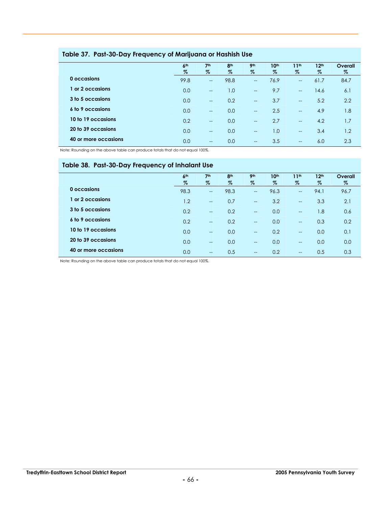|                      | 6 <sup>th</sup> | 7 <sup>th</sup>          | 8 <sup>th</sup> | 9 <sub>th</sub>          | 10 <sup>th</sup> | 11 <sup>th</sup>         | 12 <sup>th</sup> | Overall |
|----------------------|-----------------|--------------------------|-----------------|--------------------------|------------------|--------------------------|------------------|---------|
|                      | $\%$            | $\%$                     | %               | %                        | %                | $\%$                     | $\%$             | %       |
| 0 occasions          | 99.8            | $\overline{\phantom{a}}$ | 98.8            | $\overline{\phantom{a}}$ | 76.9             | $\overline{\phantom{a}}$ | 61.7             | 84.7    |
| or 2 occasions       | 0.0             | $\overline{\phantom{a}}$ | 1.0             | $\hspace{0.05cm}$        | 9.7              | $\overline{\phantom{m}}$ | 14.6             | 6.1     |
| 3 to 5 occasions     | 0.0             | $\overline{\phantom{a}}$ | 0.2             | $\overline{\phantom{a}}$ | 3.7              | $\overline{\phantom{a}}$ | 5.2              | 2.2     |
| 6 to 9 occasions     | 0.0             | $\overline{\phantom{a}}$ | 0.0             | $\overline{\phantom{a}}$ | 2.5              | $\overline{\phantom{a}}$ | 4.9              | 1.8     |
| 10 to 19 occasions   | 0.2             | $\overline{\phantom{a}}$ | 0.0             | $\overline{\phantom{a}}$ | 2.7              | $\overline{\phantom{a}}$ | 4.2              | 1.7     |
| 20 to 39 occasions   | 0.0             | $\overline{\phantom{a}}$ | 0.0             | $- -$                    | 1.0              | $\sim$                   | 3.4              | 1.2     |
| 40 or more occasions | 0.0             | $\hspace{0.05cm}$        | 0.0             | $\overline{\phantom{a}}$ | 3.5              | $- -$                    | 6.0              | 2.3     |

#### **Table 37. Past-30-Day Frequency of Marijuana or Hashish Use**

Note: Rounding on the above table can produce totals that do not equal 100%.

#### **Table 38. Past-30-Day Frequency of Inhalant Use**

|                      | 6 <sup>th</sup> | 7 <sup>th</sup>          | 8 <sup>th</sup> | <b>9th</b>               | 10 <sup>th</sup> | 11 <sup>th</sup>         | 12 <sup>th</sup> | Overall |
|----------------------|-----------------|--------------------------|-----------------|--------------------------|------------------|--------------------------|------------------|---------|
|                      | $\%$            | $\%$                     | $\%$            | $\%$                     | $\%$             | $\%$                     | $\%$             | $\%$    |
| 0 occasions          | 98.3            | $\overline{\phantom{a}}$ | 98.3            | $\overline{\phantom{a}}$ | 96.3             | $\overline{a}$           | 94.1             | 96.7    |
| or 2 occasions       | 1.2             | $\sim$                   | 0.7             | $\overline{\phantom{a}}$ | 3.2              | $\overline{\phantom{a}}$ | 3.3              | 2.1     |
| 3 to 5 occasions     | 0.2             | $\overline{\phantom{a}}$ | 0.2             | $-$                      | 0.0              | $\overline{\phantom{a}}$ | 1.8              | 0.6     |
| 6 to 9 occasions     | 0.2             | $\overline{\phantom{a}}$ | 0.2             | $- -$                    | 0.0              | $\overline{\phantom{a}}$ | 0.3              | 0.2     |
| 10 to 19 occasions   | 0.0             | $\sim$                   | 0.0             | $\sim$                   | 0.2              | $-$                      | 0.0              | 0.1     |
| 20 to 39 occasions   | 0.0             | $\overline{\phantom{a}}$ | 0.0             | $\overline{\phantom{a}}$ | 0.0              | $\overline{\phantom{a}}$ | 0.0              | 0.0     |
| 40 or more occasions | 0.0             | $\overline{\phantom{a}}$ | 0.5             | $- -$                    | 0.2              | $\overline{\phantom{a}}$ | 0.5              | 0.3     |
|                      |                 |                          |                 |                          |                  |                          |                  |         |

Note: Rounding on the above table can produce totals that do not equal 100%.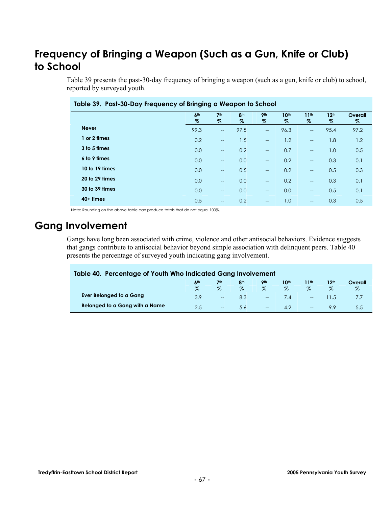# **Frequency of Bringing a Weapon (Such as a Gun, Knife or Club) to School**

Table 39 presents the past-30-day frequency of bringing a weapon (such as a gun, knife or club) to school, reported by surveyed youth.

|                | 6 <sup>th</sup> | 7 <sup>th</sup>          | 8 <sup>th</sup> | 9 <sub>th</sub>          | 10 <sup>th</sup> | 11 <sup>th</sup>         | 12 <sup>th</sup> | Overall |
|----------------|-----------------|--------------------------|-----------------|--------------------------|------------------|--------------------------|------------------|---------|
|                | %               | %                        | %               | %                        | %                | %                        | %                | %       |
| <b>Never</b>   | 99.3            | $\overline{\phantom{a}}$ | 97.5            | $\qquad \qquad -$        | 96.3             | $\overline{a}$           | 95.4             | 97.2    |
| 1 or 2 times   | 0.2             | $- -$                    | 1.5             | $\overline{\phantom{a}}$ | 1.2              | $\overline{a}$           | 1.8              | 1.2     |
| 3 to 5 times   | 0.0             | $\overline{\phantom{a}}$ | 0.2             | $\overline{\phantom{a}}$ | 0.7              | $\overline{a}$           | 1.0              | 0.5     |
| 6 to 9 times   | 0.0             | $-$                      | 0.0             | $\overline{\phantom{a}}$ | 0.2              | $\overline{a}$           | 0.3              | 0.1     |
| 10 to 19 times | 0.0             | $-$                      | 0.5             | $\overline{\phantom{a}}$ | 0.2              | $\overline{a}$           | 0.5              | 0.3     |
| 20 to 29 times | 0.0             | $\overline{\phantom{a}}$ | 0.0             | $\overline{\phantom{a}}$ | 0.2              | $\overline{\phantom{a}}$ | 0.3              | 0.1     |
| 30 to 39 times | 0.0             | $\overline{\phantom{a}}$ | 0.0             | $\overline{\phantom{a}}$ | 0.0              | $\overline{a}$           | 0.5              | 0.1     |
| $40+$ times    | 0.5             | $- -$                    | 0.2             | $\overline{\phantom{a}}$ | 1.0              | $\overline{a}$           | 0.3              | 0.5     |

**Table 39. Past-30-Day Frequency of Bringing a Weapon to School** 

Note: Rounding on the above table can produce totals that do not equal 100%.

## **Gang Involvement**

Gangs have long been associated with crime, violence and other antisocial behaviors. Evidence suggests that gangs contribute to antisocial behavior beyond simple association with delinquent peers. Table 40 presents the percentage of surveyed youth indicating gang involvement.

| Table 40. Percentage of Youth Who Indicated Gang Involvement |      |                          |            |                          |                  |                   |                  |         |
|--------------------------------------------------------------|------|--------------------------|------------|--------------------------|------------------|-------------------|------------------|---------|
|                                                              | 6th  | 7 <sup>th</sup>          | <b>Ath</b> | <b>9th</b>               | 10 <sup>th</sup> | 11 <sup>th</sup>  | 12 <sup>th</sup> | Overall |
|                                                              | $\%$ | $\%$                     | $\%$       | $\%$                     | $\%$             | $\%$              | $\%$             | Z       |
| Ever Belonged to a Gang                                      | 3.9  | $\overline{\phantom{a}}$ | 8.3        | $\overline{a}$           | /4               | $\hspace{0.05cm}$ |                  |         |
| Belonged to a Gang with a Name                               | 2.5  | $\overline{\phantom{a}}$ | 5.6        | $\overline{\phantom{a}}$ | 42               | $\hspace{0.05cm}$ | 9.9              | 5.5     |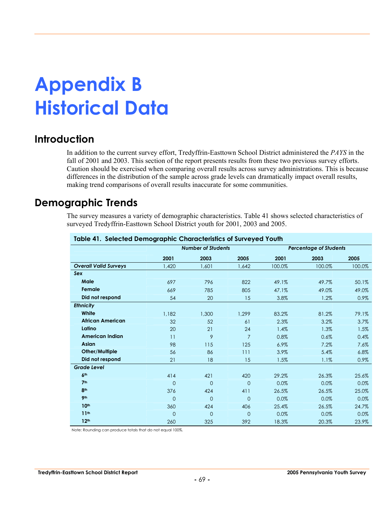## **Appendix B Historical Data**

### **Introduction**

In addition to the current survey effort, Tredyffrin-Easttown School District administered the *PAYS* in the fall of 2001 and 2003. This section of the report presents results from these two previous survey efforts. Caution should be exercised when comparing overall results across survey administrations. This is because differences in the distribution of the sample across grade levels can dramatically impact overall results, making trend comparisons of overall results inaccurate for some communities.

### **Demographic Trends**

The survey measures a variety of demographic characteristics. Table 41 shows selected characteristics of surveyed Tredyffrin-Easttown School District youth for 2001, 2003 and 2005.

| <b>Report in the contract of the Contract Contract of Subset Tourn</b> |                | <b>Number of Students</b> |                |        | <b>Percentage of Students</b> |        |
|------------------------------------------------------------------------|----------------|---------------------------|----------------|--------|-------------------------------|--------|
|                                                                        |                |                           |                |        |                               |        |
|                                                                        | 2001           | 2003                      | 2005           | 2001   | 2003                          | 2005   |
| <b>Overall Valid Surveys</b>                                           | 1.420          | 1.601                     | 1.642          | 100.0% | 100.0%                        | 100.0% |
| Sex                                                                    |                |                           |                |        |                               |        |
| Male                                                                   | 697            | 796                       | 822            | 49.1%  | 49.7%                         | 50.1%  |
| Female                                                                 | 669            | 785                       | 805            | 47.1%  | 49.0%                         | 49.0%  |
| Did not respond                                                        | 54             | 20                        | 15             | 3.8%   | 1.2%                          | 0.9%   |
| <b>Ethnicity</b>                                                       |                |                           |                |        |                               |        |
| White                                                                  | 1,182          | 1,300                     | 1,299          | 83.2%  | 81.2%                         | 79.1%  |
| <b>African American</b>                                                | 32             | 52                        | 61             | 2.3%   | 3.2%                          | 3.7%   |
| Latino                                                                 | 20             | 21                        | 24             | 1.4%   | 1.3%                          | 1.5%   |
| <b>American Indian</b>                                                 | 11             | 9                         | $\overline{7}$ | 0.8%   | 0.6%                          | 0.4%   |
| <b>Asian</b>                                                           | 98             | 115                       | 125            | 6.9%   | 7.2%                          | 7.6%   |
| Other/Multiple                                                         | 56             | 86                        | 111            | 3.9%   | 5.4%                          | 6.8%   |
| Did not respond                                                        | 21             | 18                        | 15             | 1.5%   | 1.1%                          | 0.9%   |
| <b>Grade Level</b>                                                     |                |                           |                |        |                               |        |
| 6 <sup>th</sup>                                                        | 414            | 421                       | 420            | 29.2%  | 26.3%                         | 25.6%  |
| 7 <sup>th</sup>                                                        | $\overline{0}$ | $\Omega$                  | $\overline{0}$ | 0.0%   | 0.0%                          | 0.0%   |
| 8 <sup>th</sup>                                                        | 376            | 424                       | 411            | 26.5%  | 26.5%                         | 25.0%  |
| <b>9th</b>                                                             | $\Omega$       | $\Omega$                  | $\mathbf{0}$   | 0.0%   | 0.0%                          | 0.0%   |
| 10 <sup>th</sup>                                                       | 360            | 424                       | 406            | 25.4%  | 26.5%                         | 24.7%  |
| 11 <sup>th</sup>                                                       | $\Omega$       | $\overline{0}$            | $\mathbf{0}$   | 0.0%   | 0.0%                          | 0.0%   |
| 12 <sup>th</sup>                                                       | 260            | 325                       | 392            | 18.3%  | 20.3%                         | 23.9%  |

**Table 41. Selected Demographic Characteristics of Surveyed Youth**

Note: Rounding can produce totals that do not equal 100%.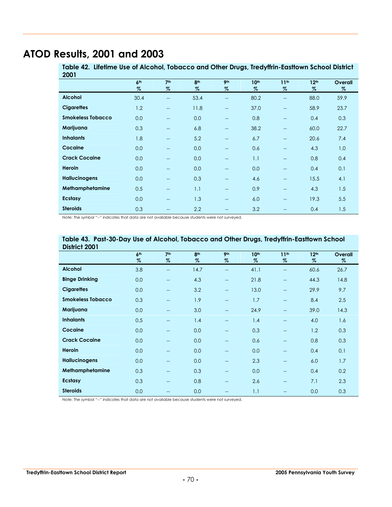### **ATOD Results, 2001 and 2003**

**Table 42. Lifetime Use of Alcohol, Tobacco and Other Drugs, Tredyffrin-Easttown School District 2001**

|                      | 6 <sup>th</sup> | 7 <sup>th</sup>          | 8 <sup>th</sup> | 9 <sub>th</sub>          | 10 <sup>th</sup> | 11 <sup>th</sup>         | 12 <sup>th</sup> | Overall |
|----------------------|-----------------|--------------------------|-----------------|--------------------------|------------------|--------------------------|------------------|---------|
|                      | $\%$            | %                        | $\%$            | %                        | $\%$             | $\%$                     | $\%$             | %       |
| <b>Alcohol</b>       | 30.4            | $-$                      | 53.4            | $\qquad \qquad -$        | 80.2             | $\overline{\phantom{a}}$ | 88.0             | 59.9    |
| <b>Cigarettes</b>    | 1.2             | $-$                      | 11.8            | $\hspace{0.05cm} \ldots$ | 37.0             | $\overline{\phantom{a}}$ | 58.9             | 23.7    |
| Smokeless Tobacco    | 0.0             | $- -$                    | 0.0             | $- -$                    | 0.8              | $-$                      | 0.4              | 0.3     |
| Marijuana            | 0.3             | $\overline{\phantom{0}}$ | 6.8             | $\overline{\phantom{a}}$ | 38.2             | $\overline{\phantom{0}}$ | 60.0             | 22.7    |
| <b>Inhalants</b>     | 1.8             | $-$                      | 5.2             | $\overline{\phantom{a}}$ | 6.7              | $\overline{\phantom{a}}$ | 20.6             | 7.4     |
| Cocaine              | 0.0             | $-$                      | 0.0             | $\hspace{0.05cm} \ldots$ | 0.6              | $\overline{\phantom{a}}$ | 4.3              | 1.0     |
| <b>Crack Cocaine</b> | 0.0             | $-$                      | 0.0             | $\hspace{0.05cm} \ldots$ | 1.1              | $\overline{\phantom{a}}$ | 0.8              | 0.4     |
| <b>Heroin</b>        | 0.0             | $-$                      | 0.0             | $--$                     | 0.0              | $\overline{\phantom{a}}$ | 0.4              | 0.1     |
| <b>Hallucinogens</b> | 0.0             | --                       | 0.3             | $-$                      | 4.6              | $\overline{\phantom{a}}$ | 15.5             | 4.1     |
| Methamphetamine      | 0.5             | --                       | 1.1             | $\hspace{0.05cm} \ldots$ | 0.9              | $\overline{\phantom{a}}$ | 4.3              | 1.5     |
| Ecstasy              | 0.0             | --                       | 1.3             | $\hspace{0.05cm} \ldots$ | 6.0              | $\overline{\phantom{a}}$ | 19.3             | 5.5     |
| <b>Steroids</b>      | 0.3             | $- -$                    | 2.2             | $--$                     | 3.2              | --                       | 0.4              | 1.5     |

Note: The symbol "--" indicates that data are not available because students were not surveyed.

| District 2001            |                 |                          |                 |                          |                  |                          |                  |         |
|--------------------------|-----------------|--------------------------|-----------------|--------------------------|------------------|--------------------------|------------------|---------|
|                          | 6 <sup>th</sup> | 7 <sup>th</sup>          | 8 <sup>th</sup> | 9 <sub>th</sub>          | 10 <sup>th</sup> | 11 <sup>th</sup>         | 12 <sup>th</sup> | Overall |
|                          | $\%$            | $\%$                     | %               | %                        | %                | %                        | %                | %       |
| <b>Alcohol</b>           | 3.8             | $\overline{\phantom{a}}$ | 14.7            | $\overline{\phantom{a}}$ | 41.1             | $-$                      | 60.6             | 26.7    |
| <b>Binge Drinking</b>    | 0.0             | $\overline{\phantom{a}}$ | 4.3             | $\hspace{0.05cm} \ldots$ | 21.8             | $\overline{\phantom{a}}$ | 44.3             | 14.8    |
| <b>Cigarettes</b>        | 0.0             | $-$                      | 3.2             | $\hspace{0.05cm} \ldots$ | 13.0             | $\overline{\phantom{a}}$ | 29.9             | 9.7     |
| <b>Smokeless Tobacco</b> | 0.3             | --                       | 1.9             | $\overline{\phantom{m}}$ | 1.7              | $\qquad \qquad -$        | 8.4              | 2.5     |
| Marijuana                | 0.0             | $-$                      | 3.0             | $\hspace{0.05cm} \ldots$ | 24.9             | $\overline{\phantom{a}}$ | 39.0             | 14.3    |
| <b>Inhalants</b>         | 0.5             | $-$                      | 1.4             | $\hspace{0.05cm} \ldots$ | 1.4              | $\overline{\phantom{a}}$ | 4.0              | 1.6     |
| Cocaine                  | 0.0             | $-$                      | 0.0             | $\hspace{0.05cm} \ldots$ | 0.3              | $\overline{\phantom{a}}$ | 1.2              | 0.3     |
| <b>Crack Cocaine</b>     | 0.0             | --                       | 0.0             | $\qquad \qquad -$        | 0.6              | $\qquad \qquad -$        | 0.8              | 0.3     |
| <b>Heroin</b>            | 0.0             | $-$                      | 0.0             | $\hspace{0.05cm} \ldots$ | 0.0              | $\overline{\phantom{a}}$ | 0.4              | 0.1     |
| <b>Hallucinogens</b>     | 0.0             | --                       | 0.0             | $\hspace{0.05cm} \ldots$ | 2.3              | $\overline{\phantom{a}}$ | 6.0              | 1.7     |
| Methamphetamine          | 0.3             | $-$                      | 0.3             | $\hspace{0.05cm} \ldots$ | 0.0              | $\overline{\phantom{a}}$ | 0.4              | 0.2     |
| <b>Ecstasy</b>           | 0.3             | $\overline{\phantom{a}}$ | 0.8             | $\hspace{0.05cm} \ldots$ | 2.6              | $\overline{\phantom{a}}$ | 7.1              | 2.3     |
| <b>Steroids</b>          | 0.0             | --                       | 0.0             | $- -$                    | 1.1              | $-$                      | 0.0              | 0.3     |

#### **Table 43. Past-30-Day Use of Alcohol, Tobacco and Other Drugs, Tredyffrin-Easttown School District 2001**

Note: The symbol "--" indicates that data are not available because students were not surveyed.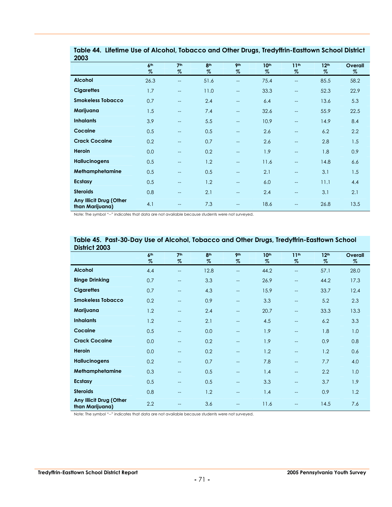| <b>ZUUS</b>                                |                 |                          |                 |                                                     |                  |                          |                  |         |
|--------------------------------------------|-----------------|--------------------------|-----------------|-----------------------------------------------------|------------------|--------------------------|------------------|---------|
|                                            | 6 <sup>th</sup> | 7 <sup>th</sup>          | 8 <sup>th</sup> | 9 <sub>th</sub>                                     | 10 <sup>th</sup> | 11 <sup>th</sup>         | 12 <sup>th</sup> | Overall |
|                                            | $\%$            | $\%$                     | $\%$            | $\%$                                                | $\%$             | %                        | $\%$             | $\%$    |
| <b>Alcohol</b>                             | 26.3            | $-$                      | 51.6            | $\overline{\phantom{a}}$                            | 75.4             | $-$                      | 85.5             | 58.2    |
| <b>Cigarettes</b>                          | 1.7             | $\overline{\phantom{a}}$ | 11.0            | $\overline{\phantom{a}}$                            | 33.3             | $\overline{\phantom{a}}$ | 52.3             | 22.9    |
| <b>Smokeless Tobacco</b>                   | 0.7             | $\overline{\phantom{a}}$ | 2.4             | $\qquad \qquad -$                                   | 6.4              | $\overline{\phantom{m}}$ | 13.6             | 5.3     |
| Marijuana                                  | 1.5             | $\overline{\phantom{a}}$ | 7.4             | $\overline{\phantom{a}}$                            | 32.6             | $-$                      | 55.9             | 22.5    |
| <b>Inhalants</b>                           | 3.9             | $-$                      | 5.5             | $\overline{\phantom{a}}$                            | 10.9             | $-$                      | 14.9             | 8.4     |
| Cocaine                                    | 0.5             | $\hspace{0.05cm}$        | 0.5             | $\qquad \qquad -$                                   | 2.6              | $\overline{\phantom{a}}$ | 6.2              | 2.2     |
| <b>Crack Cocaine</b>                       | 0.2             | $-$                      | 0.7             | $\overline{a}$                                      | 2.6              | $-$                      | 2.8              | 1.5     |
| Heroin                                     | 0.0             | $-$                      | 0.2             | $\overline{\phantom{a}}$                            | 1.9              | $-$                      | 1.8              | 0.9     |
| <b>Hallucinogens</b>                       | 0.5             | $-$                      | 1.2             | $\overline{\phantom{a}}$                            | 11.6             | $-$                      | 14.8             | 6.6     |
| Methamphetamine                            | 0.5             | $\hspace{0.05cm}$        | 0.5             | $\qquad \qquad -$                                   | 2.1              | $\overline{\phantom{a}}$ | 3.1              | 1.5     |
| Ecstasy                                    | 0.5             | $\hspace{0.05cm}$        | 1.2             | $\hspace{0.05cm} -\hspace{0.05cm} -\hspace{0.05cm}$ | 6.0              | $-$                      | 11.1             | 4.4     |
| <b>Steroids</b>                            | 0.8             | $\hspace{0.05cm}$        | 2.1             | $\equiv$                                            | 2.4              | $-$                      | 3.1              | 2.1     |
| Any Illicit Drug (Other<br>than Marijuana) | 4.1             | $-$                      | 7.3             | $-$                                                 | 18.6             |                          | 26.8             | 13.5    |

**Table 44. Lifetime Use of Alcohol, Tobacco and Other Drugs, Tredyffrin-Easttown School District 2003**

Note: The symbol "--" indicates that data are not available because students were not surveyed.

| District 2003                              |                 |                          |                 |                          |                  |                          |                  |         |
|--------------------------------------------|-----------------|--------------------------|-----------------|--------------------------|------------------|--------------------------|------------------|---------|
|                                            | 6 <sup>th</sup> | 7 <sup>th</sup>          | 8 <sup>th</sup> | <b>9th</b>               | 10 <sup>th</sup> | 11 <sup>th</sup>         | 12 <sup>th</sup> | Overall |
|                                            | $\%$            | %                        | $\%$            | %                        | $\%$             | $\%$                     | $\%$             | %       |
| <b>Alcohol</b>                             | 4.4             | $-$                      | 12.8            | $\overline{\phantom{a}}$ | 44.2             | $\overline{\phantom{m}}$ | 57.1             | 28.0    |
| <b>Binge Drinking</b>                      | 0.7             | $-$                      | 3.3             | $- -$                    | 26.9             | $-$                      | 44.2             | 17.3    |
| <b>Cigarettes</b>                          | 0.7             | $\overline{\phantom{a}}$ | 4.3             | $\qquad \qquad -$        | 15.9             | $-$                      | 33.7             | 12.4    |
| <b>Smokeless Tobacco</b>                   | 0.2             | $-$                      | 0.9             | $\overline{\phantom{a}}$ | 3.3              | $\overline{\phantom{m}}$ | 5.2              | 2.3     |
| Marijuana                                  | 1.2             | $-$                      | 2.4             | $--$                     | 20.7             | $\qquad \qquad -$        | 33.3             | 13.3    |
| <b>Inhalants</b>                           | 1.2             | $\overline{\phantom{m}}$ | 2.1             | $\qquad \qquad -$        | 4.5              | $\hspace{0.05cm}$        | 6.2              | 3.3     |
| Cocaine                                    | 0.5             | $\overline{\phantom{a}}$ | 0.0             | $\qquad \qquad -$        | 1.9              | $\qquad \qquad -$        | 1.8              | 1.0     |
| <b>Crack Cocaine</b>                       | 0.0             | --                       | 0.2             | $\qquad \qquad -$        | 1.9              | $\overline{\phantom{m}}$ | 0.9              | 0.8     |
| <b>Heroin</b>                              | 0.0             | --                       | 0.2             | $\qquad \qquad -$        | 1.2              | $\overline{\phantom{m}}$ | 1.2              | 0.6     |
| <b>Hallucinogens</b>                       | 0.2             | $-$                      | 0.7             | $\qquad \qquad -$        | 7.8              | $\qquad \qquad -$        | 7.7              | 4.0     |
| Methamphetamine                            | 0.3             | $-$                      | 0.5             | $\qquad \qquad -$        | 1.4              | $\qquad \qquad -$        | 2.2              | 1.0     |
| Ecstasy                                    | 0.5             | $\overline{\phantom{m}}$ | 0.5             | $\qquad \qquad -$        | 3.3              | $\qquad \qquad -$        | 3.7              | 1.9     |
| <b>Steroids</b>                            | 0.8             | $-$                      | 1.2             | $\qquad \qquad -$        | 1.4              | $\hspace{0.05cm}$        | 0.9              | 1.2     |
| Any Illicit Drug (Other<br>than Marijuana) | 2.2             | $-$                      | 3.6             |                          | 11.6             | $-$                      | 14.5             | 7.6     |

**Table 45. Past-30-Day Use of Alcohol, Tobacco and Other Drugs, Tredyffrin-Easttown School** 

Note: The symbol "--" indicates that data are not available because students were not surveyed.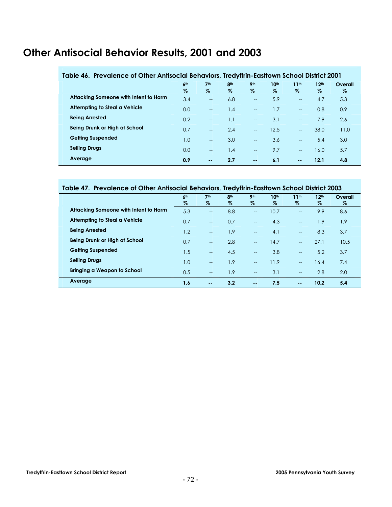## **Other Antisocial Behavior Results, 2001 and 2003**

| Table 46. Prevalence of Other Antisocial Behaviors, Tredyffrin-Easttown School District 2001 |                         |                         |                         |                          |           |                          |                          |                 |  |  |
|----------------------------------------------------------------------------------------------|-------------------------|-------------------------|-------------------------|--------------------------|-----------|--------------------------|--------------------------|-----------------|--|--|
|                                                                                              | 6 <sup>th</sup><br>$\%$ | 7 <sup>th</sup><br>$\%$ | 8 <sup>th</sup><br>$\%$ | 9 <sub>th</sub><br>$\%$  | 10th<br>% | 11 <sup>th</sup><br>$\%$ | 12 <sup>th</sup><br>$\%$ | Overall<br>$\%$ |  |  |
| Attacking Someone with Intent to Harm                                                        | 3.4                     | $-$                     | 6.8                     | $\overline{\phantom{a}}$ | 5.9       | $-$                      | 4.7                      | 5.3             |  |  |
| Attempting to Steal a Vehicle                                                                | 0.0                     | $-$                     | 1.4                     | $-$                      | 1.7       | $-$                      | 0.8                      | 0.9             |  |  |
| <b>Being Arrested</b>                                                                        | 0.2                     | $-$                     | 1.1                     | $\overline{\phantom{a}}$ | 3.1       | $\equiv$                 | 7.9                      | 2.6             |  |  |
| Being Drunk or High at School                                                                | 0.7                     | $-$                     | 2.4                     | $-$                      | 12.5      | $-$                      | 38.0                     | 11.0            |  |  |
| <b>Getting Suspended</b>                                                                     | 1.0                     | $-$                     | 3.0                     | $-$                      | 3.6       | $- -$                    | 5.4                      | 3.0             |  |  |
| <b>Selling Drugs</b>                                                                         | 0.0                     | $-$                     | 1.4                     | $-$                      | 9.7       | $-$                      | 16.0                     | 5.7             |  |  |
| Average                                                                                      | 0.9                     | $\sim$ $\sim$           | 2.7                     | $\sim$ $\sim$            | 6.1       | $\sim$ $\sim$            | 12.1                     | 4.8             |  |  |

#### **Table 47. Prevalence of Other Antisocial Behaviors, Tredyffrin-Easttown School District 2003**

|                                       | 6 <sup>th</sup> | 7 <sup>th</sup>   | 8 <sup>th</sup> | <b>9th</b>        | 10 <sup>th</sup> | 11 <sup>th</sup>                      | 12 <sup>th</sup> | Overall |
|---------------------------------------|-----------------|-------------------|-----------------|-------------------|------------------|---------------------------------------|------------------|---------|
|                                       | $\%$            | $\%$              | $\%$            | %                 | $\%$             | $\%$                                  | %                | %       |
| Attacking Someone with Intent to Harm | 5.3             | $\qquad \qquad -$ | 8.8             | $- -$             | 10.7             | $\hspace{0.05cm}$ – $\hspace{0.05cm}$ | 9.9              | 8.6     |
| Attempting to Steal a Vehicle         | 0.7             | $\qquad \qquad -$ | 0.7             | $\qquad \qquad -$ | 4.3              | $\overline{\phantom{a}}$              | 1.9              | 1.9     |
| <b>Being Arrested</b>                 | 1.2             | $- -$             | 1.9             | $- -$             | 4.1              | $\hspace{0.05cm}$ – $\hspace{0.05cm}$ | 8.3              | 3.7     |
| Being Drunk or High at School         | 0.7             | $-$               | 2.8             | $-$               | 14.7             | $-$                                   | 27.1             | 10.5    |
| <b>Getting Suspended</b>              | 1.5             | $-$               | 4.5             | $\qquad \qquad -$ | 3.8              | $\hspace{0.05cm}$ – $\hspace{0.05cm}$ | 5.2              | 3.7     |
| <b>Selling Drugs</b>                  | 1.0             | $-$               | 1.9             | $\qquad \qquad -$ | 11.9             | $\overline{\phantom{a}}$              | 16.4             | 7.4     |
| Bringing a Weapon to School           | 0.5             | $- -$             | 1.9             | $-$               | 3.1              | $\overline{\phantom{a}}$              | 2.8              | 2.0     |
| Average                               | 1.6             | $\sim$ $\sim$     | 3.2             | $\sim$ $-$        | 7.5              | $\sim$ $\sim$                         | 10.2             | 5.4     |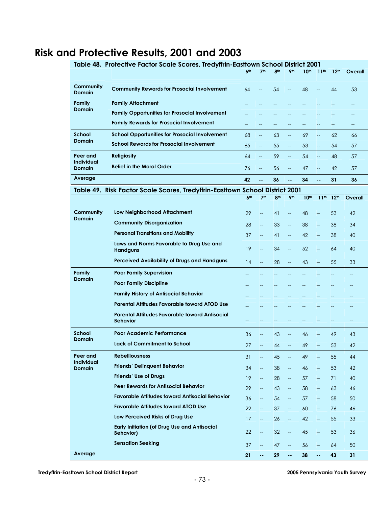## **Risk and Protective Results, 2001 and 2003**

|                             | Table 48. Protective Factor Scale Scores, Tredyffrin-Easttown School District 2001 |                 |                           |                 |                          |                  |                          |                  |                |
|-----------------------------|------------------------------------------------------------------------------------|-----------------|---------------------------|-----------------|--------------------------|------------------|--------------------------|------------------|----------------|
|                             |                                                                                    | 6 <sup>th</sup> | 7 <sup>th</sup>           | 8 <sup>th</sup> | 9 <sub>th</sub>          | 10 <sup>th</sup> | 11 <sup>th</sup>         | 12 <sup>th</sup> | Overall        |
| Community<br>Domain         | <b>Community Rewards for Prosocial Involvement</b>                                 | 64              |                           | 54              | $\overline{a}$           | 48               | $\overline{a}$           | 44               | 53             |
| Family                      | <b>Family Attachment</b>                                                           |                 |                           |                 |                          |                  |                          |                  |                |
| Domain                      | <b>Family Opportunities for Prosocial Involvement</b>                              |                 |                           |                 |                          |                  |                          |                  |                |
|                             | <b>Family Rewards for Prosocial Involvement</b>                                    |                 |                           |                 |                          |                  | --                       | $-$              |                |
| <b>School</b>               | <b>School Opportunities for Prosocial Involvement</b>                              | 68              | $-$                       | 63              | $-$                      | 69               | $\overline{\phantom{m}}$ | 62               | 66             |
| <b>Domain</b>               | <b>School Rewards for Prosocial Involvement</b>                                    | 65              | $\overline{\phantom{a}}$  | 55              | $\overline{\phantom{a}}$ | 53               | 44                       | 54               | 57             |
| Peer and                    | <b>Religiosity</b>                                                                 | 64              | $\overline{\phantom{a}}$  | 59              | $\overline{\phantom{a}}$ | 54               | $\overline{a}$           | 48               | 57             |
| <b>Individual</b><br>Domain | <b>Belief in the Moral Order</b>                                                   | 76              | $-$                       | 56              | $\overline{\phantom{a}}$ | 47               | $-$                      | 42               | 57             |
| Average                     |                                                                                    | 42              | ۵.                        | 36              |                          | 34               | $\overline{a}$           | 31               | 36             |
|                             | Table 49. Risk Factor Scale Scores, Tredyffrin-Easttown School District 2001       |                 |                           |                 |                          |                  |                          |                  |                |
|                             |                                                                                    | 6 <sup>th</sup> | 7 <sup>th</sup>           | 8 <sup>th</sup> | 9 <sub>th</sub>          | 10 <sup>th</sup> | 11 <sup>th</sup>         | 12 <sup>th</sup> | Overall        |
| Community                   | Low Neighborhood Attachment                                                        | 29              | $\overline{a}$            | 41              | $\overline{a}$           | 48               | $\overline{\phantom{a}}$ | 53               | 42             |
| <b>Domain</b>               | <b>Community Disorganization</b>                                                   | 28              | $\overline{\phantom{a}}$  | 33              | $\overline{\phantom{a}}$ | 38               | --                       | 38               | 34             |
|                             | <b>Personal Transitions and Mobility</b>                                           | 37              | <u></u>                   | 41              | --                       | 42               | <u></u>                  | 38               | 40             |
|                             | Laws and Norms Favorable to Drug Use and<br><b>Handguns</b>                        | 19              | $\overline{\phantom{0}}$  | 34              | $\overline{a}$           | 52               | --                       | 64               | 40             |
|                             | Perceived Availability of Drugs and Handguns                                       | 14              | $\overline{\phantom{a}}$  | 28              | $\overline{a}$           | 43               | $\overline{\phantom{a}}$ | 55               | 33             |
| <b>Family</b>               | <b>Poor Family Supervision</b>                                                     |                 |                           |                 |                          |                  |                          |                  | $\overline{a}$ |
| <b>Domain</b>               | <b>Poor Family Discipline</b>                                                      |                 |                           |                 |                          |                  |                          |                  |                |
|                             | <b>Family History of Antisocial Behavior</b>                                       |                 |                           |                 |                          |                  |                          |                  |                |
|                             | Parental Attitudes Favorable toward ATOD Use                                       |                 |                           |                 |                          |                  |                          |                  |                |
|                             | Parental Attitudes Favorable toward Antisocial<br><b>Behavior</b>                  |                 |                           |                 |                          |                  |                          |                  | $-$            |
| <b>School</b>               | Poor Academic Performance                                                          | 36              | --                        | 43              |                          | 46               | --                       | 49               | 43             |
| <b>Domain</b>               | Lack of Commitment to School                                                       | 27              | --                        | 44              |                          | 49               |                          | 53               | 42             |
| Peer and                    | <b>Rebelliousness</b>                                                              | 31              | $\overline{\phantom{a}}$  | 45              |                          | 49               | $\overline{\phantom{a}}$ | 55               | 44             |
| Individual                  | <b>Friends' Delinquent Behavior</b>                                                | 34              | $\overline{\phantom{a}}$  | 38              | Щ,                       | 46               | Щ,                       | 53               | 42             |
| Domain                      | <b>Friends' Use of Drugs</b>                                                       | 19 <sup>°</sup> | Щ,                        | 28              | $\overline{\phantom{a}}$ | 57               | $\overline{\phantom{a}}$ | 71               | 40             |
|                             | <b>Peer Rewards for Antisocial Behavior</b>                                        | 29              | Щ,                        | 43              | Щ,                       | 58               | 44                       | 63               | 46             |
|                             | <b>Favorable Attitudes toward Antisocial Behavior</b>                              | 36              | $\overline{\phantom{a}}$  | 54              | $\overline{\phantom{a}}$ | 57               | $\overline{\phantom{a}}$ | 58               | 50             |
|                             | <b>Favorable Attitudes toward ATOD Use</b>                                         | 22              | 44                        | 37              | Щ,                       | 60               | 44                       | 76               | 46             |
|                             | Low Perceived Risks of Drug Use                                                    | 17              | $\overline{\phantom{a}}$  | 26              | $\overline{\phantom{a}}$ | 42               | 44                       | 55               | 33             |
|                             | <b>Early Initiation (of Drug Use and Antisocial</b><br><b>Behavior)</b>            | 22              | --                        | 32              |                          | 45               | 44                       | 53               | 36             |
|                             | <b>Sensation Seeking</b>                                                           | 37              | Щ,                        | 47              | Щ,                       | 56               | 44                       | 64               | 50             |
| Average                     |                                                                                    | 21              | $\mathbb{Z}^{\mathbb{Z}}$ | 29              | цц                       | 38               | $\omega$ .               | 43               | 31             |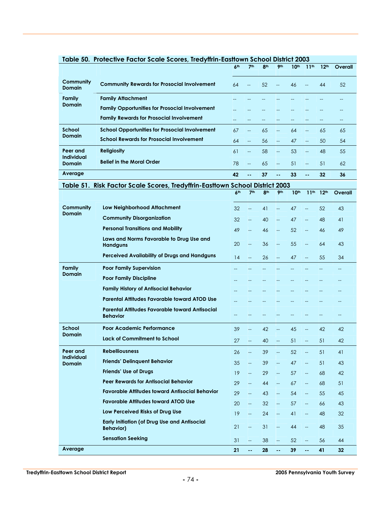|                                    | Table 50.  Protective Factor Scale Scores, Tredyffrin-Eastfown School District 2003 |                 |                                                     |                 |                          |                  |                                   |                  |         |
|------------------------------------|-------------------------------------------------------------------------------------|-----------------|-----------------------------------------------------|-----------------|--------------------------|------------------|-----------------------------------|------------------|---------|
|                                    |                                                                                     | 6 <sup>th</sup> | 7 <sup>th</sup>                                     | 8 <sup>th</sup> | 9 <sub>th</sub>          | 10 <sup>th</sup> | 11 <sup>th</sup>                  | 12 <sup>th</sup> | Overall |
| Community<br><b>Domain</b>         | <b>Community Rewards for Prosocial Involvement</b>                                  | 64              |                                                     | 52              | $\overline{\phantom{a}}$ | 46               | --                                | 44               | 52      |
| Family                             | <b>Family Attachment</b>                                                            |                 |                                                     |                 |                          |                  |                                   |                  |         |
| <b>Domain</b>                      | <b>Family Opportunities for Prosocial Involvement</b>                               |                 |                                                     |                 |                          |                  |                                   |                  |         |
|                                    | <b>Family Rewards for Prosocial Involvement</b>                                     |                 |                                                     |                 |                          |                  | --                                | $-$              | $-$     |
| School                             | <b>School Opportunities for Prosocial Involvement</b>                               | 67              | --                                                  | 65              | --                       | 64               | --                                | 65               | 65      |
| <b>Domain</b>                      | <b>School Rewards for Prosocial Involvement</b>                                     | 64              | --                                                  | 56              | --                       | 47               | $-$                               | 50               | 54      |
| Peer and                           | <b>Religiosity</b>                                                                  | 61              | --                                                  | 58              | --                       | 53               | $-$                               | 48               | 55      |
| <b>Individual</b><br><b>Domain</b> | <b>Belief in the Moral Order</b>                                                    | 78              | $-$                                                 | 65              | $\overline{\phantom{m}}$ | 51               | $-$                               | 51               | 62      |
| Average                            |                                                                                     | 42              | ۰.                                                  | 37              | μ.                       | 33               | $\overline{a}$                    | 32               | 36      |
|                                    | Table 51. Risk Factor Scale Scores, Tredyffrin-Easttown School District 2003        |                 |                                                     |                 |                          |                  |                                   |                  |         |
|                                    |                                                                                     | 6 <sup>th</sup> | 7 <sup>th</sup>                                     | 8th             | 9th                      | 10 <sup>th</sup> | 11 <sup>th</sup>                  | 12 <sup>th</sup> | Overall |
| Community                          | Low Neighborhood Attachment                                                         | 32              |                                                     | 41              | <u></u>                  | 47               |                                   | 52               | 43      |
| <b>Domain</b>                      | <b>Community Disorganization</b>                                                    | 32              | <u></u>                                             | 40              |                          | 47               |                                   | 48               | 41      |
|                                    | <b>Personal Transitions and Mobility</b>                                            | 49              | --                                                  | 46              | --                       | 52               | --                                | 46               | 49      |
|                                    | Laws and Norms Favorable to Drug Use and<br><b>Handguns</b>                         | 20              | $\overline{\phantom{a}}$                            | 36              | --                       | 55               | $-$                               | 64               | 43      |
|                                    | Perceived Availability of Drugs and Handguns                                        | 14              | --                                                  | 26              |                          | 47               |                                   | 55               | 34      |
| Family                             | <b>Poor Family Supervision</b>                                                      |                 |                                                     |                 |                          |                  |                                   |                  |         |
| <b>Domain</b>                      | <b>Poor Family Discipline</b>                                                       |                 |                                                     |                 |                          |                  |                                   |                  |         |
|                                    | <b>Family History of Antisocial Behavior</b>                                        |                 |                                                     |                 |                          |                  |                                   |                  |         |
|                                    | <b>Parental Attitudes Favorable toward ATOD Use</b>                                 |                 |                                                     |                 |                          |                  |                                   |                  |         |
|                                    | Parental Attitudes Favorable toward Antisocial<br><b>Behavior</b>                   |                 |                                                     |                 |                          |                  |                                   |                  | $-$     |
| School                             | Poor Academic Performance                                                           | 39              | --                                                  | 42              |                          | 45               | --                                | 42               | 42      |
| <b>Domain</b>                      | Lack of Commitment to School                                                        | 27              |                                                     | 40              |                          | 51               |                                   | 51               | 42      |
| Peer and                           | <b>Rebelliousness</b>                                                               | 26              | $\overline{\phantom{a}}$                            | 39              | --                       | 52               | 44                                | 51               | 41      |
| Individual<br><b>Domain</b>        | <b>Friends' Delinquent Behavior</b>                                                 | 35              | $\overline{\phantom{a}}$                            | 39              | ш.,                      | 47               | $\overline{\phantom{a}}$          | 51               | 43      |
|                                    | <b>Friends' Use of Drugs</b>                                                        | 19              | $\overline{\phantom{a}}$                            | 29              | ш.,                      | 57               | $\overline{\phantom{m}}$          | 68               | 42      |
|                                    | <b>Peer Rewards for Antisocial Behavior</b>                                         | 29              | $\overline{\phantom{a}}$                            | 44              | Щ,                       | 67               | $\overline{\phantom{a}}$          | 68               | 51      |
|                                    | <b>Favorable Attitudes toward Antisocial Behavior</b>                               | 29              | $\overline{\phantom{a}}$                            | 43              | $\overline{\phantom{a}}$ | 54               | $- -$                             | 55               | 45      |
|                                    | <b>Favorable Attitudes toward ATOD Use</b>                                          | 20              | $\overline{\phantom{m}}$                            | 32              | $\overline{\phantom{a}}$ | 57               | $\overline{\phantom{m}}$          | 66               | 43      |
|                                    | Low Perceived Risks of Drug Use                                                     | 19              | $\overline{\phantom{a}}$                            | 24              | $\overline{\phantom{0}}$ | 41               | 44                                | 48               | 32      |
|                                    | <b>Early Initiation (of Drug Use and Antisocial</b><br><b>Behavior)</b>             | 21              | $\hspace{0.05cm} -\hspace{0.05cm} -\hspace{0.05cm}$ | 31              | Щ,                       | 44               | $\overline{\phantom{a}}$          | 48               | 35      |
|                                    | <b>Sensation Seeking</b>                                                            | 31              | $\overline{\phantom{a}}$                            | 38              | $\overline{\phantom{a}}$ | 52               | $\hspace{0.05cm} \dashrightarrow$ | 56               | 44      |
| Average                            |                                                                                     | 21              | н.                                                  | 28              | 44                       | 39               | $\omega$ .                        | 41               | 32      |

#### **Table 50. Protective Factor Scale Scores, Tredyffrin-Easttown School District 2003**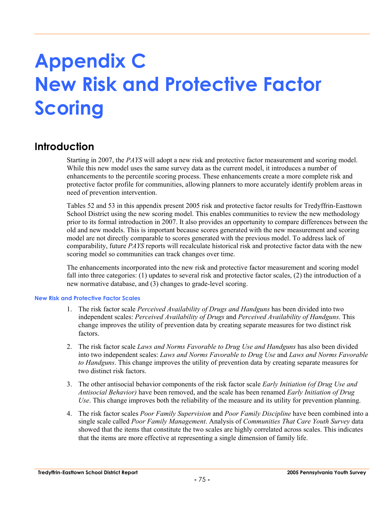# **Appendix C New Risk and Protective Factor Scoring**

### **Introduction**

Starting in 2007, the *PAYS* will adopt a new risk and protective factor measurement and scoring model. While this new model uses the same survey data as the current model, it introduces a number of enhancements to the percentile scoring process. These enhancements create a more complete risk and protective factor profile for communities, allowing planners to more accurately identify problem areas in need of prevention intervention.

Tables 52 and 53 in this appendix present 2005 risk and protective factor results for Tredyffrin-Easttown School District using the new scoring model. This enables communities to review the new methodology prior to its formal introduction in 2007. It also provides an opportunity to compare differences between the old and new models. This is important because scores generated with the new measurement and scoring model are not directly comparable to scores generated with the previous model. To address lack of comparability, future *PAYS* reports will recalculate historical risk and protective factor data with the new scoring model so communities can track changes over time.

The enhancements incorporated into the new risk and protective factor measurement and scoring model fall into three categories: (1) updates to several risk and protective factor scales, (2) the introduction of a new normative database, and (3) changes to grade-level scoring.

#### **New Risk and Protective Factor Scales**

- 1. The risk factor scale *Perceived Availability of Drugs and Handguns* has been divided into two independent scales: *Perceived Availability of Drugs* and *Perceived Availability of Handguns*. This change improves the utility of prevention data by creating separate measures for two distinct risk factors.
- 2. The risk factor scale *Laws and Norms Favorable to Drug Use and Handguns* has also been divided into two independent scales: *Laws and Norms Favorable to Drug Use* and *Laws and Norms Favorable to Handguns*. This change improves the utility of prevention data by creating separate measures for two distinct risk factors.
- 3. The other antisocial behavior components of the risk factor scale *Early Initiation (of Drug Use and Antisocial Behavior)* have been removed, and the scale has been renamed *Early Initiation of Drug Use*. This change improves both the reliability of the measure and its utility for prevention planning.
- 4. The risk factor scales *Poor Family Supervision* and *Poor Family Discipline* have been combined into a single scale called *Poor Family Management*. Analysis of *Communities That Care Youth Survey* data showed that the items that constitute the two scales are highly correlated across scales. This indicates that the items are more effective at representing a single dimension of family life.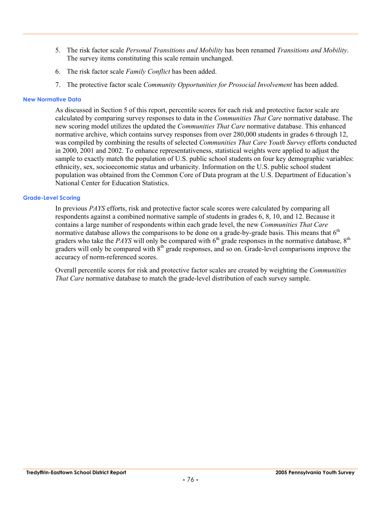- 5. The risk factor scale *Personal Transitions and Mobility* has been renamed *Transitions and Mobility*. The survey items constituting this scale remain unchanged.
- 6. The risk factor scale *Family Conflict* has been added.
- 7. The protective factor scale *Community Opportunities for Prosocial Involvement* has been added.

#### **New Normative Data**

As discussed in Section 5 of this report, percentile scores for each risk and protective factor scale are calculated by comparing survey responses to data in the *Communities That Care* normative database. The new scoring model utilizes the updated the *Communities That Care* normative database. This enhanced normative archive, which contains survey responses from over 280,000 students in grades 6 through 12, was compiled by combining the results of selected *Communities That Care Youth Survey* efforts conducted in 2000, 2001 and 2002. To enhance representativeness, statistical weights were applied to adjust the sample to exactly match the population of U.S. public school students on four key demographic variables: ethnicity, sex, socioeconomic status and urbanicity. Information on the U.S. public school student population was obtained from the Common Core of Data program at the U.S. Department of Education's National Center for Education Statistics.

#### **Grade-Level Scoring**

In previous *PAYS* efforts, risk and protective factor scale scores were calculated by comparing all respondents against a combined normative sample of students in grades 6, 8, 10, and 12. Because it contains a large number of respondents within each grade level, the new *Communities That Care* normative database allows the comparisons to be done on a grade-by-grade basis. This means that  $6<sup>th</sup>$ graders who take the *PAYS* will only be compared with  $6<sup>th</sup>$  grade responses in the normative database,  $8<sup>th</sup>$ graders will only be compared with  $8<sup>th</sup>$  grade responses, and so on. Grade-level comparisons improve the accuracy of norm-referenced scores.

Overall percentile scores for risk and protective factor scales are created by weighting the *Communities That Care* normative database to match the grade-level distribution of each survey sample.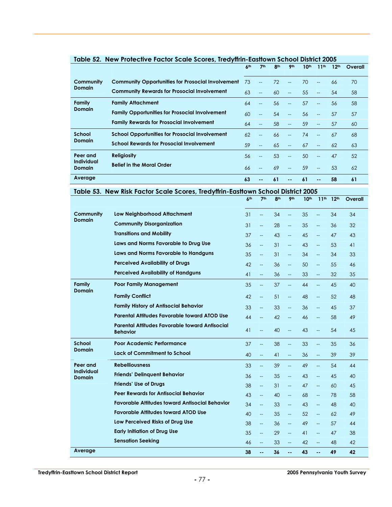|                             |                                                          | 6 <sup>th</sup> | 7 <sup>th</sup> | 8 <sup>th</sup> | 9 <sub>th</sub> | 10 <sup>th</sup> | 11 <sup>th</sup>         | 12 <sup>th</sup> | Overall |
|-----------------------------|----------------------------------------------------------|-----------------|-----------------|-----------------|-----------------|------------------|--------------------------|------------------|---------|
|                             |                                                          |                 |                 |                 |                 |                  |                          |                  |         |
| Community                   | <b>Community Opportunities for Prosocial Involvement</b> | 73              |                 | 72              | $-$             | 70               | $-$                      | 66               | 70      |
| <b>Domain</b>               | <b>Community Rewards for Prosocial Involvement</b>       | 63              | $-$             | 60              | --              | 55               | $-$                      | 54               | 58      |
| Family                      | <b>Family Attachment</b>                                 | 64              | $-$             | 56              | $-$             | 57               | $-$                      | 56               | 58      |
| <b>Domain</b>               | <b>Family Opportunities for Prosocial Involvement</b>    | 60              | $-$             | 54              | $-$             | 56               | $-$                      | 57               | 57      |
|                             | <b>Family Rewards for Prosocial Involvement</b>          | 64              |                 | 58              | $-$             | 59               | $\overline{\phantom{a}}$ | 57               | 60      |
| School                      | <b>School Opportunities for Prosocial Involvement</b>    | 62              | $-$             | 66              |                 | 74               |                          | 67               | 68      |
| <b>Domain</b>               | <b>School Rewards for Prosocial Involvement</b>          | 59              |                 | 65              | $-$             | 67               | $-$                      | 62               | 63      |
| Peer and                    | <b>Religiosity</b>                                       | 56              |                 | 53              | $-$             | 50               | $-$                      | 47               | 52      |
| Individual<br><b>Domain</b> | <b>Belief in the Moral Order</b>                         | 66              |                 | 69              | $-$             | 59               | --                       | 53               | 62      |
| Average                     |                                                          | 63              |                 | 61              | --              | 61               | --                       | 58               | 61      |

## **Table 52. New Protective Factor Scale Scores, Tredyffrin-Easttown School District 2005**

**Table 53. New Risk Factor Scale Scores, Tredyffrin-Easttown School District 2005** 

|                                    |                                                                          | 6 <sup>th</sup> | 7 <sup>th</sup>          | 8 <sup>th</sup> | 9 <sub>th</sub>          | 10 <sup>th</sup> | 11 <sup>th</sup>         | 12 <sup>th</sup> | Overall |
|------------------------------------|--------------------------------------------------------------------------|-----------------|--------------------------|-----------------|--------------------------|------------------|--------------------------|------------------|---------|
| Community                          | <b>Low Neighborhood Attachment</b>                                       | 31              | $\overline{\phantom{a}}$ | 34              | $\overline{\phantom{a}}$ | 35               | $\overline{a}$           | 34               | 34      |
| <b>Domain</b>                      | <b>Community Disorganization</b>                                         | 31              | $\overline{\phantom{a}}$ | 28              | <u></u>                  | 35               | $\overline{\phantom{a}}$ | 36               | 32      |
|                                    | <b>Transitions and Mobility</b>                                          | 37              | $\overline{\phantom{0}}$ | 43              | $\overline{\phantom{a}}$ | 45               | $\overline{a}$           | 47               | 43      |
|                                    | Laws and Norms Favorable to Drug Use                                     | 36              | <u></u>                  | 31              | $\mathbb{L}^2$           | 43               | цL,                      | 53               | 41      |
|                                    | Laws and Norms Favorable to Handguns                                     | 35              | $\overline{\phantom{a}}$ | 31              | $\overline{a}$           | 34               | $\overline{\phantom{0}}$ | 34               | 33      |
|                                    | <b>Perceived Availability of Drugs</b>                                   | 42              | $\overline{\phantom{0}}$ | 36              | $\overline{\phantom{a}}$ | 50               | $\overline{a}$           | 55               | 46      |
|                                    | <b>Perceived Availability of Handguns</b>                                | 41              | $\overline{a}$           | 36              | $\overline{\phantom{a}}$ | 33               | $\overline{a}$           | 32               | 35      |
| Family<br><b>Domain</b>            | <b>Poor Family Management</b>                                            | 35              | $\overline{\phantom{a}}$ | 37              | $\overline{\phantom{a}}$ | 44               | $\overline{a}$           | 45               | 40      |
|                                    | <b>Family Conflict</b>                                                   | 42              | $\overline{\phantom{a}}$ | 51              | $\overline{\phantom{a}}$ | 48               | $\overline{\phantom{0}}$ | 52               | 48      |
|                                    | <b>Family History of Antisocial Behavior</b>                             | 33              | <u></u>                  | 33              | <u></u>                  | 36               | $\overline{a}$           | 45               | 37      |
|                                    | <b>Parental Attitudes Favorable toward ATOD Use</b>                      | 44              | $\overline{\phantom{0}}$ | 42              | $\overline{\phantom{a}}$ | 46               | $\overline{\phantom{0}}$ | 58               | 49      |
|                                    | <b>Parental Attitudes Favorable toward Antisocial</b><br><b>Behavior</b> | 41              | $\overline{\phantom{a}}$ | 40              | $\overline{\phantom{0}}$ | 43               | $\overline{\phantom{a}}$ | 54               | 45      |
| <b>School</b>                      | Poor Academic Performance                                                | 37              | <u></u>                  | 38              | $\overline{\phantom{m}}$ | 33               | $\overline{\phantom{a}}$ | 35               | 36      |
| <b>Domain</b>                      | Lack of Commitment to School                                             | 40              | <u></u>                  | 41              | <u></u>                  | 36               | Щ,                       | 39               | 39      |
| Peer and                           | <b>Rebelliousness</b>                                                    | 33              | $\overline{a}$           | 39              | $\overline{\phantom{a}}$ | 49               | $\overline{a}$           | 54               | 44      |
| <b>Individual</b><br><b>Domain</b> | <b>Friends' Delinquent Behavior</b>                                      | 36              | $\overline{\phantom{a}}$ | 35              | $\overline{\phantom{a}}$ | 43               | $\overline{a}$           | 45               | 40      |
|                                    | <b>Friends' Use of Drugs</b>                                             | 38              | $\overline{\phantom{a}}$ | 31              | $\overline{\phantom{a}}$ | 47               | $\overline{\phantom{a}}$ | 60               | 45      |
|                                    | <b>Peer Rewards for Antisocial Behavior</b>                              | 43              | $\overline{\phantom{a}}$ | 40              | $\overline{\phantom{a}}$ | 68               | $\overline{a}$           | 78               | 58      |
|                                    | <b>Favorable Attitudes toward Antisocial Behavior</b>                    | 34              | цL,                      | 33              | $\overline{\phantom{a}}$ | 43               | u.                       | 48               | 40      |
|                                    | <b>Favorable Attitudes toward ATOD Use</b>                               | 40              | $-$                      | 35              | $\overline{\phantom{a}}$ | 52               | $\overline{a}$           | 62               | 49      |
|                                    | Low Perceived Risks of Drug Use                                          | 38              | $\overline{\phantom{a}}$ | 36              | $\overline{\phantom{a}}$ | 49               | цL,                      | 57               | 44      |
|                                    | <b>Early Initiation of Drug Use</b>                                      | 35              | $\overline{\phantom{a}}$ | 29              | $\overline{\phantom{a}}$ | 41               | $\overline{a}$           | 47               | 38      |
|                                    | <b>Sensation Seeking</b>                                                 | 46              | $\overline{\phantom{a}}$ | 33              | $\overline{\phantom{a}}$ | 42               | $\overline{\phantom{0}}$ | 48               | 42      |
| Average                            |                                                                          | 38              | --                       | 36              | $\overline{a}$           | 43               | 44                       | 49               | 42      |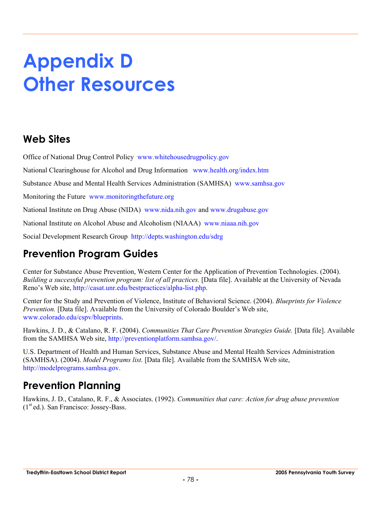# **Appendix D Other Resources**

### **Web Sites**

Office of National Drug Control Policy www.whitehousedrugpolicy.gov

National Clearinghouse for Alcohol and Drug Information www.health.org/index.htm

Substance Abuse and Mental Health Services Administration (SAMHSA) www.samhsa.gov

Monitoring the Future www.monitoringthefuture.org

National Institute on Drug Abuse (NIDA) www.nida.nih.gov and www.drugabuse.gov

National Institute on Alcohol Abuse and Alcoholism (NIAAA) www.niaaa.nih.gov

Social Development Research Group http://depts.washington.edu/sdrg

### **Prevention Program Guides**

Center for Substance Abuse Prevention, Western Center for the Application of Prevention Technologies. (2004). *Building a successful prevention program: list of all practices.* [Data file]. Available at the University of Nevada Reno's Web site, http://casat.unr.edu/bestpractices/alpha-list.php.

Center for the Study and Prevention of Violence, Institute of Behavioral Science. (2004). *Blueprints for Violence Prevention.* [Data file]. Available from the University of Colorado Boulder's Web site, www.colorado.edu/cspv/blueprints.

Hawkins, J. D., & Catalano, R. F. (2004). *Communities That Care Prevention Strategies Guide.* [Data file]. Available from the SAMHSA Web site, http://preventionplatform.samhsa.gov/.

U.S. Department of Health and Human Services, Substance Abuse and Mental Health Services Administration (SAMHSA). (2004). *Model Programs list.* [Data file]. Available from the SAMHSA Web site, http://modelprograms.samhsa.gov.

### **Prevention Planning**

Hawkins, J. D., Catalano, R. F., & Associates. (1992). *Communities that care: Action for drug abuse prevention*  $(1<sup>st</sup> ed.)$ . San Francisco: Jossey-Bass.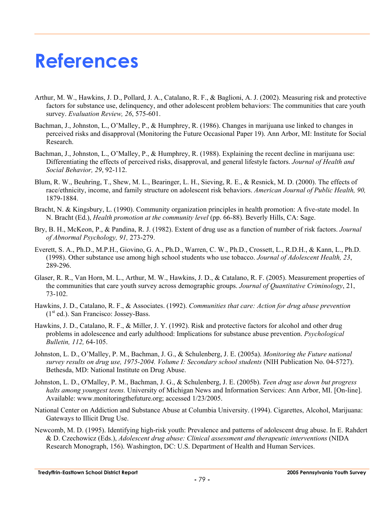## **References**

- Arthur, M. W., Hawkins, J. D., Pollard, J. A., Catalano, R. F., & Baglioni, A. J. (2002). Measuring risk and protective factors for substance use, delinquency, and other adolescent problem behaviors: The communities that care youth survey. *Evaluation Review, 26*, 575-601.
- Bachman, J., Johnston, L., O'Malley, P., & Humphrey, R. (1986). Changes in marijuana use linked to changes in perceived risks and disapproval (Monitoring the Future Occasional Paper 19). Ann Arbor, MI: Institute for Social Research.
- Bachman, J., Johnston, L., O'Malley, P., & Humphrey, R. (1988). Explaining the recent decline in marijuana use: Differentiating the effects of perceived risks, disapproval, and general lifestyle factors. *Journal of Health and Social Behavior, 29*, 92-112.
- Blum, R. W., Beuhring, T., Shew, M. L., Bearinger, L. H., Sieving, R. E., & Resnick, M. D. (2000). The effects of race/ethnicity, income, and family structure on adolescent risk behaviors. *American Journal of Public Health, 90,* 1879-1884.
- Bracht, N. & Kingsbury, L. (1990). Community organization principles in health promotion: A five-state model. In N. Bracht (Ed.), *Health promotion at the community level* (pp. 66-88). Beverly Hills, CA: Sage.
- Bry, B. H., McKeon, P., & Pandina, R. J. (1982). Extent of drug use as a function of number of risk factors. *Journal of Abnormal Psychology, 91,* 273-279.
- Everett, S. A., Ph.D., M.P.H., Giovino, G. A., Ph.D., Warren, C. W., Ph.D., Crossett, L., R.D.H., & Kann, L., Ph.D. (1998). Other substance use among high school students who use tobacco. *Journal of Adolescent Health, 23*, 289-296.
- Glaser, R. R., Van Horn, M. L., Arthur, M. W., Hawkins, J. D., & Catalano, R. F. (2005). Measurement properties of the communities that care youth survey across demographic groups. *Journal of Quantitative Criminology*, 21, 73-102.
- Hawkins, J. D., Catalano, R. F., & Associates. (1992). *Communities that care: Action for drug abuse prevention*   $(1<sup>st</sup> ed.)$ . San Francisco: Jossey-Bass.
- Hawkins, J. D., Catalano, R. F., & Miller, J. Y. (1992). Risk and protective factors for alcohol and other drug problems in adolescence and early adulthood: Implications for substance abuse prevention. *Psychological Bulletin, 112,* 64-105.
- Johnston, L. D., O'Malley, P. M., Bachman, J. G., & Schulenberg, J. E. (2005a). *Monitoring the Future national survey results on drug use, 1975-2004. Volume I: Secondary school students* (NIH Publication No. 04-5727). Bethesda, MD: National Institute on Drug Abuse.
- Johnston, L. D., O'Malley, P. M., Bachman, J. G., & Schulenberg, J. E. (2005b). *Teen drug use down but progress halts among youngest teens.* University of Michigan News and Information Services: Ann Arbor, MI. [On-line]. Available: www.monitoringthefuture.org; accessed 1/23/2005.
- National Center on Addiction and Substance Abuse at Columbia University. (1994). Cigarettes, Alcohol, Marijuana: Gateways to Illicit Drug Use.
- Newcomb, M. D. (1995). Identifying high-risk youth: Prevalence and patterns of adolescent drug abuse. In E. Rahdert & D. Czechowicz (Eds.), *Adolescent drug abuse: Clinical assessment and therapeutic interventions* (NIDA Research Monograph, 156). Washington, DC: U.S. Department of Health and Human Services.